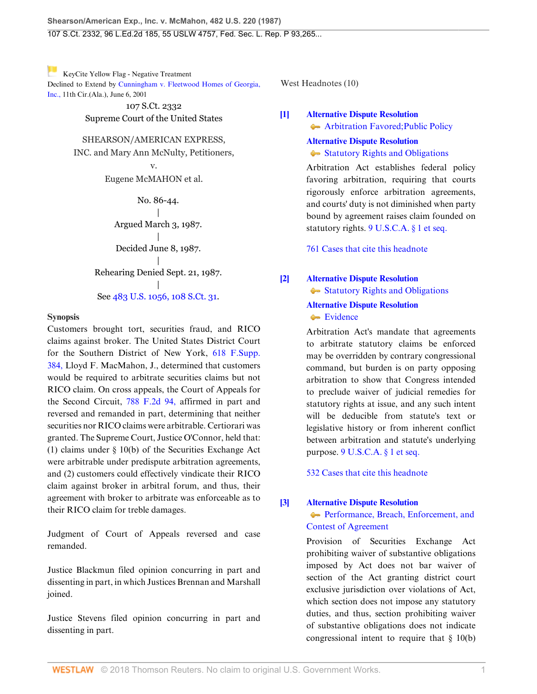[K](https://1.next.westlaw.com/Link/RelatedInformation/Flag?documentGuid=I9e22914979b411d9ac1ffa9f33b6c3b0&transitionType=Document&originationContext=docHeaderFlag&contextData=(sc.UserEnteredCitation) )eyCite Yellow Flag - Negative Treatment Declined to Extend by [Cunningham v. Fleetwood Homes of Georgia,](https://1.next.westlaw.com/Document/I9e22914979b411d9ac1ffa9f33b6c3b0/View/FullText.html?navigationPath=RelatedInfo%2Fv4%2Fkeycite%2Fnav%2F%3Fguid%3DI9e22914979b411d9ac1ffa9f33b6c3b0%26ss%3D1987070825%26ds%3D2001486808&listSource=RelatedInfo&list=NegativeCitingReferences&rank=0&originationContext=docHeader&transitionType=NegativeTreatment&contextData=%28sc.UserEnteredCitation%29 ) [Inc.,](https://1.next.westlaw.com/Document/I9e22914979b411d9ac1ffa9f33b6c3b0/View/FullText.html?navigationPath=RelatedInfo%2Fv4%2Fkeycite%2Fnav%2F%3Fguid%3DI9e22914979b411d9ac1ffa9f33b6c3b0%26ss%3D1987070825%26ds%3D2001486808&listSource=RelatedInfo&list=NegativeCitingReferences&rank=0&originationContext=docHeader&transitionType=NegativeTreatment&contextData=%28sc.UserEnteredCitation%29 ) 11th Cir.(Ala.), June 6, 2001

> 107 S.Ct. 2332 Supreme Court of the United States

#### SHEARSON/AMERICAN EXPRESS,

INC. and Mary Ann McNulty, Petitioners, v.

Eugene McMAHON et al.

No. 86-44. | Argued March 3, 1987. | Decided June 8, 1987. | Rehearing Denied Sept. 21, 1987.

|

See [483 U.S. 1056, 108 S.Ct. 31](http://www.westlaw.com/Link/Document/FullText?findType=Y&pubNum=708&cite=108SCT31&originatingDoc=Ic1e348109c1e11d991d0cc6b54f12d4d&refType=RP&originationContext=document&vr=3.0&rs=cblt1.0&transitionType=DocumentItem&contextData=(sc.UserEnteredCitation)).

#### **Synopsis**

Customers brought tort, securities fraud, and RICO claims against broker. The United States District Court for the Southern District of New York, [618 F.Supp.](http://www.westlaw.com/Link/Document/FullText?findType=Y&serNum=1985147757&pubNum=345&originatingDoc=Ic1e348109c1e11d991d0cc6b54f12d4d&refType=RP&originationContext=document&vr=3.0&rs=cblt1.0&transitionType=DocumentItem&contextData=(sc.UserEnteredCitation)) [384,](http://www.westlaw.com/Link/Document/FullText?findType=Y&serNum=1985147757&pubNum=345&originatingDoc=Ic1e348109c1e11d991d0cc6b54f12d4d&refType=RP&originationContext=document&vr=3.0&rs=cblt1.0&transitionType=DocumentItem&contextData=(sc.UserEnteredCitation)) Lloyd F. MacMahon, J., determined that customers would be required to arbitrate securities claims but not RICO claim. On cross appeals, the Court of Appeals for the Second Circuit, [788 F.2d 94,](http://www.westlaw.com/Link/Document/FullText?findType=Y&serNum=1986120255&pubNum=350&originatingDoc=Ic1e348109c1e11d991d0cc6b54f12d4d&refType=RP&originationContext=document&vr=3.0&rs=cblt1.0&transitionType=DocumentItem&contextData=(sc.UserEnteredCitation)) affirmed in part and reversed and remanded in part, determining that neither securities nor RICO claims were arbitrable. Certiorari was granted. The Supreme Court, Justice O'Connor, held that: (1) claims under § 10(b) of the Securities Exchange Act were arbitrable under predispute arbitration agreements, and (2) customers could effectively vindicate their RICO claim against broker in arbitral forum, and thus, their agreement with broker to arbitrate was enforceable as to their RICO claim for treble damages.

Judgment of Court of Appeals reversed and case remanded.

Justice Blackmun filed opinion concurring in part and dissenting in part, in which Justices Brennan and Marshall joined.

Justice Stevens filed opinion concurring in part and dissenting in part.

West Headnotes (10)

<span id="page-0-0"></span>**[\[1\]](#page-4-0) [Alternative Dispute Resolution](http://www.westlaw.com/Browse/Home/KeyNumber/25T/View.html?docGuid=Ic1e348109c1e11d991d0cc6b54f12d4d&originationContext=document&vr=3.0&rs=cblt1.0&transitionType=DocumentItem&contextData=(sc.UserEnteredCitation))**

[Arbitration Favored; Public Policy](http://www.westlaw.com/Browse/Home/KeyNumber/25Tk113/View.html?docGuid=Ic1e348109c1e11d991d0cc6b54f12d4d&originationContext=document&vr=3.0&rs=cblt1.0&transitionType=DocumentItem&contextData=(sc.UserEnteredCitation))

**[Alternative Dispute Resolution](http://www.westlaw.com/Browse/Home/KeyNumber/25T/View.html?docGuid=Ic1e348109c1e11d991d0cc6b54f12d4d&originationContext=document&vr=3.0&rs=cblt1.0&transitionType=DocumentItem&contextData=(sc.UserEnteredCitation))**  $\blacktriangleright$  [Statutory Rights and Obligations](http://www.westlaw.com/Browse/Home/KeyNumber/25Tk121/View.html?docGuid=Ic1e348109c1e11d991d0cc6b54f12d4d&originationContext=document&vr=3.0&rs=cblt1.0&transitionType=DocumentItem&contextData=(sc.UserEnteredCitation))

Arbitration Act establishes federal policy favoring arbitration, requiring that courts rigorously enforce arbitration agreements, and courts' duty is not diminished when party bound by agreement raises claim founded on statutory rights. [9 U.S.C.A. § 1 et seq.](http://www.westlaw.com/Link/Document/FullText?findType=L&pubNum=1000546&cite=9USCAS1&originatingDoc=Ic1e348109c1e11d991d0cc6b54f12d4d&refType=LQ&originationContext=document&vr=3.0&rs=cblt1.0&transitionType=DocumentItem&contextData=(sc.UserEnteredCitation))

[761 Cases that cite this headnote](http://www.westlaw.com/Link/RelatedInformation/DocHeadnoteLink?docGuid=Ic1e348109c1e11d991d0cc6b54f12d4d&headnoteId=198707082500120091028172607&originationContext=document&vr=3.0&rs=cblt1.0&transitionType=CitingReferences&contextData=(sc.UserEnteredCitation))

# <span id="page-0-1"></span>**[\[2\]](#page-5-0) [Alternative Dispute Resolution](http://www.westlaw.com/Browse/Home/KeyNumber/25T/View.html?docGuid=Ic1e348109c1e11d991d0cc6b54f12d4d&originationContext=document&vr=3.0&rs=cblt1.0&transitionType=DocumentItem&contextData=(sc.UserEnteredCitation))**

## $\blacktriangleright$  [Statutory Rights and Obligations](http://www.westlaw.com/Browse/Home/KeyNumber/25Tk121/View.html?docGuid=Ic1e348109c1e11d991d0cc6b54f12d4d&originationContext=document&vr=3.0&rs=cblt1.0&transitionType=DocumentItem&contextData=(sc.UserEnteredCitation))

#### **[Alternative Dispute Resolution](http://www.westlaw.com/Browse/Home/KeyNumber/25T/View.html?docGuid=Ic1e348109c1e11d991d0cc6b54f12d4d&originationContext=document&vr=3.0&rs=cblt1.0&transitionType=DocumentItem&contextData=(sc.UserEnteredCitation)) [Evidence](http://www.westlaw.com/Browse/Home/KeyNumber/25Tk210/View.html?docGuid=Ic1e348109c1e11d991d0cc6b54f12d4d&originationContext=document&vr=3.0&rs=cblt1.0&transitionType=DocumentItem&contextData=(sc.UserEnteredCitation))**

Arbitration Act's mandate that agreements to arbitrate statutory claims be enforced may be overridden by contrary congressional command, but burden is on party opposing arbitration to show that Congress intended to preclude waiver of judicial remedies for statutory rights at issue, and any such intent will be deducible from statute's text or legislative history or from inherent conflict between arbitration and statute's underlying purpose. [9 U.S.C.A. § 1 et seq.](http://www.westlaw.com/Link/Document/FullText?findType=L&pubNum=1000546&cite=9USCAS1&originatingDoc=Ic1e348109c1e11d991d0cc6b54f12d4d&refType=LQ&originationContext=document&vr=3.0&rs=cblt1.0&transitionType=DocumentItem&contextData=(sc.UserEnteredCitation))

[532 Cases that cite this headnote](http://www.westlaw.com/Link/RelatedInformation/DocHeadnoteLink?docGuid=Ic1e348109c1e11d991d0cc6b54f12d4d&headnoteId=198707082500220091028172607&originationContext=document&vr=3.0&rs=cblt1.0&transitionType=CitingReferences&contextData=(sc.UserEnteredCitation))

## <span id="page-0-2"></span>**[\[3\]](#page-5-1) [Alternative Dispute Resolution](http://www.westlaw.com/Browse/Home/KeyNumber/25T/View.html?docGuid=Ic1e348109c1e11d991d0cc6b54f12d4d&originationContext=document&vr=3.0&rs=cblt1.0&transitionType=DocumentItem&contextData=(sc.UserEnteredCitation))**

**[Performance, Breach, Enforcement, and](http://www.westlaw.com/Browse/Home/KeyNumber/25Tk414/View.html?docGuid=Ic1e348109c1e11d991d0cc6b54f12d4d&originationContext=document&vr=3.0&rs=cblt1.0&transitionType=DocumentItem&contextData=(sc.UserEnteredCitation))** [Contest of Agreement](http://www.westlaw.com/Browse/Home/KeyNumber/25Tk414/View.html?docGuid=Ic1e348109c1e11d991d0cc6b54f12d4d&originationContext=document&vr=3.0&rs=cblt1.0&transitionType=DocumentItem&contextData=(sc.UserEnteredCitation))

Provision of Securities Exchange Act prohibiting waiver of substantive obligations imposed by Act does not bar waiver of section of the Act granting district court exclusive jurisdiction over violations of Act, which section does not impose any statutory duties, and thus, section prohibiting waiver of substantive obligations does not indicate congressional intent to require that § 10(b)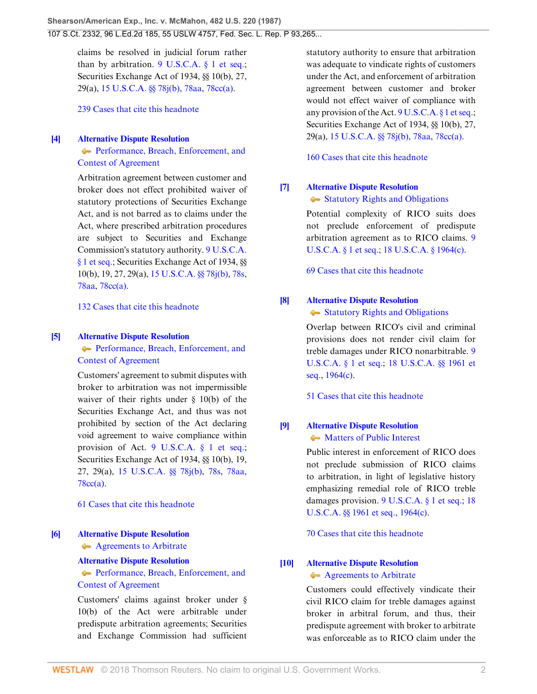claims be resolved in judicial forum rather than by arbitration.  $9 \text{ U.S. C.A. }$  § 1 et seq.; Securities Exchange Act of 1934, §§ 10(b), 27, 29(a), [15 U.S.C.A. §§ 78j\(b\),](http://www.westlaw.com/Link/Document/FullText?findType=L&pubNum=1000546&cite=15USCAS78J&originatingDoc=Ic1e348109c1e11d991d0cc6b54f12d4d&refType=RB&originationContext=document&vr=3.0&rs=cblt1.0&transitionType=DocumentItem&contextData=(sc.UserEnteredCitation)#co_pp_a83b000018c76) [78aa](http://www.westlaw.com/Link/Document/FullText?findType=L&pubNum=1000546&cite=15USCAS78AA&originatingDoc=Ic1e348109c1e11d991d0cc6b54f12d4d&refType=LQ&originationContext=document&vr=3.0&rs=cblt1.0&transitionType=DocumentItem&contextData=(sc.UserEnteredCitation)), [78cc\(a\).](http://www.westlaw.com/Link/Document/FullText?findType=L&pubNum=1000546&cite=15USCAS78CC&originatingDoc=Ic1e348109c1e11d991d0cc6b54f12d4d&refType=RB&originationContext=document&vr=3.0&rs=cblt1.0&transitionType=DocumentItem&contextData=(sc.UserEnteredCitation)#co_pp_8b3b0000958a4)

[239 Cases that cite this headnote](http://www.westlaw.com/Link/RelatedInformation/DocHeadnoteLink?docGuid=Ic1e348109c1e11d991d0cc6b54f12d4d&headnoteId=198707082500320091028172607&originationContext=document&vr=3.0&rs=cblt1.0&transitionType=CitingReferences&contextData=(sc.UserEnteredCitation))

#### <span id="page-1-0"></span>**[\[4\]](#page-8-0) [Alternative Dispute Resolution](http://www.westlaw.com/Browse/Home/KeyNumber/25T/View.html?docGuid=Ic1e348109c1e11d991d0cc6b54f12d4d&originationContext=document&vr=3.0&rs=cblt1.0&transitionType=DocumentItem&contextData=(sc.UserEnteredCitation))**

[Performance, Breach, Enforcement, and](http://www.westlaw.com/Browse/Home/KeyNumber/25Tk414/View.html?docGuid=Ic1e348109c1e11d991d0cc6b54f12d4d&originationContext=document&vr=3.0&rs=cblt1.0&transitionType=DocumentItem&contextData=(sc.UserEnteredCitation)) [Contest of Agreement](http://www.westlaw.com/Browse/Home/KeyNumber/25Tk414/View.html?docGuid=Ic1e348109c1e11d991d0cc6b54f12d4d&originationContext=document&vr=3.0&rs=cblt1.0&transitionType=DocumentItem&contextData=(sc.UserEnteredCitation))

Arbitration agreement between customer and broker does not effect prohibited waiver of statutory protections of Securities Exchange Act, and is not barred as to claims under the Act, where prescribed arbitration procedures are subject to Securities and Exchange Commission's statutory authority. [9 U.S.C.A.](http://www.westlaw.com/Link/Document/FullText?findType=L&pubNum=1000546&cite=9USCAS1&originatingDoc=Ic1e348109c1e11d991d0cc6b54f12d4d&refType=LQ&originationContext=document&vr=3.0&rs=cblt1.0&transitionType=DocumentItem&contextData=(sc.UserEnteredCitation)) [§ 1 et seq.](http://www.westlaw.com/Link/Document/FullText?findType=L&pubNum=1000546&cite=9USCAS1&originatingDoc=Ic1e348109c1e11d991d0cc6b54f12d4d&refType=LQ&originationContext=document&vr=3.0&rs=cblt1.0&transitionType=DocumentItem&contextData=(sc.UserEnteredCitation)); Securities Exchange Act of 1934, §§ 10(b), 19, 27, 29(a), [15 U.S.C.A. §§ 78j\(b\)](http://www.westlaw.com/Link/Document/FullText?findType=L&pubNum=1000546&cite=15USCAS78J&originatingDoc=Ic1e348109c1e11d991d0cc6b54f12d4d&refType=RB&originationContext=document&vr=3.0&rs=cblt1.0&transitionType=DocumentItem&contextData=(sc.UserEnteredCitation)#co_pp_a83b000018c76), [78s,](http://www.westlaw.com/Link/Document/FullText?findType=L&pubNum=1000546&cite=15USCAS78S&originatingDoc=Ic1e348109c1e11d991d0cc6b54f12d4d&refType=LQ&originationContext=document&vr=3.0&rs=cblt1.0&transitionType=DocumentItem&contextData=(sc.UserEnteredCitation)) [78aa](http://www.westlaw.com/Link/Document/FullText?findType=L&pubNum=1000546&cite=15USCAS78AA&originatingDoc=Ic1e348109c1e11d991d0cc6b54f12d4d&refType=LQ&originationContext=document&vr=3.0&rs=cblt1.0&transitionType=DocumentItem&contextData=(sc.UserEnteredCitation)), [78cc\(a\)](http://www.westlaw.com/Link/Document/FullText?findType=L&pubNum=1000546&cite=15USCAS78CC&originatingDoc=Ic1e348109c1e11d991d0cc6b54f12d4d&refType=RB&originationContext=document&vr=3.0&rs=cblt1.0&transitionType=DocumentItem&contextData=(sc.UserEnteredCitation)#co_pp_8b3b0000958a4).

[132 Cases that cite this headnote](http://www.westlaw.com/Link/RelatedInformation/DocHeadnoteLink?docGuid=Ic1e348109c1e11d991d0cc6b54f12d4d&headnoteId=198707082500420091028172607&originationContext=document&vr=3.0&rs=cblt1.0&transitionType=CitingReferences&contextData=(sc.UserEnteredCitation))

#### <span id="page-1-1"></span>**[\[5\]](#page-8-1) [Alternative Dispute Resolution](http://www.westlaw.com/Browse/Home/KeyNumber/25T/View.html?docGuid=Ic1e348109c1e11d991d0cc6b54f12d4d&originationContext=document&vr=3.0&rs=cblt1.0&transitionType=DocumentItem&contextData=(sc.UserEnteredCitation))**

[Performance, Breach, Enforcement, and](http://www.westlaw.com/Browse/Home/KeyNumber/25Tk414/View.html?docGuid=Ic1e348109c1e11d991d0cc6b54f12d4d&originationContext=document&vr=3.0&rs=cblt1.0&transitionType=DocumentItem&contextData=(sc.UserEnteredCitation)) [Contest of Agreement](http://www.westlaw.com/Browse/Home/KeyNumber/25Tk414/View.html?docGuid=Ic1e348109c1e11d991d0cc6b54f12d4d&originationContext=document&vr=3.0&rs=cblt1.0&transitionType=DocumentItem&contextData=(sc.UserEnteredCitation))

Customers' agreement to submit disputes with broker to arbitration was not impermissible waiver of their rights under § 10(b) of the Securities Exchange Act, and thus was not prohibited by section of the Act declaring void agreement to waive compliance within provision of Act. [9 U.S.C.A. § 1 et seq.;](http://www.westlaw.com/Link/Document/FullText?findType=L&pubNum=1000546&cite=9USCAS1&originatingDoc=Ic1e348109c1e11d991d0cc6b54f12d4d&refType=LQ&originationContext=document&vr=3.0&rs=cblt1.0&transitionType=DocumentItem&contextData=(sc.UserEnteredCitation)) Securities Exchange Act of 1934, §§ 10(b), 19, 27, 29(a), [15 U.S.C.A. §§ 78j\(b\)](http://www.westlaw.com/Link/Document/FullText?findType=L&pubNum=1000546&cite=15USCAS78J&originatingDoc=Ic1e348109c1e11d991d0cc6b54f12d4d&refType=RB&originationContext=document&vr=3.0&rs=cblt1.0&transitionType=DocumentItem&contextData=(sc.UserEnteredCitation)#co_pp_a83b000018c76), [78s,](http://www.westlaw.com/Link/Document/FullText?findType=L&pubNum=1000546&cite=15USCAS78S&originatingDoc=Ic1e348109c1e11d991d0cc6b54f12d4d&refType=LQ&originationContext=document&vr=3.0&rs=cblt1.0&transitionType=DocumentItem&contextData=(sc.UserEnteredCitation)) [78aa,](http://www.westlaw.com/Link/Document/FullText?findType=L&pubNum=1000546&cite=15USCAS78AA&originatingDoc=Ic1e348109c1e11d991d0cc6b54f12d4d&refType=LQ&originationContext=document&vr=3.0&rs=cblt1.0&transitionType=DocumentItem&contextData=(sc.UserEnteredCitation)) [78cc\(a\).](http://www.westlaw.com/Link/Document/FullText?findType=L&pubNum=1000546&cite=15USCAS78CC&originatingDoc=Ic1e348109c1e11d991d0cc6b54f12d4d&refType=RB&originationContext=document&vr=3.0&rs=cblt1.0&transitionType=DocumentItem&contextData=(sc.UserEnteredCitation)#co_pp_8b3b0000958a4)

[61 Cases that cite this headnote](http://www.westlaw.com/Link/RelatedInformation/DocHeadnoteLink?docGuid=Ic1e348109c1e11d991d0cc6b54f12d4d&headnoteId=198707082500520091028172607&originationContext=document&vr=3.0&rs=cblt1.0&transitionType=CitingReferences&contextData=(sc.UserEnteredCitation))

#### <span id="page-1-2"></span>**[\[6\]](#page-9-0) [Alternative Dispute Resolution](http://www.westlaw.com/Browse/Home/KeyNumber/25T/View.html?docGuid=Ic1e348109c1e11d991d0cc6b54f12d4d&originationContext=document&vr=3.0&rs=cblt1.0&transitionType=DocumentItem&contextData=(sc.UserEnteredCitation))** [Agreements to Arbitrate](http://www.westlaw.com/Browse/Home/KeyNumber/25Tk413/View.html?docGuid=Ic1e348109c1e11d991d0cc6b54f12d4d&originationContext=document&vr=3.0&rs=cblt1.0&transitionType=DocumentItem&contextData=(sc.UserEnteredCitation))

### **[Alternative Dispute Resolution](http://www.westlaw.com/Browse/Home/KeyNumber/25T/View.html?docGuid=Ic1e348109c1e11d991d0cc6b54f12d4d&originationContext=document&vr=3.0&rs=cblt1.0&transitionType=DocumentItem&contextData=(sc.UserEnteredCitation))** [Performance, Breach, Enforcement, and](http://www.westlaw.com/Browse/Home/KeyNumber/25Tk414/View.html?docGuid=Ic1e348109c1e11d991d0cc6b54f12d4d&originationContext=document&vr=3.0&rs=cblt1.0&transitionType=DocumentItem&contextData=(sc.UserEnteredCitation)) [Contest of Agreement](http://www.westlaw.com/Browse/Home/KeyNumber/25Tk414/View.html?docGuid=Ic1e348109c1e11d991d0cc6b54f12d4d&originationContext=document&vr=3.0&rs=cblt1.0&transitionType=DocumentItem&contextData=(sc.UserEnteredCitation))

Customers' claims against broker under § 10(b) of the Act were arbitrable under predispute arbitration agreements; Securities and Exchange Commission had sufficient statutory authority to ensure that arbitration was adequate to vindicate rights of customers under the Act, and enforcement of arbitration agreement between customer and broker would not effect waiver of compliance with any provision of the Act.  $9 \text{ U.S. C.A.}$  § 1 et seq.; Securities Exchange Act of 1934, §§ 10(b), 27, 29(a), [15 U.S.C.A. §§ 78j\(b\),](http://www.westlaw.com/Link/Document/FullText?findType=L&pubNum=1000546&cite=15USCAS78J&originatingDoc=Ic1e348109c1e11d991d0cc6b54f12d4d&refType=RB&originationContext=document&vr=3.0&rs=cblt1.0&transitionType=DocumentItem&contextData=(sc.UserEnteredCitation)#co_pp_a83b000018c76) [78aa](http://www.westlaw.com/Link/Document/FullText?findType=L&pubNum=1000546&cite=15USCAS78AA&originatingDoc=Ic1e348109c1e11d991d0cc6b54f12d4d&refType=LQ&originationContext=document&vr=3.0&rs=cblt1.0&transitionType=DocumentItem&contextData=(sc.UserEnteredCitation)), [78cc\(a\).](http://www.westlaw.com/Link/Document/FullText?findType=L&pubNum=1000546&cite=15USCAS78CC&originatingDoc=Ic1e348109c1e11d991d0cc6b54f12d4d&refType=RB&originationContext=document&vr=3.0&rs=cblt1.0&transitionType=DocumentItem&contextData=(sc.UserEnteredCitation)#co_pp_8b3b0000958a4)

[160 Cases that cite this headnote](http://www.westlaw.com/Link/RelatedInformation/DocHeadnoteLink?docGuid=Ic1e348109c1e11d991d0cc6b54f12d4d&headnoteId=198707082500620091028172607&originationContext=document&vr=3.0&rs=cblt1.0&transitionType=CitingReferences&contextData=(sc.UserEnteredCitation))

### <span id="page-1-3"></span>**[\[7\]](#page-10-0) [Alternative Dispute Resolution](http://www.westlaw.com/Browse/Home/KeyNumber/25T/View.html?docGuid=Ic1e348109c1e11d991d0cc6b54f12d4d&originationContext=document&vr=3.0&rs=cblt1.0&transitionType=DocumentItem&contextData=(sc.UserEnteredCitation))**

#### [Statutory Rights and Obligations](http://www.westlaw.com/Browse/Home/KeyNumber/25Tk121/View.html?docGuid=Ic1e348109c1e11d991d0cc6b54f12d4d&originationContext=document&vr=3.0&rs=cblt1.0&transitionType=DocumentItem&contextData=(sc.UserEnteredCitation))

Potential complexity of RICO suits does not preclude enforcement of predispute arbitration agreement as to RICO claims. [9](http://www.westlaw.com/Link/Document/FullText?findType=L&pubNum=1000546&cite=9USCAS1&originatingDoc=Ic1e348109c1e11d991d0cc6b54f12d4d&refType=LQ&originationContext=document&vr=3.0&rs=cblt1.0&transitionType=DocumentItem&contextData=(sc.UserEnteredCitation)) [U.S.C.A. § 1 et seq.](http://www.westlaw.com/Link/Document/FullText?findType=L&pubNum=1000546&cite=9USCAS1&originatingDoc=Ic1e348109c1e11d991d0cc6b54f12d4d&refType=LQ&originationContext=document&vr=3.0&rs=cblt1.0&transitionType=DocumentItem&contextData=(sc.UserEnteredCitation)); [18 U.S.C.A. § 1964\(c\)](http://www.westlaw.com/Link/Document/FullText?findType=L&pubNum=1000546&cite=18USCAS1964&originatingDoc=Ic1e348109c1e11d991d0cc6b54f12d4d&refType=RB&originationContext=document&vr=3.0&rs=cblt1.0&transitionType=DocumentItem&contextData=(sc.UserEnteredCitation)#co_pp_4b24000003ba5).

[69 Cases that cite this headnote](http://www.westlaw.com/Link/RelatedInformation/DocHeadnoteLink?docGuid=Ic1e348109c1e11d991d0cc6b54f12d4d&headnoteId=198707082500720091028172607&originationContext=document&vr=3.0&rs=cblt1.0&transitionType=CitingReferences&contextData=(sc.UserEnteredCitation))

## <span id="page-1-4"></span>**[\[8\]](#page-10-1) [Alternative Dispute Resolution](http://www.westlaw.com/Browse/Home/KeyNumber/25T/View.html?docGuid=Ic1e348109c1e11d991d0cc6b54f12d4d&originationContext=document&vr=3.0&rs=cblt1.0&transitionType=DocumentItem&contextData=(sc.UserEnteredCitation))**

#### $\blacktriangleright$  [Statutory Rights and Obligations](http://www.westlaw.com/Browse/Home/KeyNumber/25Tk121/View.html?docGuid=Ic1e348109c1e11d991d0cc6b54f12d4d&originationContext=document&vr=3.0&rs=cblt1.0&transitionType=DocumentItem&contextData=(sc.UserEnteredCitation))

Overlap between RICO's civil and criminal provisions does not render civil claim for treble damages under RICO nonarbitrable. [9](http://www.westlaw.com/Link/Document/FullText?findType=L&pubNum=1000546&cite=9USCAS1&originatingDoc=Ic1e348109c1e11d991d0cc6b54f12d4d&refType=LQ&originationContext=document&vr=3.0&rs=cblt1.0&transitionType=DocumentItem&contextData=(sc.UserEnteredCitation)) [U.S.C.A. § 1 et seq.;](http://www.westlaw.com/Link/Document/FullText?findType=L&pubNum=1000546&cite=9USCAS1&originatingDoc=Ic1e348109c1e11d991d0cc6b54f12d4d&refType=LQ&originationContext=document&vr=3.0&rs=cblt1.0&transitionType=DocumentItem&contextData=(sc.UserEnteredCitation)) [18 U.S.C.A. §§ 1961 et](http://www.westlaw.com/Link/Document/FullText?findType=L&pubNum=1000546&cite=18USCAS1961&originatingDoc=Ic1e348109c1e11d991d0cc6b54f12d4d&refType=LQ&originationContext=document&vr=3.0&rs=cblt1.0&transitionType=DocumentItem&contextData=(sc.UserEnteredCitation)) [seq.,](http://www.westlaw.com/Link/Document/FullText?findType=L&pubNum=1000546&cite=18USCAS1961&originatingDoc=Ic1e348109c1e11d991d0cc6b54f12d4d&refType=LQ&originationContext=document&vr=3.0&rs=cblt1.0&transitionType=DocumentItem&contextData=(sc.UserEnteredCitation)) [1964\(c\)](http://www.westlaw.com/Link/Document/FullText?findType=L&pubNum=1000546&cite=18USCAS1964&originatingDoc=Ic1e348109c1e11d991d0cc6b54f12d4d&refType=RB&originationContext=document&vr=3.0&rs=cblt1.0&transitionType=DocumentItem&contextData=(sc.UserEnteredCitation)#co_pp_4b24000003ba5).

[51 Cases that cite this headnote](http://www.westlaw.com/Link/RelatedInformation/DocHeadnoteLink?docGuid=Ic1e348109c1e11d991d0cc6b54f12d4d&headnoteId=198707082500820091028172607&originationContext=document&vr=3.0&rs=cblt1.0&transitionType=CitingReferences&contextData=(sc.UserEnteredCitation))

## <span id="page-1-5"></span>**[\[9\]](#page-11-0) [Alternative Dispute Resolution](http://www.westlaw.com/Browse/Home/KeyNumber/25T/View.html?docGuid=Ic1e348109c1e11d991d0cc6b54f12d4d&originationContext=document&vr=3.0&rs=cblt1.0&transitionType=DocumentItem&contextData=(sc.UserEnteredCitation))** • [Matters of Public Interest](http://www.westlaw.com/Browse/Home/KeyNumber/25Tk120/View.html?docGuid=Ic1e348109c1e11d991d0cc6b54f12d4d&originationContext=document&vr=3.0&rs=cblt1.0&transitionType=DocumentItem&contextData=(sc.UserEnteredCitation))

Public interest in enforcement of RICO does not preclude submission of RICO claims to arbitration, in light of legislative history emphasizing remedial role of RICO treble damages provision. [9 U.S.C.A. § 1 et seq.;](http://www.westlaw.com/Link/Document/FullText?findType=L&pubNum=1000546&cite=9USCAS1&originatingDoc=Ic1e348109c1e11d991d0cc6b54f12d4d&refType=LQ&originationContext=document&vr=3.0&rs=cblt1.0&transitionType=DocumentItem&contextData=(sc.UserEnteredCitation)) [18](http://www.westlaw.com/Link/Document/FullText?findType=L&pubNum=1000546&cite=18USCAS1961&originatingDoc=Ic1e348109c1e11d991d0cc6b54f12d4d&refType=LQ&originationContext=document&vr=3.0&rs=cblt1.0&transitionType=DocumentItem&contextData=(sc.UserEnteredCitation)) [U.S.C.A. §§ 1961 et seq.,](http://www.westlaw.com/Link/Document/FullText?findType=L&pubNum=1000546&cite=18USCAS1961&originatingDoc=Ic1e348109c1e11d991d0cc6b54f12d4d&refType=LQ&originationContext=document&vr=3.0&rs=cblt1.0&transitionType=DocumentItem&contextData=(sc.UserEnteredCitation)) [1964\(c\)](http://www.westlaw.com/Link/Document/FullText?findType=L&pubNum=1000546&cite=18USCAS1964&originatingDoc=Ic1e348109c1e11d991d0cc6b54f12d4d&refType=RB&originationContext=document&vr=3.0&rs=cblt1.0&transitionType=DocumentItem&contextData=(sc.UserEnteredCitation)#co_pp_4b24000003ba5).

[70 Cases that cite this headnote](http://www.westlaw.com/Link/RelatedInformation/DocHeadnoteLink?docGuid=Ic1e348109c1e11d991d0cc6b54f12d4d&headnoteId=198707082500920091028172607&originationContext=document&vr=3.0&rs=cblt1.0&transitionType=CitingReferences&contextData=(sc.UserEnteredCitation))

#### <span id="page-1-6"></span>**[\[10\]](#page-11-1) [Alternative Dispute Resolution](http://www.westlaw.com/Browse/Home/KeyNumber/25T/View.html?docGuid=Ic1e348109c1e11d991d0cc6b54f12d4d&originationContext=document&vr=3.0&rs=cblt1.0&transitionType=DocumentItem&contextData=(sc.UserEnteredCitation)) [Agreements to Arbitrate](http://www.westlaw.com/Browse/Home/KeyNumber/25Tk413/View.html?docGuid=Ic1e348109c1e11d991d0cc6b54f12d4d&originationContext=document&vr=3.0&rs=cblt1.0&transitionType=DocumentItem&contextData=(sc.UserEnteredCitation))**

Customers could effectively vindicate their civil RICO claim for treble damages against broker in arbitral forum, and thus, their predispute agreement with broker to arbitrate was enforceable as to RICO claim under the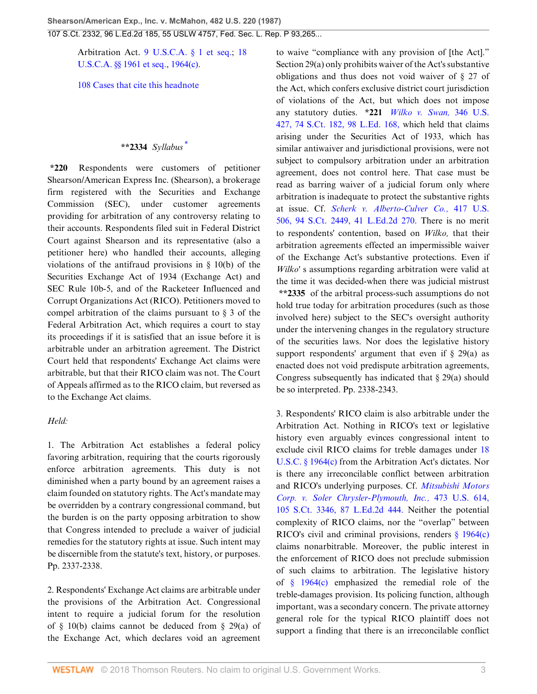Arbitration Act. [9 U.S.C.A. § 1 et seq.](http://www.westlaw.com/Link/Document/FullText?findType=L&pubNum=1000546&cite=9USCAS1&originatingDoc=Ic1e348109c1e11d991d0cc6b54f12d4d&refType=LQ&originationContext=document&vr=3.0&rs=cblt1.0&transitionType=DocumentItem&contextData=(sc.UserEnteredCitation)); [18](http://www.westlaw.com/Link/Document/FullText?findType=L&pubNum=1000546&cite=18USCAS1961&originatingDoc=Ic1e348109c1e11d991d0cc6b54f12d4d&refType=LQ&originationContext=document&vr=3.0&rs=cblt1.0&transitionType=DocumentItem&contextData=(sc.UserEnteredCitation)) [U.S.C.A. §§ 1961 et seq.,](http://www.westlaw.com/Link/Document/FullText?findType=L&pubNum=1000546&cite=18USCAS1961&originatingDoc=Ic1e348109c1e11d991d0cc6b54f12d4d&refType=LQ&originationContext=document&vr=3.0&rs=cblt1.0&transitionType=DocumentItem&contextData=(sc.UserEnteredCitation)) [1964\(c\)](http://www.westlaw.com/Link/Document/FullText?findType=L&pubNum=1000546&cite=18USCAS1964&originatingDoc=Ic1e348109c1e11d991d0cc6b54f12d4d&refType=RB&originationContext=document&vr=3.0&rs=cblt1.0&transitionType=DocumentItem&contextData=(sc.UserEnteredCitation)#co_pp_4b24000003ba5).

[108 Cases that cite this headnote](http://www.westlaw.com/Link/RelatedInformation/DocHeadnoteLink?docGuid=Ic1e348109c1e11d991d0cc6b54f12d4d&headnoteId=198707082501020091028172607&originationContext=document&vr=3.0&rs=cblt1.0&transitionType=CitingReferences&contextData=(sc.UserEnteredCitation))

## <span id="page-2-0"></span>**\*\*2334** *Syllabus* [\\*](#page-19-0)

**\*220** Respondents were customers of petitioner Shearson/American Express Inc. (Shearson), a brokerage firm registered with the Securities and Exchange Commission (SEC), under customer agreements providing for arbitration of any controversy relating to their accounts. Respondents filed suit in Federal District Court against Shearson and its representative (also a petitioner here) who handled their accounts, alleging violations of the antifraud provisions in  $\S$  10(b) of the Securities Exchange Act of 1934 (Exchange Act) and SEC Rule 10b-5, and of the Racketeer Influenced and Corrupt Organizations Act (RICO). Petitioners moved to compel arbitration of the claims pursuant to  $\S$  3 of the Federal Arbitration Act, which requires a court to stay its proceedings if it is satisfied that an issue before it is arbitrable under an arbitration agreement. The District Court held that respondents' Exchange Act claims were arbitrable, but that their RICO claim was not. The Court of Appeals affirmed as to the RICO claim, but reversed as to the Exchange Act claims.

#### *Held:*

1. The Arbitration Act establishes a federal policy favoring arbitration, requiring that the courts rigorously enforce arbitration agreements. This duty is not diminished when a party bound by an agreement raises a claim founded on statutory rights. The Act's mandate may be overridden by a contrary congressional command, but the burden is on the party opposing arbitration to show that Congress intended to preclude a waiver of judicial remedies for the statutory rights at issue. Such intent may be discernible from the statute's text, history, or purposes. Pp. 2337-2338.

2. Respondents' Exchange Act claims are arbitrable under the provisions of the Arbitration Act. Congressional intent to require a judicial forum for the resolution of  $\S$  10(b) claims cannot be deduced from  $\S$  29(a) of the Exchange Act, which declares void an agreement

to waive "compliance with any provision of [the Act]." Section 29(a) only prohibits waiver of the Act's substantive obligations and thus does not void waiver of § 27 of the Act, which confers exclusive district court jurisdiction of violations of the Act, but which does not impose any statutory duties. **\*221** *[Wilko v. Swan,](http://www.westlaw.com/Link/Document/FullText?findType=Y&serNum=1953121062&pubNum=708&originatingDoc=Ic1e348109c1e11d991d0cc6b54f12d4d&refType=RP&originationContext=document&vr=3.0&rs=cblt1.0&transitionType=DocumentItem&contextData=(sc.UserEnteredCitation))* 346 U.S. [427, 74 S.Ct. 182, 98 L.Ed. 168,](http://www.westlaw.com/Link/Document/FullText?findType=Y&serNum=1953121062&pubNum=708&originatingDoc=Ic1e348109c1e11d991d0cc6b54f12d4d&refType=RP&originationContext=document&vr=3.0&rs=cblt1.0&transitionType=DocumentItem&contextData=(sc.UserEnteredCitation)) which held that claims arising under the Securities Act of 1933, which has similar antiwaiver and jurisdictional provisions, were not subject to compulsory arbitration under an arbitration agreement, does not control here. That case must be read as barring waiver of a judicial forum only where arbitration is inadequate to protect the substantive rights at issue. Cf. *[Scherk v. Alberto-Culver Co.,](http://www.westlaw.com/Link/Document/FullText?findType=Y&serNum=1974127217&pubNum=708&originatingDoc=Ic1e348109c1e11d991d0cc6b54f12d4d&refType=RP&originationContext=document&vr=3.0&rs=cblt1.0&transitionType=DocumentItem&contextData=(sc.UserEnteredCitation))* 417 U.S. [506, 94 S.Ct. 2449, 41 L.Ed.2d 270.](http://www.westlaw.com/Link/Document/FullText?findType=Y&serNum=1974127217&pubNum=708&originatingDoc=Ic1e348109c1e11d991d0cc6b54f12d4d&refType=RP&originationContext=document&vr=3.0&rs=cblt1.0&transitionType=DocumentItem&contextData=(sc.UserEnteredCitation)) There is no merit to respondents' contention, based on *Wilko,* that their arbitration agreements effected an impermissible waiver of the Exchange Act's substantive protections. Even if *Wilko'* s assumptions regarding arbitration were valid at the time it was decided-when there was judicial mistrust **\*\*2335** of the arbitral process-such assumptions do not hold true today for arbitration procedures (such as those involved here) subject to the SEC's oversight authority under the intervening changes in the regulatory structure of the securities laws. Nor does the legislative history support respondents' argument that even if  $\S$  29(a) as enacted does not void predispute arbitration agreements, Congress subsequently has indicated that § 29(a) should be so interpreted. Pp. 2338-2343.

3. Respondents' RICO claim is also arbitrable under the Arbitration Act. Nothing in RICO's text or legislative history even arguably evinces congressional intent to exclude civil RICO claims for treble damages under [18](http://www.westlaw.com/Link/Document/FullText?findType=L&pubNum=1000546&cite=18USCAS1964&originatingDoc=Ic1e348109c1e11d991d0cc6b54f12d4d&refType=RB&originationContext=document&vr=3.0&rs=cblt1.0&transitionType=DocumentItem&contextData=(sc.UserEnteredCitation)#co_pp_4b24000003ba5) [U.S.C. § 1964\(c\)](http://www.westlaw.com/Link/Document/FullText?findType=L&pubNum=1000546&cite=18USCAS1964&originatingDoc=Ic1e348109c1e11d991d0cc6b54f12d4d&refType=RB&originationContext=document&vr=3.0&rs=cblt1.0&transitionType=DocumentItem&contextData=(sc.UserEnteredCitation)#co_pp_4b24000003ba5) from the Arbitration Act's dictates. Nor is there any irreconcilable conflict between arbitration and RICO's underlying purposes. Cf. *[Mitsubishi Motors](http://www.westlaw.com/Link/Document/FullText?findType=Y&serNum=1985133734&pubNum=708&originatingDoc=Ic1e348109c1e11d991d0cc6b54f12d4d&refType=RP&originationContext=document&vr=3.0&rs=cblt1.0&transitionType=DocumentItem&contextData=(sc.UserEnteredCitation)) [Corp. v. Soler Chrysler-Plymouth, Inc.,](http://www.westlaw.com/Link/Document/FullText?findType=Y&serNum=1985133734&pubNum=708&originatingDoc=Ic1e348109c1e11d991d0cc6b54f12d4d&refType=RP&originationContext=document&vr=3.0&rs=cblt1.0&transitionType=DocumentItem&contextData=(sc.UserEnteredCitation))* 473 U.S. 614, [105 S.Ct. 3346, 87 L.Ed.2d 444.](http://www.westlaw.com/Link/Document/FullText?findType=Y&serNum=1985133734&pubNum=708&originatingDoc=Ic1e348109c1e11d991d0cc6b54f12d4d&refType=RP&originationContext=document&vr=3.0&rs=cblt1.0&transitionType=DocumentItem&contextData=(sc.UserEnteredCitation)) Neither the potential complexity of RICO claims, nor the "overlap" between RICO's civil and criminal provisions, renders [§ 1964\(c\)](http://www.westlaw.com/Link/Document/FullText?findType=L&pubNum=1000546&cite=18USCAS1964&originatingDoc=Ic1e348109c1e11d991d0cc6b54f12d4d&refType=RB&originationContext=document&vr=3.0&rs=cblt1.0&transitionType=DocumentItem&contextData=(sc.UserEnteredCitation)#co_pp_4b24000003ba5) claims nonarbitrable. Moreover, the public interest in the enforcement of RICO does not preclude submission of such claims to arbitration. The legislative history of [§ 1964\(c\)](http://www.westlaw.com/Link/Document/FullText?findType=L&pubNum=1000546&cite=18USCAS1964&originatingDoc=Ic1e348109c1e11d991d0cc6b54f12d4d&refType=RB&originationContext=document&vr=3.0&rs=cblt1.0&transitionType=DocumentItem&contextData=(sc.UserEnteredCitation)#co_pp_4b24000003ba5) emphasized the remedial role of the treble-damages provision. Its policing function, although important, was a secondary concern. The private attorney general role for the typical RICO plaintiff does not support a finding that there is an irreconcilable conflict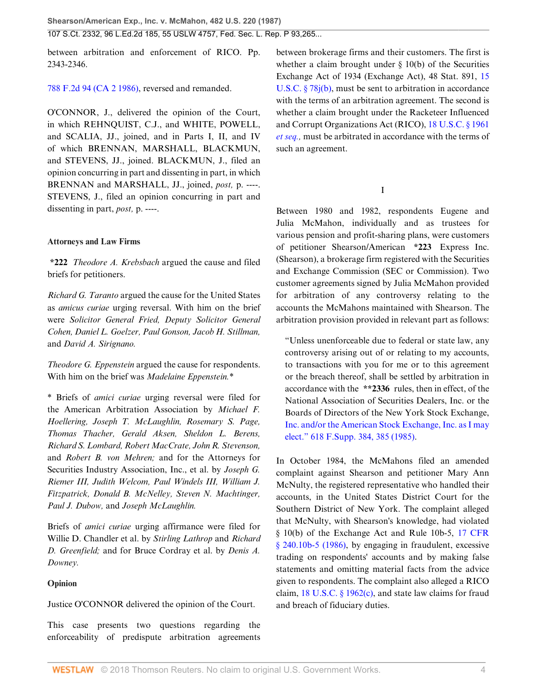between arbitration and enforcement of RICO. Pp. 2343-2346.

## [788 F.2d 94 \(CA 2 1986\),](http://www.westlaw.com/Link/Document/FullText?findType=Y&serNum=1986120255&pubNum=350&originatingDoc=Ic1e348109c1e11d991d0cc6b54f12d4d&refType=RP&originationContext=document&vr=3.0&rs=cblt1.0&transitionType=DocumentItem&contextData=(sc.UserEnteredCitation)) reversed and remanded.

O'CONNOR, J., delivered the opinion of the Court, in which REHNQUIST, C.J., and WHITE, POWELL, and SCALIA, JJ., joined, and in Parts I, II, and IV of which BRENNAN, MARSHALL, BLACKMUN, and STEVENS, JJ., joined. BLACKMUN, J., filed an opinion concurring in part and dissenting in part, in which BRENNAN and MARSHALL, JJ., joined, *post,* p. ----. STEVENS, J., filed an opinion concurring in part and dissenting in part, *post,* p. ----.

### **Attorneys and Law Firms**

**\*222** *Theodore A. Krebsbach* argued the cause and filed briefs for petitioners.

*Richard G. Taranto* argued the cause for the United States as *amicus curiae* urging reversal. With him on the brief were *Solicitor General Fried, Deputy Solicitor General Cohen, Daniel L. Goelzer, Paul Gonson, Jacob H. Stillman,* and *David A. Sirignano.*

*Theodore G. Eppenstein* argued the cause for respondents. With him on the brief was *Madelaine Eppenstein.*\*

\* Briefs of *amici curiae* urging reversal were filed for the American Arbitration Association by *Michael F. Hoellering, Joseph T. McLaughlin, Rosemary S. Page, Thomas Thacher, Gerald Aksen, Sheldon L. Berens, Richard S. Lombard, Robert MacCrate, John R. Stevenson,* and *Robert B. von Mehren;* and for the Attorneys for Securities Industry Association, Inc., et al. by *Joseph G. Riemer III, Judith Welcom, Paul Windels III, William J. Fitzpatrick, Donald B. McNelley, Steven N. Machtinger, Paul J. Dubow,* and *Joseph McLaughlin.*

Briefs of *amici curiae* urging affirmance were filed for Willie D. Chandler et al. by *Stirling Lathrop* and *Richard D. Greenfield;* and for Bruce Cordray et al. by *Denis A. Downey.*

## **Opinion**

Justice O'CONNOR delivered the opinion of the Court.

This case presents two questions regarding the enforceability of predispute arbitration agreements between brokerage firms and their customers. The first is whether a claim brought under  $\S$  10(b) of the Securities Exchange Act of 1934 (Exchange Act), 48 Stat. 891, [15](http://www.westlaw.com/Link/Document/FullText?findType=L&pubNum=1000546&cite=15USCAS78J&originatingDoc=Ic1e348109c1e11d991d0cc6b54f12d4d&refType=RB&originationContext=document&vr=3.0&rs=cblt1.0&transitionType=DocumentItem&contextData=(sc.UserEnteredCitation)#co_pp_a83b000018c76) [U.S.C. § 78j\(b\),](http://www.westlaw.com/Link/Document/FullText?findType=L&pubNum=1000546&cite=15USCAS78J&originatingDoc=Ic1e348109c1e11d991d0cc6b54f12d4d&refType=RB&originationContext=document&vr=3.0&rs=cblt1.0&transitionType=DocumentItem&contextData=(sc.UserEnteredCitation)#co_pp_a83b000018c76) must be sent to arbitration in accordance with the terms of an arbitration agreement. The second is whether a claim brought under the Racketeer Influenced and Corrupt Organizations Act (RICO), [18 U.S.C. § 1961](http://www.westlaw.com/Link/Document/FullText?findType=L&pubNum=1000546&cite=18USCAS1961&originatingDoc=Ic1e348109c1e11d991d0cc6b54f12d4d&refType=LQ&originationContext=document&vr=3.0&rs=cblt1.0&transitionType=DocumentItem&contextData=(sc.UserEnteredCitation)) *[et seq.,](http://www.westlaw.com/Link/Document/FullText?findType=L&pubNum=1000546&cite=18USCAS1961&originatingDoc=Ic1e348109c1e11d991d0cc6b54f12d4d&refType=LQ&originationContext=document&vr=3.0&rs=cblt1.0&transitionType=DocumentItem&contextData=(sc.UserEnteredCitation))* must be arbitrated in accordance with the terms of such an agreement.

I

Between 1980 and 1982, respondents Eugene and Julia McMahon, individually and as trustees for various pension and profit-sharing plans, were customers of petitioner Shearson/American **\*223** Express Inc. (Shearson), a brokerage firm registered with the Securities and Exchange Commission (SEC or Commission). Two customer agreements signed by Julia McMahon provided for arbitration of any controversy relating to the accounts the McMahons maintained with Shearson. The arbitration provision provided in relevant part as follows:

"Unless unenforceable due to federal or state law, any controversy arising out of or relating to my accounts, to transactions with you for me or to this agreement or the breach thereof, shall be settled by arbitration in accordance with the **\*\*2336** rules, then in effect, of the National Association of Securities Dealers, Inc. or the Boards of Directors of the New York Stock Exchange, [Inc. and/or the American Stock Exchange, Inc. as I may](http://www.westlaw.com/Link/Document/FullText?findType=Y&serNum=1985147757&pubNum=345&originatingDoc=Ic1e348109c1e11d991d0cc6b54f12d4d&refType=RP&fi=co_pp_sp_345_385&originationContext=document&vr=3.0&rs=cblt1.0&transitionType=DocumentItem&contextData=(sc.UserEnteredCitation)#co_pp_sp_345_385) [elect." 618 F.Supp. 384, 385 \(1985\).](http://www.westlaw.com/Link/Document/FullText?findType=Y&serNum=1985147757&pubNum=345&originatingDoc=Ic1e348109c1e11d991d0cc6b54f12d4d&refType=RP&fi=co_pp_sp_345_385&originationContext=document&vr=3.0&rs=cblt1.0&transitionType=DocumentItem&contextData=(sc.UserEnteredCitation)#co_pp_sp_345_385)

In October 1984, the McMahons filed an amended complaint against Shearson and petitioner Mary Ann McNulty, the registered representative who handled their accounts, in the United States District Court for the Southern District of New York. The complaint alleged that McNulty, with Shearson's knowledge, had violated § 10(b) of the Exchange Act and Rule 10b-5, [17 CFR](http://www.westlaw.com/Link/Document/FullText?findType=L&pubNum=1000547&cite=17CFRS240.10B-5&originatingDoc=Ic1e348109c1e11d991d0cc6b54f12d4d&refType=LQ&originationContext=document&vr=3.0&rs=cblt1.0&transitionType=DocumentItem&contextData=(sc.UserEnteredCitation)) [§ 240.10b-5 \(1986\),](http://www.westlaw.com/Link/Document/FullText?findType=L&pubNum=1000547&cite=17CFRS240.10B-5&originatingDoc=Ic1e348109c1e11d991d0cc6b54f12d4d&refType=LQ&originationContext=document&vr=3.0&rs=cblt1.0&transitionType=DocumentItem&contextData=(sc.UserEnteredCitation)) by engaging in fraudulent, excessive trading on respondents' accounts and by making false statements and omitting material facts from the advice given to respondents. The complaint also alleged a RICO claim, [18 U.S.C. § 1962\(c\)](http://www.westlaw.com/Link/Document/FullText?findType=L&pubNum=1000546&cite=18USCAS1962&originatingDoc=Ic1e348109c1e11d991d0cc6b54f12d4d&refType=RB&originationContext=document&vr=3.0&rs=cblt1.0&transitionType=DocumentItem&contextData=(sc.UserEnteredCitation)#co_pp_4b24000003ba5), and state law claims for fraud and breach of fiduciary duties.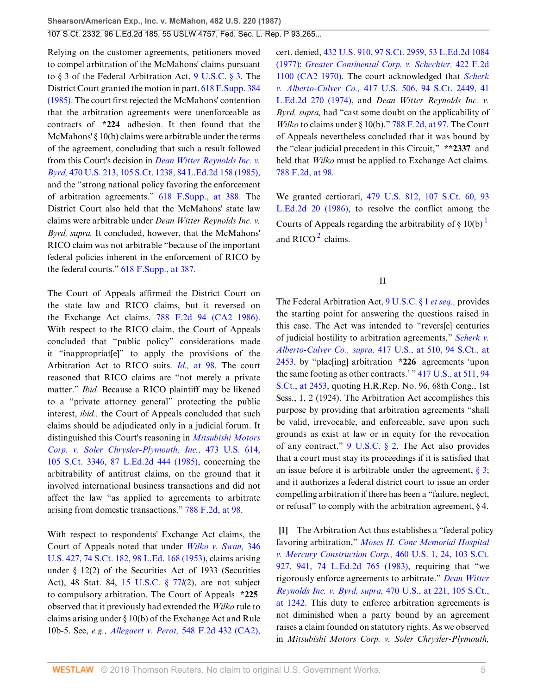Relying on the customer agreements, petitioners moved to compel arbitration of the McMahons' claims pursuant to § 3 of the Federal Arbitration Act, [9 U.S.C. § 3](http://www.westlaw.com/Link/Document/FullText?findType=L&pubNum=1000546&cite=9USCAS3&originatingDoc=Ic1e348109c1e11d991d0cc6b54f12d4d&refType=LQ&originationContext=document&vr=3.0&rs=cblt1.0&transitionType=DocumentItem&contextData=(sc.UserEnteredCitation)). The District Court granted the motion in part. [618 F.Supp. 384](http://www.westlaw.com/Link/Document/FullText?findType=Y&serNum=1985147757&pubNum=345&originatingDoc=Ic1e348109c1e11d991d0cc6b54f12d4d&refType=RP&originationContext=document&vr=3.0&rs=cblt1.0&transitionType=DocumentItem&contextData=(sc.UserEnteredCitation)) [\(1985\).](http://www.westlaw.com/Link/Document/FullText?findType=Y&serNum=1985147757&pubNum=345&originatingDoc=Ic1e348109c1e11d991d0cc6b54f12d4d&refType=RP&originationContext=document&vr=3.0&rs=cblt1.0&transitionType=DocumentItem&contextData=(sc.UserEnteredCitation)) The court first rejected the McMahons' contention that the arbitration agreements were unenforceable as contracts of **\*224** adhesion. It then found that the McMahons' § 10(b) claims were arbitrable under the terms of the agreement, concluding that such a result followed from this Court's decision in *[Dean Witter Reynolds Inc. v.](http://www.westlaw.com/Link/Document/FullText?findType=Y&serNum=1985110908&pubNum=708&originatingDoc=Ic1e348109c1e11d991d0cc6b54f12d4d&refType=RP&originationContext=document&vr=3.0&rs=cblt1.0&transitionType=DocumentItem&contextData=(sc.UserEnteredCitation)) Byrd,* [470 U.S. 213, 105 S.Ct. 1238, 84 L.Ed.2d 158 \(1985\)](http://www.westlaw.com/Link/Document/FullText?findType=Y&serNum=1985110908&pubNum=708&originatingDoc=Ic1e348109c1e11d991d0cc6b54f12d4d&refType=RP&originationContext=document&vr=3.0&rs=cblt1.0&transitionType=DocumentItem&contextData=(sc.UserEnteredCitation)), and the "strong national policy favoring the enforcement of arbitration agreements." [618 F.Supp., at 388.](http://www.westlaw.com/Link/Document/FullText?findType=Y&serNum=1985147757&pubNum=345&originatingDoc=Ic1e348109c1e11d991d0cc6b54f12d4d&refType=RP&fi=co_pp_sp_345_388&originationContext=document&vr=3.0&rs=cblt1.0&transitionType=DocumentItem&contextData=(sc.UserEnteredCitation)#co_pp_sp_345_388) The District Court also held that the McMahons' state law claims were arbitrable under *Dean Witter Reynolds Inc. v. Byrd, supra.* It concluded, however, that the McMahons' RICO claim was not arbitrable "because of the important federal policies inherent in the enforcement of RICO by the federal courts." [618 F.Supp., at 387.](http://www.westlaw.com/Link/Document/FullText?findType=Y&serNum=1985147757&pubNum=345&originatingDoc=Ic1e348109c1e11d991d0cc6b54f12d4d&refType=RP&fi=co_pp_sp_345_387&originationContext=document&vr=3.0&rs=cblt1.0&transitionType=DocumentItem&contextData=(sc.UserEnteredCitation)#co_pp_sp_345_387)

The Court of Appeals affirmed the District Court on the state law and RICO claims, but it reversed on the Exchange Act claims. [788 F.2d 94 \(CA2 1986\)](http://www.westlaw.com/Link/Document/FullText?findType=Y&serNum=1986120255&pubNum=350&originatingDoc=Ic1e348109c1e11d991d0cc6b54f12d4d&refType=RP&originationContext=document&vr=3.0&rs=cblt1.0&transitionType=DocumentItem&contextData=(sc.UserEnteredCitation)). With respect to the RICO claim, the Court of Appeals concluded that "public policy" considerations made it "inappropriat[e]" to apply the provisions of the Arbitration Act to RICO suits. *Id.,* [at 98.](http://www.westlaw.com/Link/Document/FullText?findType=Y&serNum=1986120255&originatingDoc=Ic1e348109c1e11d991d0cc6b54f12d4d&refType=RP&originationContext=document&vr=3.0&rs=cblt1.0&transitionType=DocumentItem&contextData=(sc.UserEnteredCitation)) The court reasoned that RICO claims are "not merely a private matter." *Ibid.* Because a RICO plaintiff may be likened to a "private attorney general" protecting the public interest, *ibid.,* the Court of Appeals concluded that such claims should be adjudicated only in a judicial forum. It distinguished this Court's reasoning in *[Mitsubishi Motors](http://www.westlaw.com/Link/Document/FullText?findType=Y&serNum=1985133734&pubNum=708&originatingDoc=Ic1e348109c1e11d991d0cc6b54f12d4d&refType=RP&originationContext=document&vr=3.0&rs=cblt1.0&transitionType=DocumentItem&contextData=(sc.UserEnteredCitation)) [Corp. v. Soler Chrysler-Plymouth, Inc.,](http://www.westlaw.com/Link/Document/FullText?findType=Y&serNum=1985133734&pubNum=708&originatingDoc=Ic1e348109c1e11d991d0cc6b54f12d4d&refType=RP&originationContext=document&vr=3.0&rs=cblt1.0&transitionType=DocumentItem&contextData=(sc.UserEnteredCitation))* 473 U.S. 614, [105 S.Ct. 3346, 87 L.Ed.2d 444 \(1985\),](http://www.westlaw.com/Link/Document/FullText?findType=Y&serNum=1985133734&pubNum=708&originatingDoc=Ic1e348109c1e11d991d0cc6b54f12d4d&refType=RP&originationContext=document&vr=3.0&rs=cblt1.0&transitionType=DocumentItem&contextData=(sc.UserEnteredCitation)) concerning the arbitrability of antitrust claims, on the ground that it involved international business transactions and did not affect the law "as applied to agreements to arbitrate arising from domestic transactions." [788 F.2d, at 98](http://www.westlaw.com/Link/Document/FullText?findType=Y&serNum=1986120255&pubNum=350&originatingDoc=Ic1e348109c1e11d991d0cc6b54f12d4d&refType=RP&fi=co_pp_sp_350_98&originationContext=document&vr=3.0&rs=cblt1.0&transitionType=DocumentItem&contextData=(sc.UserEnteredCitation)#co_pp_sp_350_98).

With respect to respondents' Exchange Act claims, the Court of Appeals noted that under *[Wilko v. Swan,](http://www.westlaw.com/Link/Document/FullText?findType=Y&serNum=1953121062&pubNum=708&originatingDoc=Ic1e348109c1e11d991d0cc6b54f12d4d&refType=RP&originationContext=document&vr=3.0&rs=cblt1.0&transitionType=DocumentItem&contextData=(sc.UserEnteredCitation))* 346 [U.S. 427, 74 S.Ct. 182, 98 L.Ed. 168 \(1953\)](http://www.westlaw.com/Link/Document/FullText?findType=Y&serNum=1953121062&pubNum=708&originatingDoc=Ic1e348109c1e11d991d0cc6b54f12d4d&refType=RP&originationContext=document&vr=3.0&rs=cblt1.0&transitionType=DocumentItem&contextData=(sc.UserEnteredCitation)), claims arising under  $\S$  12(2) of the Securities Act of 1933 (Securities Act), 48 Stat. 84, [15 U.S.C. § 77](http://www.westlaw.com/Link/Document/FullText?findType=L&pubNum=1000546&cite=15USCAS77L&originatingDoc=Ic1e348109c1e11d991d0cc6b54f12d4d&refType=LQ&originationContext=document&vr=3.0&rs=cblt1.0&transitionType=DocumentItem&contextData=(sc.UserEnteredCitation))*l*(2), are not subject to compulsory arbitration. The Court of Appeals **\*225** observed that it previously had extended the *Wilko* rule to claims arising under § 10(b) of the Exchange Act and Rule 10b-5. See, *e.g., Allegaert v. Perot,* [548 F.2d 432 \(CA2\),](http://www.westlaw.com/Link/Document/FullText?findType=Y&serNum=1977103750&pubNum=350&originatingDoc=Ic1e348109c1e11d991d0cc6b54f12d4d&refType=RP&originationContext=document&vr=3.0&rs=cblt1.0&transitionType=DocumentItem&contextData=(sc.UserEnteredCitation)) cert. denied, [432 U.S. 910, 97 S.Ct. 2959, 53 L.Ed.2d 1084](http://www.westlaw.com/Link/Document/FullText?findType=Y&serNum=1977227221&pubNum=708&originatingDoc=Ic1e348109c1e11d991d0cc6b54f12d4d&refType=RP&originationContext=document&vr=3.0&rs=cblt1.0&transitionType=DocumentItem&contextData=(sc.UserEnteredCitation)) [\(1977\);](http://www.westlaw.com/Link/Document/FullText?findType=Y&serNum=1977227221&pubNum=708&originatingDoc=Ic1e348109c1e11d991d0cc6b54f12d4d&refType=RP&originationContext=document&vr=3.0&rs=cblt1.0&transitionType=DocumentItem&contextData=(sc.UserEnteredCitation)) *[Greater Continental Corp. v. Schechter,](http://www.westlaw.com/Link/Document/FullText?findType=Y&serNum=1970116986&pubNum=350&originatingDoc=Ic1e348109c1e11d991d0cc6b54f12d4d&refType=RP&originationContext=document&vr=3.0&rs=cblt1.0&transitionType=DocumentItem&contextData=(sc.UserEnteredCitation))* 422 F.2d [1100 \(CA2 1970\)](http://www.westlaw.com/Link/Document/FullText?findType=Y&serNum=1970116986&pubNum=350&originatingDoc=Ic1e348109c1e11d991d0cc6b54f12d4d&refType=RP&originationContext=document&vr=3.0&rs=cblt1.0&transitionType=DocumentItem&contextData=(sc.UserEnteredCitation)). The court acknowledged that *[Scherk](http://www.westlaw.com/Link/Document/FullText?findType=Y&serNum=1974127217&pubNum=708&originatingDoc=Ic1e348109c1e11d991d0cc6b54f12d4d&refType=RP&originationContext=document&vr=3.0&rs=cblt1.0&transitionType=DocumentItem&contextData=(sc.UserEnteredCitation)) v. Alberto-Culver Co.,* [417 U.S. 506, 94 S.Ct. 2449, 41](http://www.westlaw.com/Link/Document/FullText?findType=Y&serNum=1974127217&pubNum=708&originatingDoc=Ic1e348109c1e11d991d0cc6b54f12d4d&refType=RP&originationContext=document&vr=3.0&rs=cblt1.0&transitionType=DocumentItem&contextData=(sc.UserEnteredCitation)) [L.Ed.2d 270 \(1974\),](http://www.westlaw.com/Link/Document/FullText?findType=Y&serNum=1974127217&pubNum=708&originatingDoc=Ic1e348109c1e11d991d0cc6b54f12d4d&refType=RP&originationContext=document&vr=3.0&rs=cblt1.0&transitionType=DocumentItem&contextData=(sc.UserEnteredCitation)) and *Dean Witter Reynolds Inc. v. Byrd, supra,* had "cast some doubt on the applicability of *Wilko* to claims under § 10(b)." [788 F.2d, at 97.](http://www.westlaw.com/Link/Document/FullText?findType=Y&serNum=1986120255&pubNum=350&originatingDoc=Ic1e348109c1e11d991d0cc6b54f12d4d&refType=RP&fi=co_pp_sp_350_97&originationContext=document&vr=3.0&rs=cblt1.0&transitionType=DocumentItem&contextData=(sc.UserEnteredCitation)#co_pp_sp_350_97) The Court of Appeals nevertheless concluded that it was bound by the "clear judicial precedent in this Circuit," **\*\*2337** and held that *Wilko* must be applied to Exchange Act claims. [788 F.2d, at 98](http://www.westlaw.com/Link/Document/FullText?findType=Y&serNum=1986120255&pubNum=350&originatingDoc=Ic1e348109c1e11d991d0cc6b54f12d4d&refType=RP&fi=co_pp_sp_350_98&originationContext=document&vr=3.0&rs=cblt1.0&transitionType=DocumentItem&contextData=(sc.UserEnteredCitation)#co_pp_sp_350_98).

<span id="page-4-2"></span>We granted certiorari, [479 U.S. 812, 107 S.Ct. 60, 93](http://www.westlaw.com/Link/Document/FullText?findType=Y&serNum=1986252798&pubNum=708&originatingDoc=Ic1e348109c1e11d991d0cc6b54f12d4d&refType=RP&originationContext=document&vr=3.0&rs=cblt1.0&transitionType=DocumentItem&contextData=(sc.UserEnteredCitation)) [L.Ed.2d 20 \(1986\)](http://www.westlaw.com/Link/Document/FullText?findType=Y&serNum=1986252798&pubNum=708&originatingDoc=Ic1e348109c1e11d991d0cc6b54f12d4d&refType=RP&originationContext=document&vr=3.0&rs=cblt1.0&transitionType=DocumentItem&contextData=(sc.UserEnteredCitation)), to resolve the conflict among the Courts of Appeals regarding the arbitrability of  $\S$  [1](#page-19-1)0(b)<sup>1</sup> and RICO $^2$  $^2$  claims.

<span id="page-4-1"></span>II

The Federal Arbitration Act, [9 U.S.C. § 1](http://www.westlaw.com/Link/Document/FullText?findType=L&pubNum=1000546&cite=9USCAS1&originatingDoc=Ic1e348109c1e11d991d0cc6b54f12d4d&refType=LQ&originationContext=document&vr=3.0&rs=cblt1.0&transitionType=DocumentItem&contextData=(sc.UserEnteredCitation)) *et seq.,* provides the starting point for answering the questions raised in this case. The Act was intended to "revers[e] centuries of judicial hostility to arbitration agreements," *[Scherk v.](http://www.westlaw.com/Link/Document/FullText?findType=Y&serNum=1974127217&pubNum=708&originatingDoc=Ic1e348109c1e11d991d0cc6b54f12d4d&refType=RP&fi=co_pp_sp_708_2453&originationContext=document&vr=3.0&rs=cblt1.0&transitionType=DocumentItem&contextData=(sc.UserEnteredCitation)#co_pp_sp_708_2453) Alberto-Culver Co., supra,* [417 U.S., at 510, 94 S.Ct., at](http://www.westlaw.com/Link/Document/FullText?findType=Y&serNum=1974127217&pubNum=708&originatingDoc=Ic1e348109c1e11d991d0cc6b54f12d4d&refType=RP&fi=co_pp_sp_708_2453&originationContext=document&vr=3.0&rs=cblt1.0&transitionType=DocumentItem&contextData=(sc.UserEnteredCitation)#co_pp_sp_708_2453) [2453,](http://www.westlaw.com/Link/Document/FullText?findType=Y&serNum=1974127217&pubNum=708&originatingDoc=Ic1e348109c1e11d991d0cc6b54f12d4d&refType=RP&fi=co_pp_sp_708_2453&originationContext=document&vr=3.0&rs=cblt1.0&transitionType=DocumentItem&contextData=(sc.UserEnteredCitation)#co_pp_sp_708_2453) by "plac[ing] arbitration **\*226** agreements 'upon the same footing as other contracts.' " [417 U.S., at 511, 94](http://www.westlaw.com/Link/Document/FullText?findType=Y&serNum=1974127217&pubNum=708&originatingDoc=Ic1e348109c1e11d991d0cc6b54f12d4d&refType=RP&fi=co_pp_sp_708_2453&originationContext=document&vr=3.0&rs=cblt1.0&transitionType=DocumentItem&contextData=(sc.UserEnteredCitation)#co_pp_sp_708_2453) [S.Ct., at 2453,](http://www.westlaw.com/Link/Document/FullText?findType=Y&serNum=1974127217&pubNum=708&originatingDoc=Ic1e348109c1e11d991d0cc6b54f12d4d&refType=RP&fi=co_pp_sp_708_2453&originationContext=document&vr=3.0&rs=cblt1.0&transitionType=DocumentItem&contextData=(sc.UserEnteredCitation)#co_pp_sp_708_2453) quoting H.R.Rep. No. 96, 68th Cong., 1st Sess., 1, 2 (1924). The Arbitration Act accomplishes this purpose by providing that arbitration agreements "shall be valid, irrevocable, and enforceable, save upon such grounds as exist at law or in equity for the revocation of any contract." [9 U.S.C. § 2](http://www.westlaw.com/Link/Document/FullText?findType=L&pubNum=1000546&cite=9USCAS2&originatingDoc=Ic1e348109c1e11d991d0cc6b54f12d4d&refType=LQ&originationContext=document&vr=3.0&rs=cblt1.0&transitionType=DocumentItem&contextData=(sc.UserEnteredCitation)). The Act also provides that a court must stay its proceedings if it is satisfied that an issue before it is arbitrable under the agreement,  $\S$  3; and it authorizes a federal district court to issue an order compelling arbitration if there has been a "failure, neglect, or refusal" to comply with the arbitration agreement, § 4.

<span id="page-4-0"></span>**[\[1](#page-0-0)]** The Arbitration Act thus establishes a "federal policy favoring arbitration," *[Moses H. Cone Memorial Hospital](http://www.westlaw.com/Link/Document/FullText?findType=Y&serNum=1983109286&pubNum=708&originatingDoc=Ic1e348109c1e11d991d0cc6b54f12d4d&refType=RP&fi=co_pp_sp_708_941&originationContext=document&vr=3.0&rs=cblt1.0&transitionType=DocumentItem&contextData=(sc.UserEnteredCitation)#co_pp_sp_708_941) [v. Mercury Construction Corp.,](http://www.westlaw.com/Link/Document/FullText?findType=Y&serNum=1983109286&pubNum=708&originatingDoc=Ic1e348109c1e11d991d0cc6b54f12d4d&refType=RP&fi=co_pp_sp_708_941&originationContext=document&vr=3.0&rs=cblt1.0&transitionType=DocumentItem&contextData=(sc.UserEnteredCitation)#co_pp_sp_708_941)* 460 U.S. 1, 24, 103 S.Ct. [927, 941, 74 L.Ed.2d 765 \(1983\)](http://www.westlaw.com/Link/Document/FullText?findType=Y&serNum=1983109286&pubNum=708&originatingDoc=Ic1e348109c1e11d991d0cc6b54f12d4d&refType=RP&fi=co_pp_sp_708_941&originationContext=document&vr=3.0&rs=cblt1.0&transitionType=DocumentItem&contextData=(sc.UserEnteredCitation)#co_pp_sp_708_941), requiring that "we rigorously enforce agreements to arbitrate." *[Dean Witter](http://www.westlaw.com/Link/Document/FullText?findType=Y&serNum=1985110908&pubNum=708&originatingDoc=Ic1e348109c1e11d991d0cc6b54f12d4d&refType=RP&fi=co_pp_sp_708_1242&originationContext=document&vr=3.0&rs=cblt1.0&transitionType=DocumentItem&contextData=(sc.UserEnteredCitation)#co_pp_sp_708_1242) [Reynolds Inc. v. Byrd, supra,](http://www.westlaw.com/Link/Document/FullText?findType=Y&serNum=1985110908&pubNum=708&originatingDoc=Ic1e348109c1e11d991d0cc6b54f12d4d&refType=RP&fi=co_pp_sp_708_1242&originationContext=document&vr=3.0&rs=cblt1.0&transitionType=DocumentItem&contextData=(sc.UserEnteredCitation)#co_pp_sp_708_1242)* 470 U.S., at 221, 105 S.Ct., [at 1242.](http://www.westlaw.com/Link/Document/FullText?findType=Y&serNum=1985110908&pubNum=708&originatingDoc=Ic1e348109c1e11d991d0cc6b54f12d4d&refType=RP&fi=co_pp_sp_708_1242&originationContext=document&vr=3.0&rs=cblt1.0&transitionType=DocumentItem&contextData=(sc.UserEnteredCitation)#co_pp_sp_708_1242) This duty to enforce arbitration agreements is not diminished when a party bound by an agreement raises a claim founded on statutory rights. As we observed in *Mitsubishi Motors Corp. v. Soler Chrysler-Plymouth,*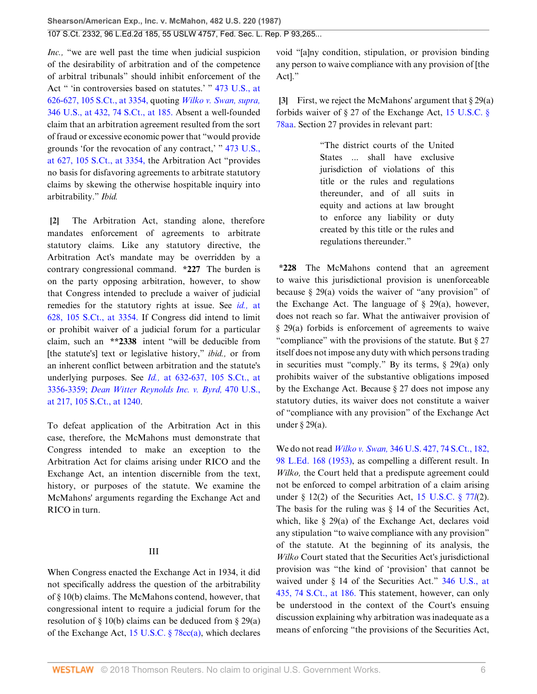*Inc.,* "we are well past the time when judicial suspicion of the desirability of arbitration and of the competence of arbitral tribunals" should inhibit enforcement of the Act " 'in controversies based on statutes.' " [473 U.S., at](http://www.westlaw.com/Link/Document/FullText?findType=Y&serNum=1985133734&pubNum=708&originatingDoc=Ic1e348109c1e11d991d0cc6b54f12d4d&refType=RP&fi=co_pp_sp_708_3354&originationContext=document&vr=3.0&rs=cblt1.0&transitionType=DocumentItem&contextData=(sc.UserEnteredCitation)#co_pp_sp_708_3354) [626-627, 105 S.Ct., at 3354,](http://www.westlaw.com/Link/Document/FullText?findType=Y&serNum=1985133734&pubNum=708&originatingDoc=Ic1e348109c1e11d991d0cc6b54f12d4d&refType=RP&fi=co_pp_sp_708_3354&originationContext=document&vr=3.0&rs=cblt1.0&transitionType=DocumentItem&contextData=(sc.UserEnteredCitation)#co_pp_sp_708_3354) quoting *[Wilko v. Swan, supra,](http://www.westlaw.com/Link/Document/FullText?findType=Y&serNum=1953121062&pubNum=708&originatingDoc=Ic1e348109c1e11d991d0cc6b54f12d4d&refType=RP&fi=co_pp_sp_708_185&originationContext=document&vr=3.0&rs=cblt1.0&transitionType=DocumentItem&contextData=(sc.UserEnteredCitation)#co_pp_sp_708_185)* [346 U.S., at 432, 74 S.Ct., at 185.](http://www.westlaw.com/Link/Document/FullText?findType=Y&serNum=1953121062&pubNum=708&originatingDoc=Ic1e348109c1e11d991d0cc6b54f12d4d&refType=RP&fi=co_pp_sp_708_185&originationContext=document&vr=3.0&rs=cblt1.0&transitionType=DocumentItem&contextData=(sc.UserEnteredCitation)#co_pp_sp_708_185) Absent a well-founded claim that an arbitration agreement resulted from the sort of fraud or excessive economic power that "would provide grounds 'for the revocation of any contract,' " [473 U.S.,](http://www.westlaw.com/Link/Document/FullText?findType=Y&serNum=1985133734&pubNum=708&originatingDoc=Ic1e348109c1e11d991d0cc6b54f12d4d&refType=RP&fi=co_pp_sp_708_3354&originationContext=document&vr=3.0&rs=cblt1.0&transitionType=DocumentItem&contextData=(sc.UserEnteredCitation)#co_pp_sp_708_3354) [at 627, 105 S.Ct., at 3354,](http://www.westlaw.com/Link/Document/FullText?findType=Y&serNum=1985133734&pubNum=708&originatingDoc=Ic1e348109c1e11d991d0cc6b54f12d4d&refType=RP&fi=co_pp_sp_708_3354&originationContext=document&vr=3.0&rs=cblt1.0&transitionType=DocumentItem&contextData=(sc.UserEnteredCitation)#co_pp_sp_708_3354) the Arbitration Act "provides no basis for disfavoring agreements to arbitrate statutory claims by skewing the otherwise hospitable inquiry into arbitrability." *Ibid.*

<span id="page-5-0"></span>**[\[2](#page-0-1)]** The Arbitration Act, standing alone, therefore mandates enforcement of agreements to arbitrate statutory claims. Like any statutory directive, the Arbitration Act's mandate may be overridden by a contrary congressional command. **\*227** The burden is on the party opposing arbitration, however, to show that Congress intended to preclude a waiver of judicial remedies for the statutory rights at issue. See *id.,* [at](http://www.westlaw.com/Link/Document/FullText?findType=Y&serNum=1985133734&pubNum=708&originatingDoc=Ic1e348109c1e11d991d0cc6b54f12d4d&refType=RP&fi=co_pp_sp_708_3354&originationContext=document&vr=3.0&rs=cblt1.0&transitionType=DocumentItem&contextData=(sc.UserEnteredCitation)#co_pp_sp_708_3354) [628, 105 S.Ct., at 3354.](http://www.westlaw.com/Link/Document/FullText?findType=Y&serNum=1985133734&pubNum=708&originatingDoc=Ic1e348109c1e11d991d0cc6b54f12d4d&refType=RP&fi=co_pp_sp_708_3354&originationContext=document&vr=3.0&rs=cblt1.0&transitionType=DocumentItem&contextData=(sc.UserEnteredCitation)#co_pp_sp_708_3354) If Congress did intend to limit or prohibit waiver of a judicial forum for a particular claim, such an **\*\*2338** intent "will be deducible from [the statute's] text or legislative history," *ibid.,* or from an inherent conflict between arbitration and the statute's underlying purposes. See *Id.,* [at 632-637, 105 S.Ct., at](http://www.westlaw.com/Link/Document/FullText?findType=Y&serNum=1985133734&pubNum=708&originatingDoc=Ic1e348109c1e11d991d0cc6b54f12d4d&refType=RP&fi=co_pp_sp_708_3356&originationContext=document&vr=3.0&rs=cblt1.0&transitionType=DocumentItem&contextData=(sc.UserEnteredCitation)#co_pp_sp_708_3356) [3356-3359;](http://www.westlaw.com/Link/Document/FullText?findType=Y&serNum=1985133734&pubNum=708&originatingDoc=Ic1e348109c1e11d991d0cc6b54f12d4d&refType=RP&fi=co_pp_sp_708_3356&originationContext=document&vr=3.0&rs=cblt1.0&transitionType=DocumentItem&contextData=(sc.UserEnteredCitation)#co_pp_sp_708_3356) *[Dean Witter Reynolds Inc. v. Byrd,](http://www.westlaw.com/Link/Document/FullText?findType=Y&serNum=1985110908&pubNum=708&originatingDoc=Ic1e348109c1e11d991d0cc6b54f12d4d&refType=RP&fi=co_pp_sp_708_1240&originationContext=document&vr=3.0&rs=cblt1.0&transitionType=DocumentItem&contextData=(sc.UserEnteredCitation)#co_pp_sp_708_1240)* 470 U.S., [at 217, 105 S.Ct., at 1240](http://www.westlaw.com/Link/Document/FullText?findType=Y&serNum=1985110908&pubNum=708&originatingDoc=Ic1e348109c1e11d991d0cc6b54f12d4d&refType=RP&fi=co_pp_sp_708_1240&originationContext=document&vr=3.0&rs=cblt1.0&transitionType=DocumentItem&contextData=(sc.UserEnteredCitation)#co_pp_sp_708_1240).

To defeat application of the Arbitration Act in this case, therefore, the McMahons must demonstrate that Congress intended to make an exception to the Arbitration Act for claims arising under RICO and the Exchange Act, an intention discernible from the text, history, or purposes of the statute. We examine the McMahons' arguments regarding the Exchange Act and RICO in turn.

## III

When Congress enacted the Exchange Act in 1934, it did not specifically address the question of the arbitrability of § 10(b) claims. The McMahons contend, however, that congressional intent to require a judicial forum for the resolution of § 10(b) claims can be deduced from § 29(a) of the Exchange Act, [15 U.S.C. § 78cc\(a\)](http://www.westlaw.com/Link/Document/FullText?findType=L&pubNum=1000546&cite=15USCAS78CC&originatingDoc=Ic1e348109c1e11d991d0cc6b54f12d4d&refType=RB&originationContext=document&vr=3.0&rs=cblt1.0&transitionType=DocumentItem&contextData=(sc.UserEnteredCitation)#co_pp_8b3b0000958a4), which declares void "[a]ny condition, stipulation, or provision binding any person to waive compliance with any provision of [the Act]."

<span id="page-5-1"></span>**[\[3](#page-0-2)]** First, we reject the McMahons' argument that § 29(a) forbids waiver of § 27 of the Exchange Act, [15 U.S.C. §](http://www.westlaw.com/Link/Document/FullText?findType=L&pubNum=1000546&cite=15USCAS78AA&originatingDoc=Ic1e348109c1e11d991d0cc6b54f12d4d&refType=LQ&originationContext=document&vr=3.0&rs=cblt1.0&transitionType=DocumentItem&contextData=(sc.UserEnteredCitation)) [78aa](http://www.westlaw.com/Link/Document/FullText?findType=L&pubNum=1000546&cite=15USCAS78AA&originatingDoc=Ic1e348109c1e11d991d0cc6b54f12d4d&refType=LQ&originationContext=document&vr=3.0&rs=cblt1.0&transitionType=DocumentItem&contextData=(sc.UserEnteredCitation)). Section 27 provides in relevant part:

> "The district courts of the United States ... shall have exclusive jurisdiction of violations of this title or the rules and regulations thereunder, and of all suits in equity and actions at law brought to enforce any liability or duty created by this title or the rules and regulations thereunder."

**\*228** The McMahons contend that an agreement to waive this jurisdictional provision is unenforceable because § 29(a) voids the waiver of "any provision" of the Exchange Act. The language of  $\S$  29(a), however, does not reach so far. What the antiwaiver provision of § 29(a) forbids is enforcement of agreements to waive "compliance" with the provisions of the statute. But § 27 itself does not impose any duty with which persons trading in securities must "comply." By its terms, § 29(a) only prohibits waiver of the substantive obligations imposed by the Exchange Act. Because § 27 does not impose any statutory duties, its waiver does not constitute a waiver of "compliance with any provision" of the Exchange Act under § 29(a).

We do not read *Wilko v. Swan,* [346 U.S. 427, 74 S.Ct., 182,](http://www.westlaw.com/Link/Document/FullText?findType=Y&serNum=1953121062&pubNum=708&originatingDoc=Ic1e348109c1e11d991d0cc6b54f12d4d&refType=RP&originationContext=document&vr=3.0&rs=cblt1.0&transitionType=DocumentItem&contextData=(sc.UserEnteredCitation)) [98 L.Ed. 168 \(1953\),](http://www.westlaw.com/Link/Document/FullText?findType=Y&serNum=1953121062&pubNum=470&originatingDoc=Ic1e348109c1e11d991d0cc6b54f12d4d&refType=RP&originationContext=document&vr=3.0&rs=cblt1.0&transitionType=DocumentItem&contextData=(sc.UserEnteredCitation)) as compelling a different result. In *Wilko,* the Court held that a predispute agreement could not be enforced to compel arbitration of a claim arising under § 12(2) of the Securities Act, [15 U.S.C. § 77](http://www.westlaw.com/Link/Document/FullText?findType=L&pubNum=1000546&cite=15USCAS77L&originatingDoc=Ic1e348109c1e11d991d0cc6b54f12d4d&refType=LQ&originationContext=document&vr=3.0&rs=cblt1.0&transitionType=DocumentItem&contextData=(sc.UserEnteredCitation))*l*(2). The basis for the ruling was § 14 of the Securities Act, which, like § 29(a) of the Exchange Act, declares void any stipulation "to waive compliance with any provision" of the statute. At the beginning of its analysis, the *Wilko* Court stated that the Securities Act's jurisdictional provision was "the kind of 'provision' that cannot be waived under § 14 of the Securities Act." [346 U.S., at](http://www.westlaw.com/Link/Document/FullText?findType=Y&serNum=1953121062&pubNum=708&originatingDoc=Ic1e348109c1e11d991d0cc6b54f12d4d&refType=RP&fi=co_pp_sp_708_186&originationContext=document&vr=3.0&rs=cblt1.0&transitionType=DocumentItem&contextData=(sc.UserEnteredCitation)#co_pp_sp_708_186) [435, 74 S.Ct., at 186.](http://www.westlaw.com/Link/Document/FullText?findType=Y&serNum=1953121062&pubNum=708&originatingDoc=Ic1e348109c1e11d991d0cc6b54f12d4d&refType=RP&fi=co_pp_sp_708_186&originationContext=document&vr=3.0&rs=cblt1.0&transitionType=DocumentItem&contextData=(sc.UserEnteredCitation)#co_pp_sp_708_186) This statement, however, can only be understood in the context of the Court's ensuing discussion explaining why arbitration was inadequate as a means of enforcing "the provisions of the Securities Act,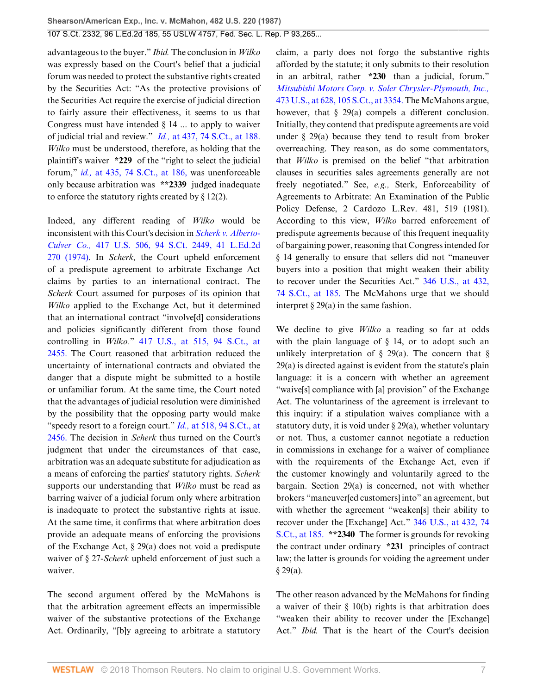advantageous to the buyer." *Ibid.* The conclusion in *Wilko* was expressly based on the Court's belief that a judicial forum was needed to protect the substantive rights created by the Securities Act: "As the protective provisions of the Securities Act require the exercise of judicial direction to fairly assure their effectiveness, it seems to us that Congress must have intended § 14 ... to apply to waiver of judicial trial and review." *Id.,* [at 437, 74 S.Ct., at 188.](http://www.westlaw.com/Link/Document/FullText?findType=Y&serNum=1953121062&pubNum=708&originatingDoc=Ic1e348109c1e11d991d0cc6b54f12d4d&refType=RP&fi=co_pp_sp_708_188&originationContext=document&vr=3.0&rs=cblt1.0&transitionType=DocumentItem&contextData=(sc.UserEnteredCitation)#co_pp_sp_708_188) *Wilko* must be understood, therefore, as holding that the plaintiff's waiver **\*229** of the "right to select the judicial forum," *id.,* [at 435, 74 S.Ct., at 186,](http://www.westlaw.com/Link/Document/FullText?findType=Y&serNum=1953121062&pubNum=708&originatingDoc=Ic1e348109c1e11d991d0cc6b54f12d4d&refType=RP&fi=co_pp_sp_708_186&originationContext=document&vr=3.0&rs=cblt1.0&transitionType=DocumentItem&contextData=(sc.UserEnteredCitation)#co_pp_sp_708_186) was unenforceable only because arbitration was **\*\*2339** judged inadequate to enforce the statutory rights created by § 12(2).

Indeed, any different reading of *Wilko* would be inconsistent with this Court's decision in *[Scherk v. Alberto-](http://www.westlaw.com/Link/Document/FullText?findType=Y&serNum=1974127217&pubNum=708&originatingDoc=Ic1e348109c1e11d991d0cc6b54f12d4d&refType=RP&originationContext=document&vr=3.0&rs=cblt1.0&transitionType=DocumentItem&contextData=(sc.UserEnteredCitation))Culver Co.,* [417 U.S. 506, 94 S.Ct. 2449, 41 L.Ed.2d](http://www.westlaw.com/Link/Document/FullText?findType=Y&serNum=1974127217&pubNum=708&originatingDoc=Ic1e348109c1e11d991d0cc6b54f12d4d&refType=RP&originationContext=document&vr=3.0&rs=cblt1.0&transitionType=DocumentItem&contextData=(sc.UserEnteredCitation)) [270 \(1974\).](http://www.westlaw.com/Link/Document/FullText?findType=Y&serNum=1974127217&pubNum=708&originatingDoc=Ic1e348109c1e11d991d0cc6b54f12d4d&refType=RP&originationContext=document&vr=3.0&rs=cblt1.0&transitionType=DocumentItem&contextData=(sc.UserEnteredCitation)) In *Scherk,* the Court upheld enforcement of a predispute agreement to arbitrate Exchange Act claims by parties to an international contract. The *Scherk* Court assumed for purposes of its opinion that *Wilko* applied to the Exchange Act, but it determined that an international contract "involve[d] considerations and policies significantly different from those found controlling in *Wilko.*" [417 U.S., at 515, 94 S.Ct., at](http://www.westlaw.com/Link/Document/FullText?findType=Y&serNum=1974127217&pubNum=708&originatingDoc=Ic1e348109c1e11d991d0cc6b54f12d4d&refType=RP&fi=co_pp_sp_708_2455&originationContext=document&vr=3.0&rs=cblt1.0&transitionType=DocumentItem&contextData=(sc.UserEnteredCitation)#co_pp_sp_708_2455) [2455.](http://www.westlaw.com/Link/Document/FullText?findType=Y&serNum=1974127217&pubNum=708&originatingDoc=Ic1e348109c1e11d991d0cc6b54f12d4d&refType=RP&fi=co_pp_sp_708_2455&originationContext=document&vr=3.0&rs=cblt1.0&transitionType=DocumentItem&contextData=(sc.UserEnteredCitation)#co_pp_sp_708_2455) The Court reasoned that arbitration reduced the uncertainty of international contracts and obviated the danger that a dispute might be submitted to a hostile or unfamiliar forum. At the same time, the Court noted that the advantages of judicial resolution were diminished by the possibility that the opposing party would make "speedy resort to a foreign court." *Id.,* [at 518, 94 S.Ct., at](http://www.westlaw.com/Link/Document/FullText?findType=Y&serNum=1974127217&pubNum=708&originatingDoc=Ic1e348109c1e11d991d0cc6b54f12d4d&refType=RP&fi=co_pp_sp_708_2456&originationContext=document&vr=3.0&rs=cblt1.0&transitionType=DocumentItem&contextData=(sc.UserEnteredCitation)#co_pp_sp_708_2456) [2456.](http://www.westlaw.com/Link/Document/FullText?findType=Y&serNum=1974127217&pubNum=708&originatingDoc=Ic1e348109c1e11d991d0cc6b54f12d4d&refType=RP&fi=co_pp_sp_708_2456&originationContext=document&vr=3.0&rs=cblt1.0&transitionType=DocumentItem&contextData=(sc.UserEnteredCitation)#co_pp_sp_708_2456) The decision in *Scherk* thus turned on the Court's judgment that under the circumstances of that case, arbitration was an adequate substitute for adjudication as a means of enforcing the parties' statutory rights. *Scherk* supports our understanding that *Wilko* must be read as barring waiver of a judicial forum only where arbitration is inadequate to protect the substantive rights at issue. At the same time, it confirms that where arbitration does provide an adequate means of enforcing the provisions of the Exchange Act, § 29(a) does not void a predispute waiver of § 27-*Scherk* upheld enforcement of just such a waiver.

The second argument offered by the McMahons is that the arbitration agreement effects an impermissible waiver of the substantive protections of the Exchange Act. Ordinarily, "[b]y agreeing to arbitrate a statutory claim, a party does not forgo the substantive rights afforded by the statute; it only submits to their resolution in an arbitral, rather **\*230** than a judicial, forum." *[Mitsubishi Motors Corp. v. Soler Chrysler-Plymouth, Inc.,](http://www.westlaw.com/Link/Document/FullText?findType=Y&serNum=1985133734&pubNum=708&originatingDoc=Ic1e348109c1e11d991d0cc6b54f12d4d&refType=RP&fi=co_pp_sp_708_3354&originationContext=document&vr=3.0&rs=cblt1.0&transitionType=DocumentItem&contextData=(sc.UserEnteredCitation)#co_pp_sp_708_3354)* [473 U.S., at 628, 105 S.Ct., at 3354.](http://www.westlaw.com/Link/Document/FullText?findType=Y&serNum=1985133734&pubNum=708&originatingDoc=Ic1e348109c1e11d991d0cc6b54f12d4d&refType=RP&fi=co_pp_sp_708_3354&originationContext=document&vr=3.0&rs=cblt1.0&transitionType=DocumentItem&contextData=(sc.UserEnteredCitation)#co_pp_sp_708_3354) The McMahons argue, however, that § 29(a) compels a different conclusion. Initially, they contend that predispute agreements are void under § 29(a) because they tend to result from broker overreaching. They reason, as do some commentators, that *Wilko* is premised on the belief "that arbitration clauses in securities sales agreements generally are not freely negotiated." See, *e.g.,* Sterk, Enforceability of Agreements to Arbitrate: An Examination of the Public Policy Defense, 2 Cardozo L.Rev. 481, 519 (1981). According to this view, *Wilko* barred enforcement of predispute agreements because of this frequent inequality of bargaining power, reasoning that Congress intended for § 14 generally to ensure that sellers did not "maneuver buyers into a position that might weaken their ability to recover under the Securities Act." [346 U.S., at 432,](http://www.westlaw.com/Link/Document/FullText?findType=Y&serNum=1953121062&pubNum=708&originatingDoc=Ic1e348109c1e11d991d0cc6b54f12d4d&refType=RP&fi=co_pp_sp_708_185&originationContext=document&vr=3.0&rs=cblt1.0&transitionType=DocumentItem&contextData=(sc.UserEnteredCitation)#co_pp_sp_708_185) [74 S.Ct., at 185.](http://www.westlaw.com/Link/Document/FullText?findType=Y&serNum=1953121062&pubNum=708&originatingDoc=Ic1e348109c1e11d991d0cc6b54f12d4d&refType=RP&fi=co_pp_sp_708_185&originationContext=document&vr=3.0&rs=cblt1.0&transitionType=DocumentItem&contextData=(sc.UserEnteredCitation)#co_pp_sp_708_185) The McMahons urge that we should interpret § 29(a) in the same fashion.

We decline to give *Wilko* a reading so far at odds with the plain language of § 14, or to adopt such an unlikely interpretation of  $\S$  29(a). The concern that  $\S$ 29(a) is directed against is evident from the statute's plain language: it is a concern with whether an agreement "waive[s] compliance with [a] provision" of the Exchange Act. The voluntariness of the agreement is irrelevant to this inquiry: if a stipulation waives compliance with a statutory duty, it is void under  $\S 29(a)$ , whether voluntary or not. Thus, a customer cannot negotiate a reduction in commissions in exchange for a waiver of compliance with the requirements of the Exchange Act, even if the customer knowingly and voluntarily agreed to the bargain. Section 29(a) is concerned, not with whether brokers "maneuver[ed customers] into" an agreement, but with whether the agreement "weaken[s] their ability to recover under the [Exchange] Act." [346 U.S., at 432, 74](http://www.westlaw.com/Link/Document/FullText?findType=Y&serNum=1953121062&pubNum=708&originatingDoc=Ic1e348109c1e11d991d0cc6b54f12d4d&refType=RP&fi=co_pp_sp_708_185&originationContext=document&vr=3.0&rs=cblt1.0&transitionType=DocumentItem&contextData=(sc.UserEnteredCitation)#co_pp_sp_708_185) [S.Ct., at 185.](http://www.westlaw.com/Link/Document/FullText?findType=Y&serNum=1953121062&pubNum=708&originatingDoc=Ic1e348109c1e11d991d0cc6b54f12d4d&refType=RP&fi=co_pp_sp_708_185&originationContext=document&vr=3.0&rs=cblt1.0&transitionType=DocumentItem&contextData=(sc.UserEnteredCitation)#co_pp_sp_708_185) **\*\*2340** The former is grounds for revoking the contract under ordinary **\*231** principles of contract law; the latter is grounds for voiding the agreement under § 29(a).

The other reason advanced by the McMahons for finding a waiver of their § 10(b) rights is that arbitration does "weaken their ability to recover under the [Exchange] Act." *Ibid.* That is the heart of the Court's decision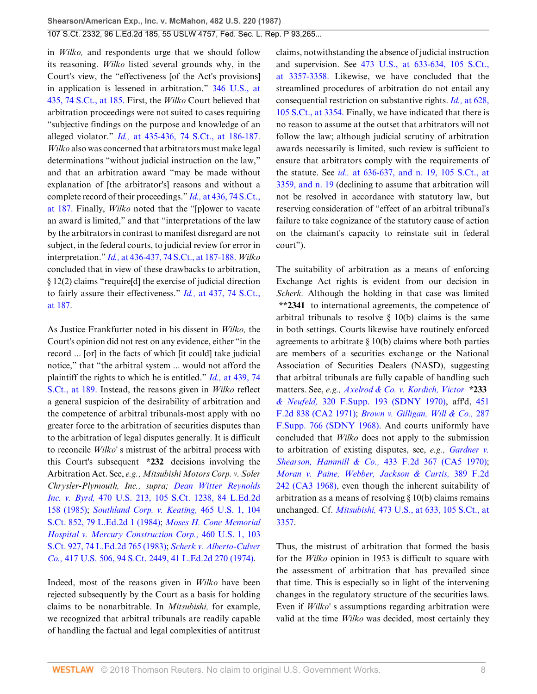in *Wilko,* and respondents urge that we should follow its reasoning. *Wilko* listed several grounds why, in the Court's view, the "effectiveness [of the Act's provisions] in application is lessened in arbitration." [346 U.S., at](http://www.westlaw.com/Link/Document/FullText?findType=Y&serNum=1953121062&pubNum=708&originatingDoc=Ic1e348109c1e11d991d0cc6b54f12d4d&refType=RP&fi=co_pp_sp_708_185&originationContext=document&vr=3.0&rs=cblt1.0&transitionType=DocumentItem&contextData=(sc.UserEnteredCitation)#co_pp_sp_708_185) [435, 74 S.Ct., at 185.](http://www.westlaw.com/Link/Document/FullText?findType=Y&serNum=1953121062&pubNum=708&originatingDoc=Ic1e348109c1e11d991d0cc6b54f12d4d&refType=RP&fi=co_pp_sp_708_185&originationContext=document&vr=3.0&rs=cblt1.0&transitionType=DocumentItem&contextData=(sc.UserEnteredCitation)#co_pp_sp_708_185) First, the *Wilko* Court believed that arbitration proceedings were not suited to cases requiring "subjective findings on the purpose and knowledge of an alleged violator." *Id.,* [at 435-436, 74 S.Ct., at 186-187.](http://www.westlaw.com/Link/Document/FullText?findType=Y&serNum=1953121062&pubNum=708&originatingDoc=Ic1e348109c1e11d991d0cc6b54f12d4d&refType=RP&fi=co_pp_sp_708_186&originationContext=document&vr=3.0&rs=cblt1.0&transitionType=DocumentItem&contextData=(sc.UserEnteredCitation)#co_pp_sp_708_186) *Wilko* also was concerned that arbitrators must make legal determinations "without judicial instruction on the law," and that an arbitration award "may be made without explanation of [the arbitrator's] reasons and without a complete record of their proceedings." *Id.,* [at 436, 74 S.Ct.,](http://www.westlaw.com/Link/Document/FullText?findType=Y&serNum=1953121062&pubNum=708&originatingDoc=Ic1e348109c1e11d991d0cc6b54f12d4d&refType=RP&fi=co_pp_sp_708_187&originationContext=document&vr=3.0&rs=cblt1.0&transitionType=DocumentItem&contextData=(sc.UserEnteredCitation)#co_pp_sp_708_187) [at 187.](http://www.westlaw.com/Link/Document/FullText?findType=Y&serNum=1953121062&pubNum=708&originatingDoc=Ic1e348109c1e11d991d0cc6b54f12d4d&refType=RP&fi=co_pp_sp_708_187&originationContext=document&vr=3.0&rs=cblt1.0&transitionType=DocumentItem&contextData=(sc.UserEnteredCitation)#co_pp_sp_708_187) Finally, *Wilko* noted that the "[p]ower to vacate an award is limited," and that "interpretations of the law by the arbitrators in contrast to manifest disregard are not subject, in the federal courts, to judicial review for error in interpretation." *Id.,* [at 436-437, 74 S.Ct., at 187-188.](http://www.westlaw.com/Link/Document/FullText?findType=Y&serNum=1953121062&pubNum=708&originatingDoc=Ic1e348109c1e11d991d0cc6b54f12d4d&refType=RP&fi=co_pp_sp_708_187&originationContext=document&vr=3.0&rs=cblt1.0&transitionType=DocumentItem&contextData=(sc.UserEnteredCitation)#co_pp_sp_708_187) *Wilko* concluded that in view of these drawbacks to arbitration, § 12(2) claims "require[d] the exercise of judicial direction to fairly assure their effectiveness." *Id.,* [at 437, 74 S.Ct.,](http://www.westlaw.com/Link/Document/FullText?findType=Y&serNum=1953121062&pubNum=708&originatingDoc=Ic1e348109c1e11d991d0cc6b54f12d4d&refType=RP&fi=co_pp_sp_708_187&originationContext=document&vr=3.0&rs=cblt1.0&transitionType=DocumentItem&contextData=(sc.UserEnteredCitation)#co_pp_sp_708_187) [at 187.](http://www.westlaw.com/Link/Document/FullText?findType=Y&serNum=1953121062&pubNum=708&originatingDoc=Ic1e348109c1e11d991d0cc6b54f12d4d&refType=RP&fi=co_pp_sp_708_187&originationContext=document&vr=3.0&rs=cblt1.0&transitionType=DocumentItem&contextData=(sc.UserEnteredCitation)#co_pp_sp_708_187)

As Justice Frankfurter noted in his dissent in *Wilko,* the Court's opinion did not rest on any evidence, either "in the record ... [or] in the facts of which [it could] take judicial notice," that "the arbitral system ... would not afford the plaintiff the rights to which he is entitled." *Id.,* [at 439, 74](http://www.westlaw.com/Link/Document/FullText?findType=Y&serNum=1953121062&pubNum=708&originatingDoc=Ic1e348109c1e11d991d0cc6b54f12d4d&refType=RP&fi=co_pp_sp_708_189&originationContext=document&vr=3.0&rs=cblt1.0&transitionType=DocumentItem&contextData=(sc.UserEnteredCitation)#co_pp_sp_708_189) [S.Ct., at 189.](http://www.westlaw.com/Link/Document/FullText?findType=Y&serNum=1953121062&pubNum=708&originatingDoc=Ic1e348109c1e11d991d0cc6b54f12d4d&refType=RP&fi=co_pp_sp_708_189&originationContext=document&vr=3.0&rs=cblt1.0&transitionType=DocumentItem&contextData=(sc.UserEnteredCitation)#co_pp_sp_708_189) Instead, the reasons given in *Wilko* reflect a general suspicion of the desirability of arbitration and the competence of arbitral tribunals-most apply with no greater force to the arbitration of securities disputes than to the arbitration of legal disputes generally. It is difficult to reconcile *Wilko'* s mistrust of the arbitral process with this Court's subsequent **\*232** decisions involving the Arbitration Act. See, *e.g., Mitsubishi Motors Corp. v. Soler Chrysler-Plymouth, Inc., supra; [Dean Witter Reynolds](http://www.westlaw.com/Link/Document/FullText?findType=Y&serNum=1985110908&pubNum=708&originatingDoc=Ic1e348109c1e11d991d0cc6b54f12d4d&refType=RP&originationContext=document&vr=3.0&rs=cblt1.0&transitionType=DocumentItem&contextData=(sc.UserEnteredCitation)) Inc. v. Byrd,* [470 U.S. 213, 105 S.Ct. 1238, 84 L.Ed.2d](http://www.westlaw.com/Link/Document/FullText?findType=Y&serNum=1985110908&pubNum=708&originatingDoc=Ic1e348109c1e11d991d0cc6b54f12d4d&refType=RP&originationContext=document&vr=3.0&rs=cblt1.0&transitionType=DocumentItem&contextData=(sc.UserEnteredCitation)) [158 \(1985\)](http://www.westlaw.com/Link/Document/FullText?findType=Y&serNum=1985110908&pubNum=708&originatingDoc=Ic1e348109c1e11d991d0cc6b54f12d4d&refType=RP&originationContext=document&vr=3.0&rs=cblt1.0&transitionType=DocumentItem&contextData=(sc.UserEnteredCitation)); *[Southland Corp. v. Keating,](http://www.westlaw.com/Link/Document/FullText?findType=Y&serNum=1984104100&pubNum=708&originatingDoc=Ic1e348109c1e11d991d0cc6b54f12d4d&refType=RP&originationContext=document&vr=3.0&rs=cblt1.0&transitionType=DocumentItem&contextData=(sc.UserEnteredCitation))* 465 U.S. 1, 104 [S.Ct. 852, 79 L.Ed.2d 1 \(1984\);](http://www.westlaw.com/Link/Document/FullText?findType=Y&serNum=1984104100&pubNum=708&originatingDoc=Ic1e348109c1e11d991d0cc6b54f12d4d&refType=RP&originationContext=document&vr=3.0&rs=cblt1.0&transitionType=DocumentItem&contextData=(sc.UserEnteredCitation)) *[Moses H. Cone Memorial](http://www.westlaw.com/Link/Document/FullText?findType=Y&serNum=1983109286&pubNum=708&originatingDoc=Ic1e348109c1e11d991d0cc6b54f12d4d&refType=RP&originationContext=document&vr=3.0&rs=cblt1.0&transitionType=DocumentItem&contextData=(sc.UserEnteredCitation)) [Hospital v. Mercury Construction Corp.,](http://www.westlaw.com/Link/Document/FullText?findType=Y&serNum=1983109286&pubNum=708&originatingDoc=Ic1e348109c1e11d991d0cc6b54f12d4d&refType=RP&originationContext=document&vr=3.0&rs=cblt1.0&transitionType=DocumentItem&contextData=(sc.UserEnteredCitation))* 460 U.S. 1, 103 [S.Ct. 927, 74 L.Ed.2d 765 \(1983\);](http://www.westlaw.com/Link/Document/FullText?findType=Y&serNum=1983109286&pubNum=708&originatingDoc=Ic1e348109c1e11d991d0cc6b54f12d4d&refType=RP&originationContext=document&vr=3.0&rs=cblt1.0&transitionType=DocumentItem&contextData=(sc.UserEnteredCitation)) *[Scherk v. Alberto-Culver](http://www.westlaw.com/Link/Document/FullText?findType=Y&serNum=1974127217&pubNum=708&originatingDoc=Ic1e348109c1e11d991d0cc6b54f12d4d&refType=RP&originationContext=document&vr=3.0&rs=cblt1.0&transitionType=DocumentItem&contextData=(sc.UserEnteredCitation)) Co.,* [417 U.S. 506, 94 S.Ct. 2449, 41 L.Ed.2d 270 \(1974\)](http://www.westlaw.com/Link/Document/FullText?findType=Y&serNum=1974127217&pubNum=708&originatingDoc=Ic1e348109c1e11d991d0cc6b54f12d4d&refType=RP&originationContext=document&vr=3.0&rs=cblt1.0&transitionType=DocumentItem&contextData=(sc.UserEnteredCitation)).

Indeed, most of the reasons given in *Wilko* have been rejected subsequently by the Court as a basis for holding claims to be nonarbitrable. In *Mitsubishi,* for example, we recognized that arbitral tribunals are readily capable of handling the factual and legal complexities of antitrust claims, notwithstanding the absence of judicial instruction and supervision. See [473 U.S., at 633-634, 105 S.Ct.,](http://www.westlaw.com/Link/Document/FullText?findType=Y&serNum=1985133734&pubNum=708&originatingDoc=Ic1e348109c1e11d991d0cc6b54f12d4d&refType=RP&fi=co_pp_sp_708_3357&originationContext=document&vr=3.0&rs=cblt1.0&transitionType=DocumentItem&contextData=(sc.UserEnteredCitation)#co_pp_sp_708_3357) [at 3357-3358.](http://www.westlaw.com/Link/Document/FullText?findType=Y&serNum=1985133734&pubNum=708&originatingDoc=Ic1e348109c1e11d991d0cc6b54f12d4d&refType=RP&fi=co_pp_sp_708_3357&originationContext=document&vr=3.0&rs=cblt1.0&transitionType=DocumentItem&contextData=(sc.UserEnteredCitation)#co_pp_sp_708_3357) Likewise, we have concluded that the streamlined procedures of arbitration do not entail any consequential restriction on substantive rights. *Id.,* [at 628,](http://www.westlaw.com/Link/Document/FullText?findType=Y&serNum=1985133734&pubNum=708&originatingDoc=Ic1e348109c1e11d991d0cc6b54f12d4d&refType=RP&fi=co_pp_sp_708_3354&originationContext=document&vr=3.0&rs=cblt1.0&transitionType=DocumentItem&contextData=(sc.UserEnteredCitation)#co_pp_sp_708_3354) [105 S.Ct., at 3354.](http://www.westlaw.com/Link/Document/FullText?findType=Y&serNum=1985133734&pubNum=708&originatingDoc=Ic1e348109c1e11d991d0cc6b54f12d4d&refType=RP&fi=co_pp_sp_708_3354&originationContext=document&vr=3.0&rs=cblt1.0&transitionType=DocumentItem&contextData=(sc.UserEnteredCitation)#co_pp_sp_708_3354) Finally, we have indicated that there is no reason to assume at the outset that arbitrators will not follow the law; although judicial scrutiny of arbitration awards necessarily is limited, such review is sufficient to ensure that arbitrators comply with the requirements of the statute. See *id.,* [at 636-637, and n. 19, 105 S.Ct., at](http://www.westlaw.com/Link/Document/FullText?findType=Y&serNum=1985133734&pubNum=708&originatingDoc=Ic1e348109c1e11d991d0cc6b54f12d4d&refType=RP&fi=co_pp_sp_708_3359&originationContext=document&vr=3.0&rs=cblt1.0&transitionType=DocumentItem&contextData=(sc.UserEnteredCitation)#co_pp_sp_708_3359) [3359, and n. 19](http://www.westlaw.com/Link/Document/FullText?findType=Y&serNum=1985133734&pubNum=708&originatingDoc=Ic1e348109c1e11d991d0cc6b54f12d4d&refType=RP&fi=co_pp_sp_708_3359&originationContext=document&vr=3.0&rs=cblt1.0&transitionType=DocumentItem&contextData=(sc.UserEnteredCitation)#co_pp_sp_708_3359) (declining to assume that arbitration will not be resolved in accordance with statutory law, but reserving consideration of "effect of an arbitral tribunal's failure to take cognizance of the statutory cause of action on the claimant's capacity to reinstate suit in federal court").

The suitability of arbitration as a means of enforcing Exchange Act rights is evident from our decision in *Scherk.* Although the holding in that case was limited **\*\*2341** to international agreements, the competence of arbitral tribunals to resolve  $\S$  10(b) claims is the same in both settings. Courts likewise have routinely enforced agreements to arbitrate § 10(b) claims where both parties are members of a securities exchange or the National Association of Securities Dealers (NASD), suggesting that arbitral tribunals are fully capable of handling such matters. See, *e.g., [Axelrod & Co. v. Kordich, Victor](http://www.westlaw.com/Link/Document/FullText?findType=Y&serNum=1970115444&pubNum=345&originatingDoc=Ic1e348109c1e11d991d0cc6b54f12d4d&refType=RP&originationContext=document&vr=3.0&rs=cblt1.0&transitionType=DocumentItem&contextData=(sc.UserEnteredCitation))* **\*233** *& Neufeld,* [320 F.Supp. 193 \(SDNY 1970\)](http://www.westlaw.com/Link/Document/FullText?findType=Y&serNum=1970115444&pubNum=345&originatingDoc=Ic1e348109c1e11d991d0cc6b54f12d4d&refType=RP&originationContext=document&vr=3.0&rs=cblt1.0&transitionType=DocumentItem&contextData=(sc.UserEnteredCitation)), aff'd, [451](http://www.westlaw.com/Link/Document/FullText?findType=Y&serNum=1971113462&pubNum=350&originatingDoc=Ic1e348109c1e11d991d0cc6b54f12d4d&refType=RP&originationContext=document&vr=3.0&rs=cblt1.0&transitionType=DocumentItem&contextData=(sc.UserEnteredCitation)) [F.2d 838 \(CA2 1971\);](http://www.westlaw.com/Link/Document/FullText?findType=Y&serNum=1971113462&pubNum=350&originatingDoc=Ic1e348109c1e11d991d0cc6b54f12d4d&refType=RP&originationContext=document&vr=3.0&rs=cblt1.0&transitionType=DocumentItem&contextData=(sc.UserEnteredCitation)) *[Brown v. Gilligan, Will & Co.,](http://www.westlaw.com/Link/Document/FullText?findType=Y&serNum=1968102418&pubNum=345&originatingDoc=Ic1e348109c1e11d991d0cc6b54f12d4d&refType=RP&originationContext=document&vr=3.0&rs=cblt1.0&transitionType=DocumentItem&contextData=(sc.UserEnteredCitation))* 287 [F.Supp. 766 \(SDNY 1968\)](http://www.westlaw.com/Link/Document/FullText?findType=Y&serNum=1968102418&pubNum=345&originatingDoc=Ic1e348109c1e11d991d0cc6b54f12d4d&refType=RP&originationContext=document&vr=3.0&rs=cblt1.0&transitionType=DocumentItem&contextData=(sc.UserEnteredCitation)). And courts uniformly have concluded that *Wilko* does not apply to the submission to arbitration of existing disputes, see, *e.g., [Gardner v.](http://www.westlaw.com/Link/Document/FullText?findType=Y&serNum=1970120696&pubNum=350&originatingDoc=Ic1e348109c1e11d991d0cc6b54f12d4d&refType=RP&originationContext=document&vr=3.0&rs=cblt1.0&transitionType=DocumentItem&contextData=(sc.UserEnteredCitation)) Shearson, Hammill & Co.,* [433 F.2d 367 \(CA5 1970\)](http://www.westlaw.com/Link/Document/FullText?findType=Y&serNum=1970120696&pubNum=350&originatingDoc=Ic1e348109c1e11d991d0cc6b54f12d4d&refType=RP&originationContext=document&vr=3.0&rs=cblt1.0&transitionType=DocumentItem&contextData=(sc.UserEnteredCitation)); *[Moran v. Paine, Webber, Jackson & Curtis,](http://www.westlaw.com/Link/Document/FullText?findType=Y&serNum=1968104431&pubNum=350&originatingDoc=Ic1e348109c1e11d991d0cc6b54f12d4d&refType=RP&originationContext=document&vr=3.0&rs=cblt1.0&transitionType=DocumentItem&contextData=(sc.UserEnteredCitation))* 389 F.2d [242 \(CA3 1968\),](http://www.westlaw.com/Link/Document/FullText?findType=Y&serNum=1968104431&pubNum=350&originatingDoc=Ic1e348109c1e11d991d0cc6b54f12d4d&refType=RP&originationContext=document&vr=3.0&rs=cblt1.0&transitionType=DocumentItem&contextData=(sc.UserEnteredCitation)) even though the inherent suitability of arbitration as a means of resolving § 10(b) claims remains unchanged. Cf. *Mitsubishi,* [473 U.S., at 633, 105 S.Ct., at](http://www.westlaw.com/Link/Document/FullText?findType=Y&serNum=1985133734&pubNum=708&originatingDoc=Ic1e348109c1e11d991d0cc6b54f12d4d&refType=RP&fi=co_pp_sp_708_3357&originationContext=document&vr=3.0&rs=cblt1.0&transitionType=DocumentItem&contextData=(sc.UserEnteredCitation)#co_pp_sp_708_3357) [3357](http://www.westlaw.com/Link/Document/FullText?findType=Y&serNum=1985133734&pubNum=708&originatingDoc=Ic1e348109c1e11d991d0cc6b54f12d4d&refType=RP&fi=co_pp_sp_708_3357&originationContext=document&vr=3.0&rs=cblt1.0&transitionType=DocumentItem&contextData=(sc.UserEnteredCitation)#co_pp_sp_708_3357).

Thus, the mistrust of arbitration that formed the basis for the *Wilko* opinion in 1953 is difficult to square with the assessment of arbitration that has prevailed since that time. This is especially so in light of the intervening changes in the regulatory structure of the securities laws. Even if *Wilko'* s assumptions regarding arbitration were valid at the time *Wilko* was decided, most certainly they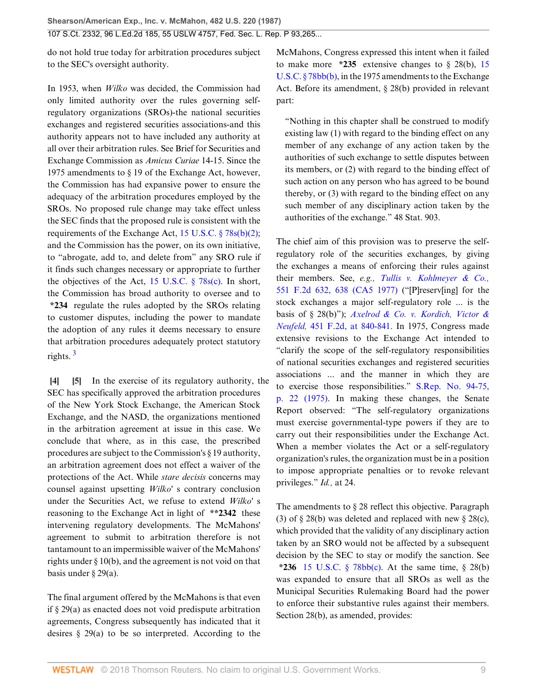do not hold true today for arbitration procedures subject to the SEC's oversight authority.

In 1953, when *Wilko* was decided, the Commission had only limited authority over the rules governing selfregulatory organizations (SROs)-the national securities exchanges and registered securities associations-and this authority appears not to have included any authority at all over their arbitration rules. See Brief for Securities and Exchange Commission as *Amicus Curiae* 14-15. Since the 1975 amendments to § 19 of the Exchange Act, however, the Commission has had expansive power to ensure the adequacy of the arbitration procedures employed by the SROs. No proposed rule change may take effect unless the SEC finds that the proposed rule is consistent with the requirements of the Exchange Act, [15 U.S.C. § 78s\(b\)\(2\)](http://www.westlaw.com/Link/Document/FullText?findType=L&pubNum=1000546&cite=15USCAS78S&originatingDoc=Ic1e348109c1e11d991d0cc6b54f12d4d&refType=RB&originationContext=document&vr=3.0&rs=cblt1.0&transitionType=DocumentItem&contextData=(sc.UserEnteredCitation)#co_pp_c0ae00006c482); and the Commission has the power, on its own initiative, to "abrogate, add to, and delete from" any SRO rule if it finds such changes necessary or appropriate to further the objectives of the Act, [15 U.S.C. § 78s\(c\).](http://www.westlaw.com/Link/Document/FullText?findType=L&pubNum=1000546&cite=15USCAS78S&originatingDoc=Ic1e348109c1e11d991d0cc6b54f12d4d&refType=RB&originationContext=document&vr=3.0&rs=cblt1.0&transitionType=DocumentItem&contextData=(sc.UserEnteredCitation)#co_pp_4b24000003ba5) In short, the Commission has broad authority to oversee and to **\*234** regulate the rules adopted by the SROs relating to customer disputes, including the power to mandate the adoption of any rules it deems necessary to ensure that arbitration procedures adequately protect statutory rights. [3](#page-19-3)

<span id="page-8-2"></span><span id="page-8-1"></span><span id="page-8-0"></span>**[\[4](#page-1-0)] [\[5](#page-1-1)]** In the exercise of its regulatory authority, the SEC has specifically approved the arbitration procedures of the New York Stock Exchange, the American Stock Exchange, and the NASD, the organizations mentioned in the arbitration agreement at issue in this case. We conclude that where, as in this case, the prescribed procedures are subject to the Commission's § 19 authority, an arbitration agreement does not effect a waiver of the protections of the Act. While *stare decisis* concerns may counsel against upsetting *Wilko'* s contrary conclusion under the Securities Act, we refuse to extend *Wilko'* s reasoning to the Exchange Act in light of **\*\*2342** these intervening regulatory developments. The McMahons' agreement to submit to arbitration therefore is not tantamount to an impermissible waiver of the McMahons' rights under § 10(b), and the agreement is not void on that basis under § 29(a).

The final argument offered by the McMahons is that even if § 29(a) as enacted does not void predispute arbitration agreements, Congress subsequently has indicated that it desires  $\S$  29(a) to be so interpreted. According to the

McMahons, Congress expressed this intent when it failed to make more  $*235$  extensive changes to  $\S$  28(b), [15](http://www.westlaw.com/Link/Document/FullText?findType=L&pubNum=1000546&cite=15USCAS78BB&originatingDoc=Ic1e348109c1e11d991d0cc6b54f12d4d&refType=RB&originationContext=document&vr=3.0&rs=cblt1.0&transitionType=DocumentItem&contextData=(sc.UserEnteredCitation)#co_pp_a83b000018c76) [U.S.C. § 78bb\(b\),](http://www.westlaw.com/Link/Document/FullText?findType=L&pubNum=1000546&cite=15USCAS78BB&originatingDoc=Ic1e348109c1e11d991d0cc6b54f12d4d&refType=RB&originationContext=document&vr=3.0&rs=cblt1.0&transitionType=DocumentItem&contextData=(sc.UserEnteredCitation)#co_pp_a83b000018c76) in the 1975 amendments to the Exchange Act. Before its amendment, § 28(b) provided in relevant part:

"Nothing in this chapter shall be construed to modify existing law (1) with regard to the binding effect on any member of any exchange of any action taken by the authorities of such exchange to settle disputes between its members, or (2) with regard to the binding effect of such action on any person who has agreed to be bound thereby, or (3) with regard to the binding effect on any such member of any disciplinary action taken by the authorities of the exchange." 48 Stat. 903.

The chief aim of this provision was to preserve the selfregulatory role of the securities exchanges, by giving the exchanges a means of enforcing their rules against their members. See, *e.g., [Tullis v. Kohlmeyer & Co.,](http://www.westlaw.com/Link/Document/FullText?findType=Y&serNum=1977104440&pubNum=350&originatingDoc=Ic1e348109c1e11d991d0cc6b54f12d4d&refType=RP&fi=co_pp_sp_350_638&originationContext=document&vr=3.0&rs=cblt1.0&transitionType=DocumentItem&contextData=(sc.UserEnteredCitation)#co_pp_sp_350_638)* [551 F.2d 632, 638 \(CA5 1977\)](http://www.westlaw.com/Link/Document/FullText?findType=Y&serNum=1977104440&pubNum=350&originatingDoc=Ic1e348109c1e11d991d0cc6b54f12d4d&refType=RP&fi=co_pp_sp_350_638&originationContext=document&vr=3.0&rs=cblt1.0&transitionType=DocumentItem&contextData=(sc.UserEnteredCitation)#co_pp_sp_350_638) ("[P]reserv[ing] for the stock exchanges a major self-regulatory role ... is the basis of § 28(b)"); *[Axelrod & Co. v. Kordich, Victor &](http://www.westlaw.com/Link/Document/FullText?findType=Y&serNum=1971113462&pubNum=350&originatingDoc=Ic1e348109c1e11d991d0cc6b54f12d4d&refType=RP&fi=co_pp_sp_350_840&originationContext=document&vr=3.0&rs=cblt1.0&transitionType=DocumentItem&contextData=(sc.UserEnteredCitation)#co_pp_sp_350_840) Neufeld,* [451 F.2d, at 840-841.](http://www.westlaw.com/Link/Document/FullText?findType=Y&serNum=1971113462&pubNum=350&originatingDoc=Ic1e348109c1e11d991d0cc6b54f12d4d&refType=RP&fi=co_pp_sp_350_840&originationContext=document&vr=3.0&rs=cblt1.0&transitionType=DocumentItem&contextData=(sc.UserEnteredCitation)#co_pp_sp_350_840) In 1975, Congress made extensive revisions to the Exchange Act intended to "clarify the scope of the self-regulatory responsibilities of national securities exchanges and registered securities associations ... and the manner in which they are to exercise those responsibilities." [S.Rep. No. 94-75,](http://www.westlaw.com/Link/Document/FullText?findType=Y&serNum=0100746203&pubNum=0001503&originatingDoc=Ic1e348109c1e11d991d0cc6b54f12d4d&refType=TV&originationContext=document&vr=3.0&rs=cblt1.0&transitionType=DocumentItem&contextData=(sc.UserEnteredCitation)) [p. 22 \(1975\).](http://www.westlaw.com/Link/Document/FullText?findType=Y&serNum=0100746203&pubNum=0001503&originatingDoc=Ic1e348109c1e11d991d0cc6b54f12d4d&refType=TV&originationContext=document&vr=3.0&rs=cblt1.0&transitionType=DocumentItem&contextData=(sc.UserEnteredCitation)) In making these changes, the Senate Report observed: "The self-regulatory organizations must exercise governmental-type powers if they are to carry out their responsibilities under the Exchange Act. When a member violates the Act or a self-regulatory organization's rules, the organization must be in a position to impose appropriate penalties or to revoke relevant privileges." *Id.,* at 24.

The amendments to § 28 reflect this objective. Paragraph (3) of  $\S 28(b)$  was deleted and replaced with new  $\S 28(c)$ , which provided that the validity of any disciplinary action taken by an SRO would not be affected by a subsequent decision by the SEC to stay or modify the sanction. See **\*236** [15 U.S.C. § 78bb\(c\)](http://www.westlaw.com/Link/Document/FullText?findType=L&pubNum=1000546&cite=15USCAS78BB&originatingDoc=Ic1e348109c1e11d991d0cc6b54f12d4d&refType=RB&originationContext=document&vr=3.0&rs=cblt1.0&transitionType=DocumentItem&contextData=(sc.UserEnteredCitation)#co_pp_4b24000003ba5). At the same time, § 28(b) was expanded to ensure that all SROs as well as the Municipal Securities Rulemaking Board had the power to enforce their substantive rules against their members. Section 28(b), as amended, provides: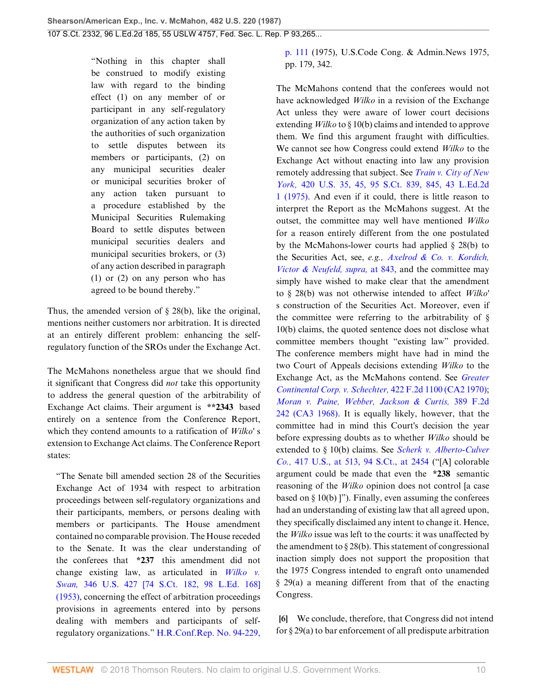"Nothing in this chapter shall be construed to modify existing law with regard to the binding effect (1) on any member of or participant in any self-regulatory organization of any action taken by the authorities of such organization to settle disputes between its members or participants, (2) on any municipal securities dealer or municipal securities broker of any action taken pursuant to a procedure established by the Municipal Securities Rulemaking Board to settle disputes between municipal securities dealers and municipal securities brokers, or (3) of any action described in paragraph (1) or (2) on any person who has agreed to be bound thereby."

Thus, the amended version of  $\S$  28(b), like the original, mentions neither customers nor arbitration. It is directed at an entirely different problem: enhancing the selfregulatory function of the SROs under the Exchange Act.

The McMahons nonetheless argue that we should find it significant that Congress did *not* take this opportunity to address the general question of the arbitrability of Exchange Act claims. Their argument is **\*\*2343** based entirely on a sentence from the Conference Report, which they contend amounts to a ratification of *Wilko'* s extension to Exchange Act claims. The Conference Report states:

"The Senate bill amended section 28 of the Securities Exchange Act of 1934 with respect to arbitration proceedings between self-regulatory organizations and their participants, members, or persons dealing with members or participants. The House amendment contained no comparable provision. The House receded to the Senate. It was the clear understanding of the conferees that **\*237** this amendment did not change existing law, as articulated in *[Wilko v.](http://www.westlaw.com/Link/Document/FullText?findType=Y&serNum=1953121062&pubNum=708&originatingDoc=Ic1e348109c1e11d991d0cc6b54f12d4d&refType=RP&originationContext=document&vr=3.0&rs=cblt1.0&transitionType=DocumentItem&contextData=(sc.UserEnteredCitation)) Swan,* [346 U.S. 427 \[74 S.Ct. 182, 98 L.Ed. 168\]](http://www.westlaw.com/Link/Document/FullText?findType=Y&serNum=1953121062&pubNum=708&originatingDoc=Ic1e348109c1e11d991d0cc6b54f12d4d&refType=RP&originationContext=document&vr=3.0&rs=cblt1.0&transitionType=DocumentItem&contextData=(sc.UserEnteredCitation)) [\(1953\),](http://www.westlaw.com/Link/Document/FullText?findType=Y&serNum=1953121062&pubNum=708&originatingDoc=Ic1e348109c1e11d991d0cc6b54f12d4d&refType=RP&originationContext=document&vr=3.0&rs=cblt1.0&transitionType=DocumentItem&contextData=(sc.UserEnteredCitation)) concerning the effect of arbitration proceedings provisions in agreements entered into by persons dealing with members and participants of selfregulatory organizations." [H.R.Conf.Rep. No. 94-229,](http://www.westlaw.com/Link/Document/FullText?findType=Y&serNum=0100746204&pubNum=0100015&originatingDoc=Ic1e348109c1e11d991d0cc6b54f12d4d&refType=TV&originationContext=document&vr=3.0&rs=cblt1.0&transitionType=DocumentItem&contextData=(sc.UserEnteredCitation))

[p. 111](http://www.westlaw.com/Link/Document/FullText?findType=Y&serNum=0100746204&pubNum=0100015&originatingDoc=Ic1e348109c1e11d991d0cc6b54f12d4d&refType=TV&originationContext=document&vr=3.0&rs=cblt1.0&transitionType=DocumentItem&contextData=(sc.UserEnteredCitation)) (1975), U.S.Code Cong. & Admin.News 1975, pp. 179, 342.

The McMahons contend that the conferees would not have acknowledged *Wilko* in a revision of the Exchange Act unless they were aware of lower court decisions extending *Wilko* to § 10(b) claims and intended to approve them. We find this argument fraught with difficulties. We cannot see how Congress could extend *Wilko* to the Exchange Act without enacting into law any provision remotely addressing that subject. See *[Train v. City of New](http://www.westlaw.com/Link/Document/FullText?findType=Y&serNum=1975129725&pubNum=708&originatingDoc=Ic1e348109c1e11d991d0cc6b54f12d4d&refType=RP&fi=co_pp_sp_708_845&originationContext=document&vr=3.0&rs=cblt1.0&transitionType=DocumentItem&contextData=(sc.UserEnteredCitation)#co_pp_sp_708_845) York,* [420 U.S. 35, 45, 95 S.Ct. 839, 845, 43 L.Ed.2d](http://www.westlaw.com/Link/Document/FullText?findType=Y&serNum=1975129725&pubNum=708&originatingDoc=Ic1e348109c1e11d991d0cc6b54f12d4d&refType=RP&fi=co_pp_sp_708_845&originationContext=document&vr=3.0&rs=cblt1.0&transitionType=DocumentItem&contextData=(sc.UserEnteredCitation)#co_pp_sp_708_845) [1 \(1975\)](http://www.westlaw.com/Link/Document/FullText?findType=Y&serNum=1975129725&pubNum=708&originatingDoc=Ic1e348109c1e11d991d0cc6b54f12d4d&refType=RP&fi=co_pp_sp_708_845&originationContext=document&vr=3.0&rs=cblt1.0&transitionType=DocumentItem&contextData=(sc.UserEnteredCitation)#co_pp_sp_708_845). And even if it could, there is little reason to interpret the Report as the McMahons suggest. At the outset, the committee may well have mentioned *Wilko* for a reason entirely different from the one postulated by the McMahons-lower courts had applied § 28(b) to the Securities Act, see, *e.g., [Axelrod & Co. v. Kordich,](http://www.westlaw.com/Link/Document/FullText?findType=Y&serNum=1971113462&originatingDoc=Ic1e348109c1e11d991d0cc6b54f12d4d&refType=RP&originationContext=document&vr=3.0&rs=cblt1.0&transitionType=DocumentItem&contextData=(sc.UserEnteredCitation)) [Victor & Neufeld, supra,](http://www.westlaw.com/Link/Document/FullText?findType=Y&serNum=1971113462&originatingDoc=Ic1e348109c1e11d991d0cc6b54f12d4d&refType=RP&originationContext=document&vr=3.0&rs=cblt1.0&transitionType=DocumentItem&contextData=(sc.UserEnteredCitation))* at 843, and the committee may simply have wished to make clear that the amendment to § 28(b) was not otherwise intended to affect *Wilko'* s construction of the Securities Act. Moreover, even if the committee were referring to the arbitrability of § 10(b) claims, the quoted sentence does not disclose what committee members thought "existing law" provided. The conference members might have had in mind the two Court of Appeals decisions extending *Wilko* to the Exchange Act, as the McMahons contend. See *[Greater](http://www.westlaw.com/Link/Document/FullText?findType=Y&serNum=1970116986&pubNum=350&originatingDoc=Ic1e348109c1e11d991d0cc6b54f12d4d&refType=RP&originationContext=document&vr=3.0&rs=cblt1.0&transitionType=DocumentItem&contextData=(sc.UserEnteredCitation)) [Continental Corp. v. Schechter,](http://www.westlaw.com/Link/Document/FullText?findType=Y&serNum=1970116986&pubNum=350&originatingDoc=Ic1e348109c1e11d991d0cc6b54f12d4d&refType=RP&originationContext=document&vr=3.0&rs=cblt1.0&transitionType=DocumentItem&contextData=(sc.UserEnteredCitation))* 422 F.2d 1100 (CA2 1970); *[Moran v. Paine, Webber, Jackson & Curtis,](http://www.westlaw.com/Link/Document/FullText?findType=Y&serNum=1968104431&pubNum=350&originatingDoc=Ic1e348109c1e11d991d0cc6b54f12d4d&refType=RP&originationContext=document&vr=3.0&rs=cblt1.0&transitionType=DocumentItem&contextData=(sc.UserEnteredCitation))* 389 F.2d [242 \(CA3 1968\)](http://www.westlaw.com/Link/Document/FullText?findType=Y&serNum=1968104431&pubNum=350&originatingDoc=Ic1e348109c1e11d991d0cc6b54f12d4d&refType=RP&originationContext=document&vr=3.0&rs=cblt1.0&transitionType=DocumentItem&contextData=(sc.UserEnteredCitation)). It is equally likely, however, that the committee had in mind this Court's decision the year before expressing doubts as to whether *Wilko* should be extended to § 10(b) claims. See *[Scherk v. Alberto-Culver](http://www.westlaw.com/Link/Document/FullText?findType=Y&serNum=1974127217&pubNum=708&originatingDoc=Ic1e348109c1e11d991d0cc6b54f12d4d&refType=RP&fi=co_pp_sp_708_2454&originationContext=document&vr=3.0&rs=cblt1.0&transitionType=DocumentItem&contextData=(sc.UserEnteredCitation)#co_pp_sp_708_2454) Co.,* [417 U.S., at 513, 94 S.Ct., at 2454](http://www.westlaw.com/Link/Document/FullText?findType=Y&serNum=1974127217&pubNum=708&originatingDoc=Ic1e348109c1e11d991d0cc6b54f12d4d&refType=RP&fi=co_pp_sp_708_2454&originationContext=document&vr=3.0&rs=cblt1.0&transitionType=DocumentItem&contextData=(sc.UserEnteredCitation)#co_pp_sp_708_2454) ("[A] colorable argument could be made that even the **\*238** semantic reasoning of the *Wilko* opinion does not control [a case based on  $\S$  10(b) ]"). Finally, even assuming the conferees had an understanding of existing law that all agreed upon, they specifically disclaimed any intent to change it. Hence, the *Wilko* issue was left to the courts: it was unaffected by the amendment to  $\S 28(b)$ . This statement of congressional inaction simply does not support the proposition that the 1975 Congress intended to engraft onto unamended § 29(a) a meaning different from that of the enacting Congress.

<span id="page-9-0"></span>**[\[6](#page-1-2)]** We conclude, therefore, that Congress did not intend for § 29(a) to bar enforcement of all predispute arbitration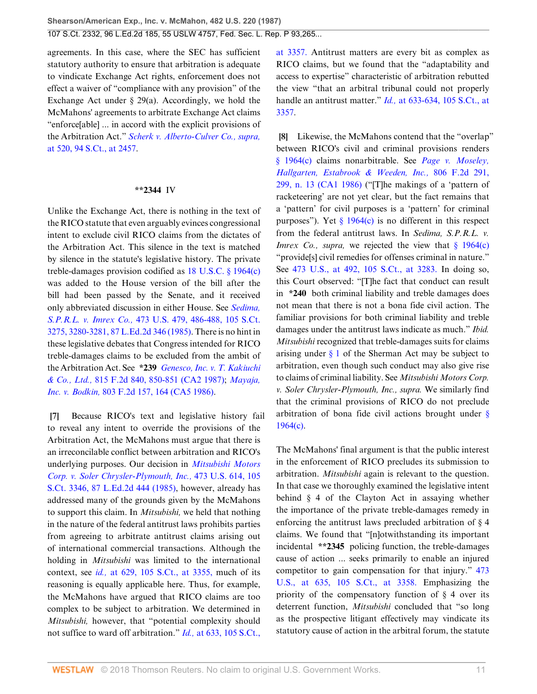agreements. In this case, where the SEC has sufficient statutory authority to ensure that arbitration is adequate to vindicate Exchange Act rights, enforcement does not effect a waiver of "compliance with any provision" of the Exchange Act under § 29(a). Accordingly, we hold the McMahons' agreements to arbitrate Exchange Act claims "enforce[able] ... in accord with the explicit provisions of the Arbitration Act." *[Scherk v. Alberto-Culver Co., supra,](http://www.westlaw.com/Link/Document/FullText?findType=Y&serNum=1974127217&pubNum=708&originatingDoc=Ic1e348109c1e11d991d0cc6b54f12d4d&refType=RP&fi=co_pp_sp_708_2457&originationContext=document&vr=3.0&rs=cblt1.0&transitionType=DocumentItem&contextData=(sc.UserEnteredCitation)#co_pp_sp_708_2457)* [at 520, 94 S.Ct., at 2457](http://www.westlaw.com/Link/Document/FullText?findType=Y&serNum=1974127217&pubNum=708&originatingDoc=Ic1e348109c1e11d991d0cc6b54f12d4d&refType=RP&fi=co_pp_sp_708_2457&originationContext=document&vr=3.0&rs=cblt1.0&transitionType=DocumentItem&contextData=(sc.UserEnteredCitation)#co_pp_sp_708_2457).

#### **\*\*2344** IV

Unlike the Exchange Act, there is nothing in the text of the RICO statute that even arguably evinces congressional intent to exclude civil RICO claims from the dictates of the Arbitration Act. This silence in the text is matched by silence in the statute's legislative history. The private treble-damages provision codified as [18 U.S.C. § 1964\(c\)](http://www.westlaw.com/Link/Document/FullText?findType=L&pubNum=1000546&cite=18USCAS1964&originatingDoc=Ic1e348109c1e11d991d0cc6b54f12d4d&refType=RB&originationContext=document&vr=3.0&rs=cblt1.0&transitionType=DocumentItem&contextData=(sc.UserEnteredCitation)#co_pp_4b24000003ba5) was added to the House version of the bill after the bill had been passed by the Senate, and it received only abbreviated discussion in either House. See *[Sedima,](http://www.westlaw.com/Link/Document/FullText?findType=Y&serNum=1985133475&pubNum=708&originatingDoc=Ic1e348109c1e11d991d0cc6b54f12d4d&refType=RP&fi=co_pp_sp_708_3280&originationContext=document&vr=3.0&rs=cblt1.0&transitionType=DocumentItem&contextData=(sc.UserEnteredCitation)#co_pp_sp_708_3280) S.P.R.L. v. Imrex Co.,* [473 U.S. 479, 486-488, 105 S.Ct.](http://www.westlaw.com/Link/Document/FullText?findType=Y&serNum=1985133475&pubNum=708&originatingDoc=Ic1e348109c1e11d991d0cc6b54f12d4d&refType=RP&fi=co_pp_sp_708_3280&originationContext=document&vr=3.0&rs=cblt1.0&transitionType=DocumentItem&contextData=(sc.UserEnteredCitation)#co_pp_sp_708_3280) [3275, 3280-3281, 87 L.Ed.2d 346 \(1985\).](http://www.westlaw.com/Link/Document/FullText?findType=Y&serNum=1985133475&pubNum=708&originatingDoc=Ic1e348109c1e11d991d0cc6b54f12d4d&refType=RP&fi=co_pp_sp_708_3280&originationContext=document&vr=3.0&rs=cblt1.0&transitionType=DocumentItem&contextData=(sc.UserEnteredCitation)#co_pp_sp_708_3280) There is no hint in these legislative debates that Congress intended for RICO treble-damages claims to be excluded from the ambit of the Arbitration Act. See **\*239** *[Genesco, Inc. v. T. Kakiuchi](http://www.westlaw.com/Link/Document/FullText?findType=Y&serNum=1987042499&pubNum=350&originatingDoc=Ic1e348109c1e11d991d0cc6b54f12d4d&refType=RP&fi=co_pp_sp_350_850&originationContext=document&vr=3.0&rs=cblt1.0&transitionType=DocumentItem&contextData=(sc.UserEnteredCitation)#co_pp_sp_350_850) & Co., Ltd.,* [815 F.2d 840, 850-851 \(CA2 1987\);](http://www.westlaw.com/Link/Document/FullText?findType=Y&serNum=1987042499&pubNum=350&originatingDoc=Ic1e348109c1e11d991d0cc6b54f12d4d&refType=RP&fi=co_pp_sp_350_850&originationContext=document&vr=3.0&rs=cblt1.0&transitionType=DocumentItem&contextData=(sc.UserEnteredCitation)#co_pp_sp_350_850) *[Mayaja,](http://www.westlaw.com/Link/Document/FullText?findType=Y&serNum=1986152848&pubNum=350&originatingDoc=Ic1e348109c1e11d991d0cc6b54f12d4d&refType=RP&fi=co_pp_sp_350_164&originationContext=document&vr=3.0&rs=cblt1.0&transitionType=DocumentItem&contextData=(sc.UserEnteredCitation)#co_pp_sp_350_164) Inc. v. Bodkin,* [803 F.2d 157, 164 \(CA5 1986\).](http://www.westlaw.com/Link/Document/FullText?findType=Y&serNum=1986152848&pubNum=350&originatingDoc=Ic1e348109c1e11d991d0cc6b54f12d4d&refType=RP&fi=co_pp_sp_350_164&originationContext=document&vr=3.0&rs=cblt1.0&transitionType=DocumentItem&contextData=(sc.UserEnteredCitation)#co_pp_sp_350_164)

<span id="page-10-0"></span>**[\[7](#page-1-3)]** Because RICO's text and legislative history fail to reveal any intent to override the provisions of the Arbitration Act, the McMahons must argue that there is an irreconcilable conflict between arbitration and RICO's underlying purposes. Our decision in *[Mitsubishi Motors](http://www.westlaw.com/Link/Document/FullText?findType=Y&serNum=1985133734&pubNum=708&originatingDoc=Ic1e348109c1e11d991d0cc6b54f12d4d&refType=RP&originationContext=document&vr=3.0&rs=cblt1.0&transitionType=DocumentItem&contextData=(sc.UserEnteredCitation)) [Corp. v. Soler Chrysler-Plymouth, Inc.,](http://www.westlaw.com/Link/Document/FullText?findType=Y&serNum=1985133734&pubNum=708&originatingDoc=Ic1e348109c1e11d991d0cc6b54f12d4d&refType=RP&originationContext=document&vr=3.0&rs=cblt1.0&transitionType=DocumentItem&contextData=(sc.UserEnteredCitation))* 473 U.S. 614, 105 [S.Ct. 3346, 87 L.Ed.2d 444 \(1985\)](http://www.westlaw.com/Link/Document/FullText?findType=Y&serNum=1985133734&pubNum=708&originatingDoc=Ic1e348109c1e11d991d0cc6b54f12d4d&refType=RP&originationContext=document&vr=3.0&rs=cblt1.0&transitionType=DocumentItem&contextData=(sc.UserEnteredCitation)), however, already has addressed many of the grounds given by the McMahons to support this claim. In *Mitsubishi,* we held that nothing in the nature of the federal antitrust laws prohibits parties from agreeing to arbitrate antitrust claims arising out of international commercial transactions. Although the holding in *Mitsubishi* was limited to the international context, see *id.,* [at 629, 105 S.Ct., at 3355,](http://www.westlaw.com/Link/Document/FullText?findType=Y&serNum=1985133734&pubNum=708&originatingDoc=Ic1e348109c1e11d991d0cc6b54f12d4d&refType=RP&fi=co_pp_sp_708_3355&originationContext=document&vr=3.0&rs=cblt1.0&transitionType=DocumentItem&contextData=(sc.UserEnteredCitation)#co_pp_sp_708_3355) much of its reasoning is equally applicable here. Thus, for example, the McMahons have argued that RICO claims are too complex to be subject to arbitration. We determined in *Mitsubishi,* however, that "potential complexity should not suffice to ward off arbitration." *Id.,* [at 633, 105 S.Ct.,](http://www.westlaw.com/Link/Document/FullText?findType=Y&serNum=1985133734&pubNum=708&originatingDoc=Ic1e348109c1e11d991d0cc6b54f12d4d&refType=RP&fi=co_pp_sp_708_3357&originationContext=document&vr=3.0&rs=cblt1.0&transitionType=DocumentItem&contextData=(sc.UserEnteredCitation)#co_pp_sp_708_3357)

[at 3357.](http://www.westlaw.com/Link/Document/FullText?findType=Y&serNum=1985133734&pubNum=708&originatingDoc=Ic1e348109c1e11d991d0cc6b54f12d4d&refType=RP&fi=co_pp_sp_708_3357&originationContext=document&vr=3.0&rs=cblt1.0&transitionType=DocumentItem&contextData=(sc.UserEnteredCitation)#co_pp_sp_708_3357) Antitrust matters are every bit as complex as RICO claims, but we found that the "adaptability and access to expertise" characteristic of arbitration rebutted the view "that an arbitral tribunal could not properly handle an antitrust matter." *Id.,* [at 633-634, 105 S.Ct., at](http://www.westlaw.com/Link/Document/FullText?findType=Y&serNum=1985133734&pubNum=708&originatingDoc=Ic1e348109c1e11d991d0cc6b54f12d4d&refType=RP&fi=co_pp_sp_708_3357&originationContext=document&vr=3.0&rs=cblt1.0&transitionType=DocumentItem&contextData=(sc.UserEnteredCitation)#co_pp_sp_708_3357) [3357](http://www.westlaw.com/Link/Document/FullText?findType=Y&serNum=1985133734&pubNum=708&originatingDoc=Ic1e348109c1e11d991d0cc6b54f12d4d&refType=RP&fi=co_pp_sp_708_3357&originationContext=document&vr=3.0&rs=cblt1.0&transitionType=DocumentItem&contextData=(sc.UserEnteredCitation)#co_pp_sp_708_3357).

<span id="page-10-1"></span>**[\[8](#page-1-4)]** Likewise, the McMahons contend that the "overlap" between RICO's civil and criminal provisions renders [§ 1964\(c\)](http://www.westlaw.com/Link/Document/FullText?findType=L&pubNum=1000546&cite=18USCAS1964&originatingDoc=Ic1e348109c1e11d991d0cc6b54f12d4d&refType=RB&originationContext=document&vr=3.0&rs=cblt1.0&transitionType=DocumentItem&contextData=(sc.UserEnteredCitation)#co_pp_4b24000003ba5) claims nonarbitrable. See *[Page v. Moseley,](http://www.westlaw.com/Link/Document/FullText?findType=Y&serNum=1986158293&pubNum=350&originatingDoc=Ic1e348109c1e11d991d0cc6b54f12d4d&refType=RP&fi=co_pp_sp_350_299&originationContext=document&vr=3.0&rs=cblt1.0&transitionType=DocumentItem&contextData=(sc.UserEnteredCitation)#co_pp_sp_350_299) [Hallgarten, Estabrook & Weeden, Inc.,](http://www.westlaw.com/Link/Document/FullText?findType=Y&serNum=1986158293&pubNum=350&originatingDoc=Ic1e348109c1e11d991d0cc6b54f12d4d&refType=RP&fi=co_pp_sp_350_299&originationContext=document&vr=3.0&rs=cblt1.0&transitionType=DocumentItem&contextData=(sc.UserEnteredCitation)#co_pp_sp_350_299)* 806 F.2d 291, [299, n. 13 \(CA1 1986\)](http://www.westlaw.com/Link/Document/FullText?findType=Y&serNum=1986158293&pubNum=350&originatingDoc=Ic1e348109c1e11d991d0cc6b54f12d4d&refType=RP&fi=co_pp_sp_350_299&originationContext=document&vr=3.0&rs=cblt1.0&transitionType=DocumentItem&contextData=(sc.UserEnteredCitation)#co_pp_sp_350_299) ("[T]he makings of a 'pattern of racketeering' are not yet clear, but the fact remains that a 'pattern' for civil purposes is a 'pattern' for criminal purposes"). Yet  $\S 1964(c)$  is no different in this respect from the federal antitrust laws. In *Sedima, S.P.R.L. v. Imrex Co., supra,* we rejected the view that [§ 1964\(c\)](http://www.westlaw.com/Link/Document/FullText?findType=L&pubNum=1000546&cite=18USCAS1964&originatingDoc=Ic1e348109c1e11d991d0cc6b54f12d4d&refType=RB&originationContext=document&vr=3.0&rs=cblt1.0&transitionType=DocumentItem&contextData=(sc.UserEnteredCitation)#co_pp_4b24000003ba5) "provide[s] civil remedies for offenses criminal in nature." See [473 U.S., at 492, 105 S.Ct., at 3283.](http://www.westlaw.com/Link/Document/FullText?findType=Y&serNum=1985133475&pubNum=708&originatingDoc=Ic1e348109c1e11d991d0cc6b54f12d4d&refType=RP&fi=co_pp_sp_708_3283&originationContext=document&vr=3.0&rs=cblt1.0&transitionType=DocumentItem&contextData=(sc.UserEnteredCitation)#co_pp_sp_708_3283) In doing so, this Court observed: "[T]he fact that conduct can result in **\*240** both criminal liability and treble damages does not mean that there is not a bona fide civil action. The familiar provisions for both criminal liability and treble damages under the antitrust laws indicate as much." *Ibid. Mitsubishi* recognized that treble-damages suits for claims arising under  $\S$  1 of the Sherman Act may be subject to arbitration, even though such conduct may also give rise to claims of criminal liability. See *Mitsubishi Motors Corp. v. Soler Chrysler-Plymouth, Inc., supra.* We similarly find that the criminal provisions of RICO do not preclude arbitration of bona fide civil actions brought under [§](http://www.westlaw.com/Link/Document/FullText?findType=L&pubNum=1000546&cite=18USCAS1964&originatingDoc=Ic1e348109c1e11d991d0cc6b54f12d4d&refType=RB&originationContext=document&vr=3.0&rs=cblt1.0&transitionType=DocumentItem&contextData=(sc.UserEnteredCitation)#co_pp_4b24000003ba5) [1964\(c\)](http://www.westlaw.com/Link/Document/FullText?findType=L&pubNum=1000546&cite=18USCAS1964&originatingDoc=Ic1e348109c1e11d991d0cc6b54f12d4d&refType=RB&originationContext=document&vr=3.0&rs=cblt1.0&transitionType=DocumentItem&contextData=(sc.UserEnteredCitation)#co_pp_4b24000003ba5).

The McMahons' final argument is that the public interest in the enforcement of RICO precludes its submission to arbitration. *Mitsubishi* again is relevant to the question. In that case we thoroughly examined the legislative intent behind § 4 of the Clayton Act in assaying whether the importance of the private treble-damages remedy in enforcing the antitrust laws precluded arbitration of § 4 claims. We found that "[n]otwithstanding its important incidental **\*\*2345** policing function, the treble-damages cause of action ... seeks primarily to enable an injured competitor to gain compensation for that injury." [473](http://www.westlaw.com/Link/Document/FullText?findType=Y&serNum=1985133734&pubNum=708&originatingDoc=Ic1e348109c1e11d991d0cc6b54f12d4d&refType=RP&fi=co_pp_sp_708_3358&originationContext=document&vr=3.0&rs=cblt1.0&transitionType=DocumentItem&contextData=(sc.UserEnteredCitation)#co_pp_sp_708_3358) [U.S., at 635, 105 S.Ct., at 3358.](http://www.westlaw.com/Link/Document/FullText?findType=Y&serNum=1985133734&pubNum=708&originatingDoc=Ic1e348109c1e11d991d0cc6b54f12d4d&refType=RP&fi=co_pp_sp_708_3358&originationContext=document&vr=3.0&rs=cblt1.0&transitionType=DocumentItem&contextData=(sc.UserEnteredCitation)#co_pp_sp_708_3358) Emphasizing the priority of the compensatory function of  $\S$  4 over its deterrent function, *Mitsubishi* concluded that "so long as the prospective litigant effectively may vindicate its statutory cause of action in the arbitral forum, the statute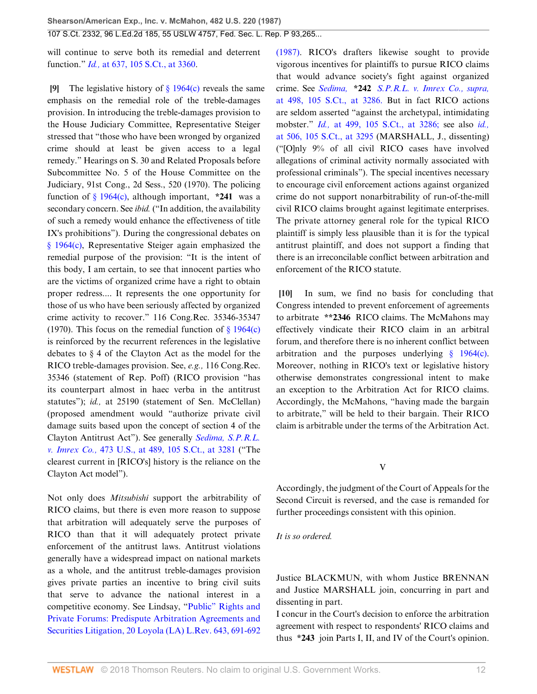will continue to serve both its remedial and deterrent function." *Id.,* [at 637, 105 S.Ct., at 3360.](http://www.westlaw.com/Link/Document/FullText?findType=Y&serNum=1985133734&pubNum=708&originatingDoc=Ic1e348109c1e11d991d0cc6b54f12d4d&refType=RP&fi=co_pp_sp_708_3360&originationContext=document&vr=3.0&rs=cblt1.0&transitionType=DocumentItem&contextData=(sc.UserEnteredCitation)#co_pp_sp_708_3360)

<span id="page-11-0"></span>**[\[9](#page-1-5)]** The legislative history of [§ 1964\(c\)](http://www.westlaw.com/Link/Document/FullText?findType=L&pubNum=1000546&cite=18USCAS1964&originatingDoc=Ic1e348109c1e11d991d0cc6b54f12d4d&refType=RB&originationContext=document&vr=3.0&rs=cblt1.0&transitionType=DocumentItem&contextData=(sc.UserEnteredCitation)#co_pp_4b24000003ba5) reveals the same emphasis on the remedial role of the treble-damages provision. In introducing the treble-damages provision to the House Judiciary Committee, Representative Steiger stressed that "those who have been wronged by organized crime should at least be given access to a legal remedy." Hearings on S. 30 and Related Proposals before Subcommittee No. 5 of the House Committee on the Judiciary, 91st Cong., 2d Sess., 520 (1970). The policing function of [§ 1964\(c\),](http://www.westlaw.com/Link/Document/FullText?findType=L&pubNum=1000546&cite=18USCAS1964&originatingDoc=Ic1e348109c1e11d991d0cc6b54f12d4d&refType=RB&originationContext=document&vr=3.0&rs=cblt1.0&transitionType=DocumentItem&contextData=(sc.UserEnteredCitation)#co_pp_4b24000003ba5) although important, **\*241** was a secondary concern. See *ibid.* ("In addition, the availability of such a remedy would enhance the effectiveness of title IX's prohibitions"). During the congressional debates on [§ 1964\(c\)](http://www.westlaw.com/Link/Document/FullText?findType=L&pubNum=1000546&cite=18USCAS1964&originatingDoc=Ic1e348109c1e11d991d0cc6b54f12d4d&refType=RB&originationContext=document&vr=3.0&rs=cblt1.0&transitionType=DocumentItem&contextData=(sc.UserEnteredCitation)#co_pp_4b24000003ba5), Representative Steiger again emphasized the remedial purpose of the provision: "It is the intent of this body, I am certain, to see that innocent parties who are the victims of organized crime have a right to obtain proper redress.... It represents the one opportunity for those of us who have been seriously affected by organized crime activity to recover." 116 Cong.Rec. 35346-35347 (1970). This focus on the remedial function of  $\S$  1964(c) is reinforced by the recurrent references in the legislative debates to § 4 of the Clayton Act as the model for the RICO treble-damages provision. See, *e.g.,* 116 Cong.Rec. 35346 (statement of Rep. Poff) (RICO provision "has its counterpart almost in haec verba in the antitrust statutes"); *id.*, at 25190 (statement of Sen. McClellan) (proposed amendment would "authorize private civil damage suits based upon the concept of section 4 of the Clayton Antitrust Act"). See generally *[Sedima, S.P.R.L.](http://www.westlaw.com/Link/Document/FullText?findType=Y&serNum=1985133475&pubNum=708&originatingDoc=Ic1e348109c1e11d991d0cc6b54f12d4d&refType=RP&fi=co_pp_sp_708_3281&originationContext=document&vr=3.0&rs=cblt1.0&transitionType=DocumentItem&contextData=(sc.UserEnteredCitation)#co_pp_sp_708_3281) v. Imrex Co.,* [473 U.S., at 489, 105 S.Ct., at 3281](http://www.westlaw.com/Link/Document/FullText?findType=Y&serNum=1985133475&pubNum=708&originatingDoc=Ic1e348109c1e11d991d0cc6b54f12d4d&refType=RP&fi=co_pp_sp_708_3281&originationContext=document&vr=3.0&rs=cblt1.0&transitionType=DocumentItem&contextData=(sc.UserEnteredCitation)#co_pp_sp_708_3281) ("The clearest current in [RICO's] history is the reliance on the Clayton Act model").

Not only does *Mitsubishi* support the arbitrability of RICO claims, but there is even more reason to suppose that arbitration will adequately serve the purposes of RICO than that it will adequately protect private enforcement of the antitrust laws. Antitrust violations generally have a widespread impact on national markets as a whole, and the antitrust treble-damages provision gives private parties an incentive to bring civil suits that serve to advance the national interest in a competitive economy. See Lindsay, ["Public" Rights and](http://www.westlaw.com/Link/Document/FullText?findType=Y&serNum=0102601157&pubNum=1184&originatingDoc=Ic1e348109c1e11d991d0cc6b54f12d4d&refType=LR&fi=co_pp_sp_1184_691&originationContext=document&vr=3.0&rs=cblt1.0&transitionType=DocumentItem&contextData=(sc.UserEnteredCitation)#co_pp_sp_1184_691) [Private Forums: Predispute Arbitration Agreements and](http://www.westlaw.com/Link/Document/FullText?findType=Y&serNum=0102601157&pubNum=1184&originatingDoc=Ic1e348109c1e11d991d0cc6b54f12d4d&refType=LR&fi=co_pp_sp_1184_691&originationContext=document&vr=3.0&rs=cblt1.0&transitionType=DocumentItem&contextData=(sc.UserEnteredCitation)#co_pp_sp_1184_691) [Securities Litigation, 20 Loyola \(LA\) L.Rev. 643, 691-692](http://www.westlaw.com/Link/Document/FullText?findType=Y&serNum=0102601157&pubNum=1184&originatingDoc=Ic1e348109c1e11d991d0cc6b54f12d4d&refType=LR&fi=co_pp_sp_1184_691&originationContext=document&vr=3.0&rs=cblt1.0&transitionType=DocumentItem&contextData=(sc.UserEnteredCitation)#co_pp_sp_1184_691)

[\(1987\).](http://www.westlaw.com/Link/Document/FullText?findType=Y&serNum=0102601157&pubNum=1184&originatingDoc=Ic1e348109c1e11d991d0cc6b54f12d4d&refType=LR&fi=co_pp_sp_1184_691&originationContext=document&vr=3.0&rs=cblt1.0&transitionType=DocumentItem&contextData=(sc.UserEnteredCitation)#co_pp_sp_1184_691) RICO's drafters likewise sought to provide vigorous incentives for plaintiffs to pursue RICO claims that would advance society's fight against organized crime. See *Sedima,* **\*242** *[S.P.R.L. v. Imrex Co., supra,](http://www.westlaw.com/Link/Document/FullText?findType=Y&serNum=1985133475&pubNum=708&originatingDoc=Ic1e348109c1e11d991d0cc6b54f12d4d&refType=RP&fi=co_pp_sp_708_3286&originationContext=document&vr=3.0&rs=cblt1.0&transitionType=DocumentItem&contextData=(sc.UserEnteredCitation)#co_pp_sp_708_3286)* [at 498, 105 S.Ct., at 3286.](http://www.westlaw.com/Link/Document/FullText?findType=Y&serNum=1985133475&pubNum=708&originatingDoc=Ic1e348109c1e11d991d0cc6b54f12d4d&refType=RP&fi=co_pp_sp_708_3286&originationContext=document&vr=3.0&rs=cblt1.0&transitionType=DocumentItem&contextData=(sc.UserEnteredCitation)#co_pp_sp_708_3286) But in fact RICO actions are seldom asserted "against the archetypal, intimidating mobster." *Id.,* [at 499, 105 S.Ct., at 3286;](http://www.westlaw.com/Link/Document/FullText?findType=Y&serNum=1985133475&pubNum=708&originatingDoc=Ic1e348109c1e11d991d0cc6b54f12d4d&refType=RP&fi=co_pp_sp_708_3286&originationContext=document&vr=3.0&rs=cblt1.0&transitionType=DocumentItem&contextData=(sc.UserEnteredCitation)#co_pp_sp_708_3286) see also *[id.,](http://www.westlaw.com/Link/Document/FullText?findType=Y&serNum=1985133475&pubNum=708&originatingDoc=Ic1e348109c1e11d991d0cc6b54f12d4d&refType=RP&fi=co_pp_sp_708_3295&originationContext=document&vr=3.0&rs=cblt1.0&transitionType=DocumentItem&contextData=(sc.UserEnteredCitation)#co_pp_sp_708_3295)* [at 506, 105 S.Ct., at 3295](http://www.westlaw.com/Link/Document/FullText?findType=Y&serNum=1985133475&pubNum=708&originatingDoc=Ic1e348109c1e11d991d0cc6b54f12d4d&refType=RP&fi=co_pp_sp_708_3295&originationContext=document&vr=3.0&rs=cblt1.0&transitionType=DocumentItem&contextData=(sc.UserEnteredCitation)#co_pp_sp_708_3295) (MARSHALL, J., dissenting) ("[O]nly 9% of all civil RICO cases have involved allegations of criminal activity normally associated with professional criminals"). The special incentives necessary to encourage civil enforcement actions against organized crime do not support nonarbitrability of run-of-the-mill civil RICO claims brought against legitimate enterprises. The private attorney general role for the typical RICO plaintiff is simply less plausible than it is for the typical antitrust plaintiff, and does not support a finding that there is an irreconcilable conflict between arbitration and enforcement of the RICO statute.

<span id="page-11-1"></span>**[\[10](#page-1-6)]** In sum, we find no basis for concluding that Congress intended to prevent enforcement of agreements to arbitrate **\*\*2346** RICO claims. The McMahons may effectively vindicate their RICO claim in an arbitral forum, and therefore there is no inherent conflict between arbitration and the purposes underlying  $\frac{1964(c)}{c}$ . Moreover, nothing in RICO's text or legislative history otherwise demonstrates congressional intent to make an exception to the Arbitration Act for RICO claims. Accordingly, the McMahons, "having made the bargain to arbitrate," will be held to their bargain. Their RICO claim is arbitrable under the terms of the Arbitration Act.

V

Accordingly, the judgment of the Court of Appeals for the Second Circuit is reversed, and the case is remanded for further proceedings consistent with this opinion.

#### *It is so ordered.*

Justice BLACKMUN, with whom Justice BRENNAN and Justice MARSHALL join, concurring in part and dissenting in part.

I concur in the Court's decision to enforce the arbitration agreement with respect to respondents' RICO claims and thus **\*243** join Parts I, II, and IV of the Court's opinion.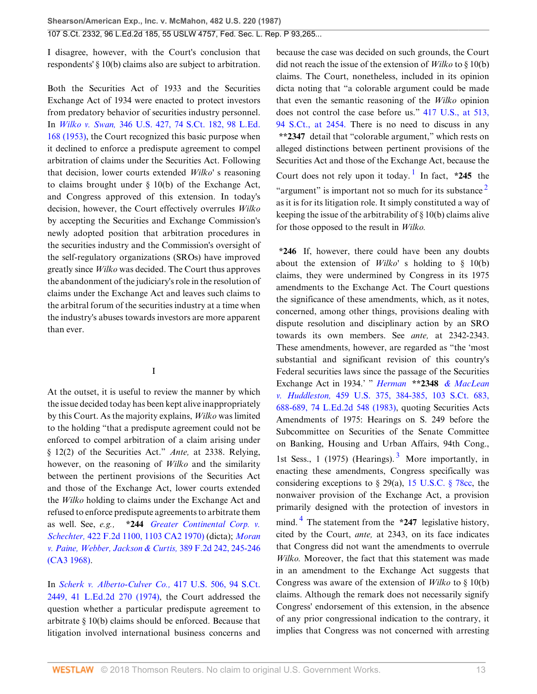I disagree, however, with the Court's conclusion that respondents' § 10(b) claims also are subject to arbitration.

Both the Securities Act of 1933 and the Securities Exchange Act of 1934 were enacted to protect investors from predatory behavior of securities industry personnel. In *Wilko v. Swan,* [346 U.S. 427, 74 S.Ct. 182, 98 L.Ed.](http://www.westlaw.com/Link/Document/FullText?findType=Y&serNum=1953121062&pubNum=708&originatingDoc=Ic1e348109c1e11d991d0cc6b54f12d4d&refType=RP&originationContext=document&vr=3.0&rs=cblt1.0&transitionType=DocumentItem&contextData=(sc.UserEnteredCitation)) [168 \(1953\)](http://www.westlaw.com/Link/Document/FullText?findType=Y&serNum=1953121062&pubNum=708&originatingDoc=Ic1e348109c1e11d991d0cc6b54f12d4d&refType=RP&originationContext=document&vr=3.0&rs=cblt1.0&transitionType=DocumentItem&contextData=(sc.UserEnteredCitation)), the Court recognized this basic purpose when it declined to enforce a predispute agreement to compel arbitration of claims under the Securities Act. Following that decision, lower courts extended *Wilko'* s reasoning to claims brought under § 10(b) of the Exchange Act, and Congress approved of this extension. In today's decision, however, the Court effectively overrules *Wilko* by accepting the Securities and Exchange Commission's newly adopted position that arbitration procedures in the securities industry and the Commission's oversight of the self-regulatory organizations (SROs) have improved greatly since *Wilko* was decided. The Court thus approves the abandonment of the judiciary's role in the resolution of claims under the Exchange Act and leaves such claims to the arbitral forum of the securities industry at a time when the industry's abuses towards investors are more apparent than ever.

## <span id="page-12-3"></span>I

At the outset, it is useful to review the manner by which the issue decided today has been kept alive inappropriately by this Court. As the majority explains, *Wilko* was limited to the holding "that a predispute agreement could not be enforced to compel arbitration of a claim arising under § 12(2) of the Securities Act." *Ante,* at 2338. Relying, however, on the reasoning of *Wilko* and the similarity between the pertinent provisions of the Securities Act and those of the Exchange Act, lower courts extended the *Wilko* holding to claims under the Exchange Act and refused to enforce predispute agreements to arbitrate them as well. See, *e.g.,* **\*244** *[Greater Continental Corp. v.](http://www.westlaw.com/Link/Document/FullText?findType=Y&serNum=1970116986&pubNum=350&originatingDoc=Ic1e348109c1e11d991d0cc6b54f12d4d&refType=RP&originationContext=document&vr=3.0&rs=cblt1.0&transitionType=DocumentItem&contextData=(sc.UserEnteredCitation)) Schechter,* [422 F.2d 1100, 1103 CA2 1970\)](http://www.westlaw.com/Link/Document/FullText?findType=Y&serNum=1970116986&pubNum=350&originatingDoc=Ic1e348109c1e11d991d0cc6b54f12d4d&refType=RP&originationContext=document&vr=3.0&rs=cblt1.0&transitionType=DocumentItem&contextData=(sc.UserEnteredCitation)) (dicta); *[Moran](http://www.westlaw.com/Link/Document/FullText?findType=Y&serNum=1968104431&pubNum=350&originatingDoc=Ic1e348109c1e11d991d0cc6b54f12d4d&refType=RP&fi=co_pp_sp_350_245&originationContext=document&vr=3.0&rs=cblt1.0&transitionType=DocumentItem&contextData=(sc.UserEnteredCitation)#co_pp_sp_350_245) [v. Paine, Webber, Jackson & Curtis,](http://www.westlaw.com/Link/Document/FullText?findType=Y&serNum=1968104431&pubNum=350&originatingDoc=Ic1e348109c1e11d991d0cc6b54f12d4d&refType=RP&fi=co_pp_sp_350_245&originationContext=document&vr=3.0&rs=cblt1.0&transitionType=DocumentItem&contextData=(sc.UserEnteredCitation)#co_pp_sp_350_245)* 389 F.2d 242, 245-246 [\(CA3 1968\)](http://www.westlaw.com/Link/Document/FullText?findType=Y&serNum=1968104431&pubNum=350&originatingDoc=Ic1e348109c1e11d991d0cc6b54f12d4d&refType=RP&fi=co_pp_sp_350_245&originationContext=document&vr=3.0&rs=cblt1.0&transitionType=DocumentItem&contextData=(sc.UserEnteredCitation)#co_pp_sp_350_245).

In *[Scherk v. Alberto-Culver Co.,](http://www.westlaw.com/Link/Document/FullText?findType=Y&serNum=1974127217&pubNum=708&originatingDoc=Ic1e348109c1e11d991d0cc6b54f12d4d&refType=RP&originationContext=document&vr=3.0&rs=cblt1.0&transitionType=DocumentItem&contextData=(sc.UserEnteredCitation))* 417 U.S. 506, 94 S.Ct. [2449, 41 L.Ed.2d 270 \(1974\),](http://www.westlaw.com/Link/Document/FullText?findType=Y&serNum=1974127217&pubNum=708&originatingDoc=Ic1e348109c1e11d991d0cc6b54f12d4d&refType=RP&originationContext=document&vr=3.0&rs=cblt1.0&transitionType=DocumentItem&contextData=(sc.UserEnteredCitation)) the Court addressed the question whether a particular predispute agreement to arbitrate § 10(b) claims should be enforced. Because that litigation involved international business concerns and because the case was decided on such grounds, the Court did not reach the issue of the extension of *Wilko* to § 10(b) claims. The Court, nonetheless, included in its opinion dicta noting that "a colorable argument could be made that even the semantic reasoning of the *Wilko* opinion does not control the case before us." [417 U.S., at 513,](http://www.westlaw.com/Link/Document/FullText?findType=Y&serNum=1974127217&pubNum=708&originatingDoc=Ic1e348109c1e11d991d0cc6b54f12d4d&refType=RP&fi=co_pp_sp_708_2454&originationContext=document&vr=3.0&rs=cblt1.0&transitionType=DocumentItem&contextData=(sc.UserEnteredCitation)#co_pp_sp_708_2454) [94 S.Ct., at 2454.](http://www.westlaw.com/Link/Document/FullText?findType=Y&serNum=1974127217&pubNum=708&originatingDoc=Ic1e348109c1e11d991d0cc6b54f12d4d&refType=RP&fi=co_pp_sp_708_2454&originationContext=document&vr=3.0&rs=cblt1.0&transitionType=DocumentItem&contextData=(sc.UserEnteredCitation)#co_pp_sp_708_2454) There is no need to discuss in any **\*\*2347** detail that "colorable argument," which rests on alleged distinctions between pertinent provisions of the Securities Act and those of the Exchange Act, because the Court does not rely upon it today.<sup>[1](#page-19-4)</sup> In fact,  $*245$  the "argument" is important not so much for its substance  $2^2$  $2^2$ as it is for its litigation role. It simply constituted a way of keeping the issue of the arbitrability of § 10(b) claims alive for those opposed to the result in *Wilko.*

<span id="page-12-2"></span><span id="page-12-1"></span><span id="page-12-0"></span>**\*246** If, however, there could have been any doubts about the extension of *Wilko'* s holding to § 10(b) claims, they were undermined by Congress in its 1975 amendments to the Exchange Act. The Court questions the significance of these amendments, which, as it notes, concerned, among other things, provisions dealing with dispute resolution and disciplinary action by an SRO towards its own members. See *ante,* at 2342-2343. These amendments, however, are regarded as "the 'most substantial and significant revision of this country's Federal securities laws since the passage of the Securities Exchange Act in 1934.' " *Herman* **\*\*2348** *[& MacLean](http://www.westlaw.com/Link/Document/FullText?findType=Y&serNum=1983104350&pubNum=708&originatingDoc=Ic1e348109c1e11d991d0cc6b54f12d4d&refType=RP&fi=co_pp_sp_708_688&originationContext=document&vr=3.0&rs=cblt1.0&transitionType=DocumentItem&contextData=(sc.UserEnteredCitation)#co_pp_sp_708_688) v. Huddleston,* [459 U.S. 375, 384-385, 103 S.Ct. 683,](http://www.westlaw.com/Link/Document/FullText?findType=Y&serNum=1983104350&pubNum=708&originatingDoc=Ic1e348109c1e11d991d0cc6b54f12d4d&refType=RP&fi=co_pp_sp_708_688&originationContext=document&vr=3.0&rs=cblt1.0&transitionType=DocumentItem&contextData=(sc.UserEnteredCitation)#co_pp_sp_708_688) [688-689, 74 L.Ed.2d 548 \(1983\),](http://www.westlaw.com/Link/Document/FullText?findType=Y&serNum=1983104350&pubNum=708&originatingDoc=Ic1e348109c1e11d991d0cc6b54f12d4d&refType=RP&fi=co_pp_sp_708_688&originationContext=document&vr=3.0&rs=cblt1.0&transitionType=DocumentItem&contextData=(sc.UserEnteredCitation)#co_pp_sp_708_688) quoting Securities Acts Amendments of 1975: Hearings on S. 249 before the Subcommittee on Securities of the Senate Committee on Banking, Housing and Urban Affairs, 94th Cong., 1st Sess., 1 (1975) (Hearings).<sup>[3](#page-20-0)</sup> More importantly, in enacting these amendments, Congress specifically was considering exceptions to  $\S$  29(a), 15 U.S.C.  $\S$  78cc, the nonwaiver provision of the Exchange Act, a provision primarily designed with the protection of investors in mind. [4](#page-20-1) The statement from the **\*247** legislative history, cited by the Court, *ante,* at 2343, on its face indicates that Congress did not want the amendments to overrule *Wilko.* Moreover, the fact that this statement was made in an amendment to the Exchange Act suggests that Congress was aware of the extension of *Wilko* to § 10(b) claims. Although the remark does not necessarily signify Congress' endorsement of this extension, in the absence of any prior congressional indication to the contrary, it implies that Congress was not concerned with arresting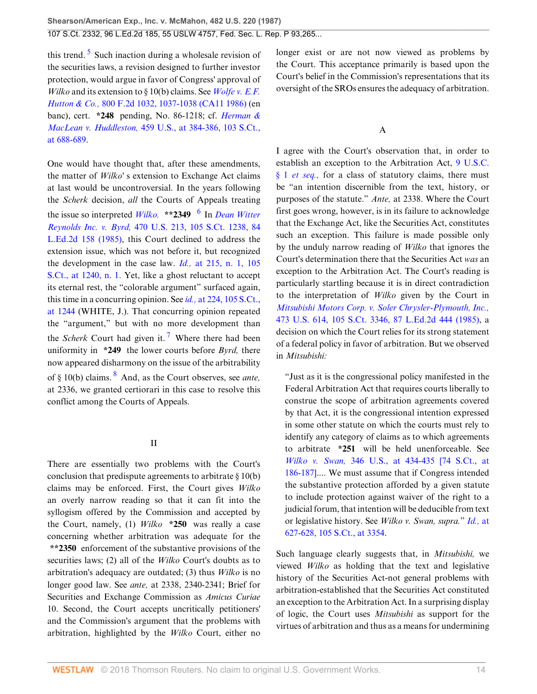<span id="page-13-0"></span>this trend.<sup>[5](#page-20-2)</sup> Such inaction during a wholesale revision of the securities laws, a revision designed to further investor protection, would argue in favor of Congress' approval of *Wilko* and its extension to § 10(b) claims. See *[Wolfe v. E.F.](http://www.westlaw.com/Link/Document/FullText?findType=Y&serNum=1986145518&pubNum=350&originatingDoc=Ic1e348109c1e11d991d0cc6b54f12d4d&refType=RP&fi=co_pp_sp_350_1037&originationContext=document&vr=3.0&rs=cblt1.0&transitionType=DocumentItem&contextData=(sc.UserEnteredCitation)#co_pp_sp_350_1037) Hutton & Co.,* [800 F.2d 1032, 1037-1038 \(CA11 1986\)](http://www.westlaw.com/Link/Document/FullText?findType=Y&serNum=1986145518&pubNum=350&originatingDoc=Ic1e348109c1e11d991d0cc6b54f12d4d&refType=RP&fi=co_pp_sp_350_1037&originationContext=document&vr=3.0&rs=cblt1.0&transitionType=DocumentItem&contextData=(sc.UserEnteredCitation)#co_pp_sp_350_1037) (en banc), cert. **\*248** pending, No. 86-1218; cf. *[Herman &](http://www.westlaw.com/Link/Document/FullText?findType=Y&serNum=1983104350&pubNum=708&originatingDoc=Ic1e348109c1e11d991d0cc6b54f12d4d&refType=RP&fi=co_pp_sp_708_688&originationContext=document&vr=3.0&rs=cblt1.0&transitionType=DocumentItem&contextData=(sc.UserEnteredCitation)#co_pp_sp_708_688) MacLean v. Huddleston,* [459 U.S., at 384-386, 103 S.Ct.,](http://www.westlaw.com/Link/Document/FullText?findType=Y&serNum=1983104350&pubNum=708&originatingDoc=Ic1e348109c1e11d991d0cc6b54f12d4d&refType=RP&fi=co_pp_sp_708_688&originationContext=document&vr=3.0&rs=cblt1.0&transitionType=DocumentItem&contextData=(sc.UserEnteredCitation)#co_pp_sp_708_688) [at 688-689](http://www.westlaw.com/Link/Document/FullText?findType=Y&serNum=1983104350&pubNum=708&originatingDoc=Ic1e348109c1e11d991d0cc6b54f12d4d&refType=RP&fi=co_pp_sp_708_688&originationContext=document&vr=3.0&rs=cblt1.0&transitionType=DocumentItem&contextData=(sc.UserEnteredCitation)#co_pp_sp_708_688).

One would have thought that, after these amendments, the matter of *Wilko'* s extension to Exchange Act claims at last would be uncontroversial. In the years following the *Scherk* decision, *all* the Courts of Appeals treating the issue so interpreted *[Wilko.](http://www.westlaw.com/Link/Document/FullText?findType=Y&serNum=1981125202&originatingDoc=Ic1e348109c1e11d991d0cc6b54f12d4d&refType=RP&originationContext=document&vr=3.0&rs=cblt1.0&transitionType=DocumentItem&contextData=(sc.UserEnteredCitation))* **\*\*2349** [6](#page-20-3) In *[Dean Witter](http://www.westlaw.com/Link/Document/FullText?findType=Y&serNum=1985110908&pubNum=708&originatingDoc=Ic1e348109c1e11d991d0cc6b54f12d4d&refType=RP&originationContext=document&vr=3.0&rs=cblt1.0&transitionType=DocumentItem&contextData=(sc.UserEnteredCitation)) Reynolds Inc. v. Byrd,* [470 U.S. 213, 105 S.Ct. 1238, 84](http://www.westlaw.com/Link/Document/FullText?findType=Y&serNum=1985110908&pubNum=708&originatingDoc=Ic1e348109c1e11d991d0cc6b54f12d4d&refType=RP&originationContext=document&vr=3.0&rs=cblt1.0&transitionType=DocumentItem&contextData=(sc.UserEnteredCitation)) [L.Ed.2d 158 \(1985\),](http://www.westlaw.com/Link/Document/FullText?findType=Y&serNum=1985110908&pubNum=708&originatingDoc=Ic1e348109c1e11d991d0cc6b54f12d4d&refType=RP&originationContext=document&vr=3.0&rs=cblt1.0&transitionType=DocumentItem&contextData=(sc.UserEnteredCitation)) this Court declined to address the extension issue, which was not before it, but recognized the development in the case law. *Id.,* [at 215, n. 1, 105](http://www.westlaw.com/Link/Document/FullText?findType=Y&serNum=1985110908&pubNum=708&originatingDoc=Ic1e348109c1e11d991d0cc6b54f12d4d&refType=RP&fi=co_pp_sp_708_1240&originationContext=document&vr=3.0&rs=cblt1.0&transitionType=DocumentItem&contextData=(sc.UserEnteredCitation)#co_pp_sp_708_1240) [S.Ct., at 1240, n. 1.](http://www.westlaw.com/Link/Document/FullText?findType=Y&serNum=1985110908&pubNum=708&originatingDoc=Ic1e348109c1e11d991d0cc6b54f12d4d&refType=RP&fi=co_pp_sp_708_1240&originationContext=document&vr=3.0&rs=cblt1.0&transitionType=DocumentItem&contextData=(sc.UserEnteredCitation)#co_pp_sp_708_1240) Yet, like a ghost reluctant to accept its eternal rest, the "colorable argument" surfaced again, this time in a concurring opinion. See *id.,* [at 224, 105 S.Ct.,](http://www.westlaw.com/Link/Document/FullText?findType=Y&serNum=1985110908&pubNum=708&originatingDoc=Ic1e348109c1e11d991d0cc6b54f12d4d&refType=RP&fi=co_pp_sp_708_1244&originationContext=document&vr=3.0&rs=cblt1.0&transitionType=DocumentItem&contextData=(sc.UserEnteredCitation)#co_pp_sp_708_1244) [at 1244](http://www.westlaw.com/Link/Document/FullText?findType=Y&serNum=1985110908&pubNum=708&originatingDoc=Ic1e348109c1e11d991d0cc6b54f12d4d&refType=RP&fi=co_pp_sp_708_1244&originationContext=document&vr=3.0&rs=cblt1.0&transitionType=DocumentItem&contextData=(sc.UserEnteredCitation)#co_pp_sp_708_1244) (WHITE, J.). That concurring opinion repeated the "argument," but with no more development than the *Scherk* Court had given it.<sup>[7](#page-20-4)</sup> Where there had been uniformity in **\*249** the lower courts before *Byrd,* there now appeared disharmony on the issue of the arbitrability of § 10(b) claims. [8](#page-21-0) And, as the Court observes, see *ante,* at 2336, we granted certiorari in this case to resolve this conflict among the Courts of Appeals.

## <span id="page-13-3"></span><span id="page-13-2"></span>II

There are essentially two problems with the Court's conclusion that predispute agreements to arbitrate § 10(b) claims may be enforced. First, the Court gives *Wilko* an overly narrow reading so that it can fit into the syllogism offered by the Commission and accepted by the Court, namely, (1) *Wilko* **\*250** was really a case concerning whether arbitration was adequate for the **\*\*2350** enforcement of the substantive provisions of the securities laws; (2) all of the *Wilko* Court's doubts as to arbitration's adequacy are outdated; (3) thus *Wilko* is no longer good law. See *ante,* at 2338, 2340-2341; Brief for Securities and Exchange Commission as *Amicus Curiae* 10. Second, the Court accepts uncritically petitioners' and the Commission's argument that the problems with arbitration, highlighted by the *Wilko* Court, either no longer exist or are not now viewed as problems by the Court. This acceptance primarily is based upon the Court's belief in the Commission's representations that its oversight of the SROs ensures the adequacy of arbitration.

## A

<span id="page-13-1"></span>I agree with the Court's observation that, in order to establish an exception to the Arbitration Act, [9 U.S.C.](http://www.westlaw.com/Link/Document/FullText?findType=L&pubNum=1000546&cite=9USCAS1&originatingDoc=Ic1e348109c1e11d991d0cc6b54f12d4d&refType=LQ&originationContext=document&vr=3.0&rs=cblt1.0&transitionType=DocumentItem&contextData=(sc.UserEnteredCitation)) § 1 *[et seq.](http://www.westlaw.com/Link/Document/FullText?findType=L&pubNum=1000546&cite=9USCAS1&originatingDoc=Ic1e348109c1e11d991d0cc6b54f12d4d&refType=LQ&originationContext=document&vr=3.0&rs=cblt1.0&transitionType=DocumentItem&contextData=(sc.UserEnteredCitation))*, for a class of statutory claims, there must be "an intention discernible from the text, history, or purposes of the statute." *Ante,* at 2338. Where the Court first goes wrong, however, is in its failure to acknowledge that the Exchange Act, like the Securities Act, constitutes such an exception. This failure is made possible only by the unduly narrow reading of *Wilko* that ignores the Court's determination there that the Securities Act *was* an exception to the Arbitration Act. The Court's reading is particularly startling because it is in direct contradiction to the interpretation of *Wilko* given by the Court in *[Mitsubishi Motors Corp. v. Soler Chrysler-Plymouth, Inc.,](http://www.westlaw.com/Link/Document/FullText?findType=Y&serNum=1985133734&pubNum=708&originatingDoc=Ic1e348109c1e11d991d0cc6b54f12d4d&refType=RP&originationContext=document&vr=3.0&rs=cblt1.0&transitionType=DocumentItem&contextData=(sc.UserEnteredCitation))* [473 U.S. 614, 105 S.Ct. 3346, 87 L.Ed.2d 444 \(1985\),](http://www.westlaw.com/Link/Document/FullText?findType=Y&serNum=1985133734&pubNum=708&originatingDoc=Ic1e348109c1e11d991d0cc6b54f12d4d&refType=RP&originationContext=document&vr=3.0&rs=cblt1.0&transitionType=DocumentItem&contextData=(sc.UserEnteredCitation)) a decision on which the Court relies for its strong statement of a federal policy in favor of arbitration. But we observed in *Mitsubishi:*

"Just as it is the congressional policy manifested in the Federal Arbitration Act that requires courts liberally to construe the scope of arbitration agreements covered by that Act, it is the congressional intention expressed in some other statute on which the courts must rely to identify any category of claims as to which agreements to arbitrate **\*251** will be held unenforceable. See *Wilko v. Swan,* [346 U.S., at 434-435 \[74 S.Ct., at](http://www.westlaw.com/Link/Document/FullText?findType=Y&serNum=1953121062&pubNum=708&originatingDoc=Ic1e348109c1e11d991d0cc6b54f12d4d&refType=RP&fi=co_pp_sp_708_186&originationContext=document&vr=3.0&rs=cblt1.0&transitionType=DocumentItem&contextData=(sc.UserEnteredCitation)#co_pp_sp_708_186) [186-187\]](http://www.westlaw.com/Link/Document/FullText?findType=Y&serNum=1953121062&pubNum=708&originatingDoc=Ic1e348109c1e11d991d0cc6b54f12d4d&refType=RP&fi=co_pp_sp_708_186&originationContext=document&vr=3.0&rs=cblt1.0&transitionType=DocumentItem&contextData=(sc.UserEnteredCitation)#co_pp_sp_708_186).... We must assume that if Congress intended the substantive protection afforded by a given statute to include protection against waiver of the right to a judicial forum, that intention will be deducible from text or legislative history. See *Wilko v. Swan, supra.*" *[Id.,](http://www.westlaw.com/Link/Document/FullText?findType=Y&serNum=1985133734&pubNum=708&originatingDoc=Ic1e348109c1e11d991d0cc6b54f12d4d&refType=RP&fi=co_pp_sp_708_3354&originationContext=document&vr=3.0&rs=cblt1.0&transitionType=DocumentItem&contextData=(sc.UserEnteredCitation)#co_pp_sp_708_3354)* at [627-628, 105 S.Ct., at 3354.](http://www.westlaw.com/Link/Document/FullText?findType=Y&serNum=1985133734&pubNum=708&originatingDoc=Ic1e348109c1e11d991d0cc6b54f12d4d&refType=RP&fi=co_pp_sp_708_3354&originationContext=document&vr=3.0&rs=cblt1.0&transitionType=DocumentItem&contextData=(sc.UserEnteredCitation)#co_pp_sp_708_3354)

Such language clearly suggests that, in *Mitsubishi,* we viewed *Wilko* as holding that the text and legislative history of the Securities Act-not general problems with arbitration-established that the Securities Act constituted an exception to the Arbitration Act. In a surprising display of logic, the Court uses *Mitsubishi* as support for the virtues of arbitration and thus as a means for undermining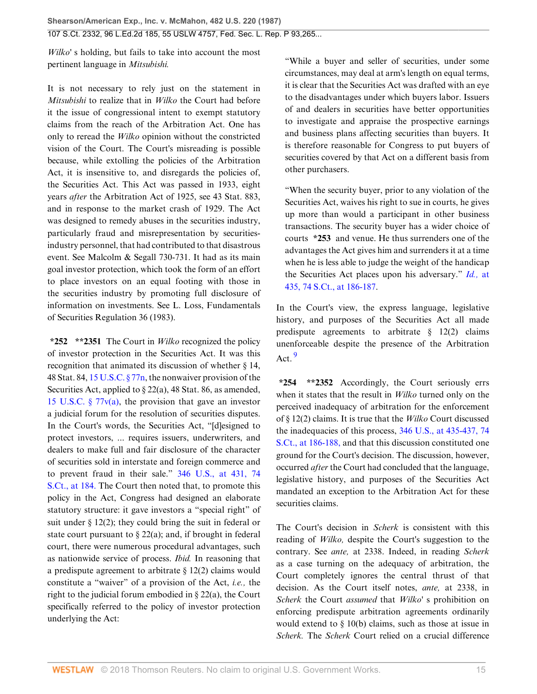*Wilko'* s holding, but fails to take into account the most pertinent language in *Mitsubishi.*

It is not necessary to rely just on the statement in *Mitsubishi* to realize that in *Wilko* the Court had before it the issue of congressional intent to exempt statutory claims from the reach of the Arbitration Act. One has only to reread the *Wilko* opinion without the constricted vision of the Court. The Court's misreading is possible because, while extolling the policies of the Arbitration Act, it is insensitive to, and disregards the policies of, the Securities Act. This Act was passed in 1933, eight years *after* the Arbitration Act of 1925, see 43 Stat. 883, and in response to the market crash of 1929. The Act was designed to remedy abuses in the securities industry, particularly fraud and misrepresentation by securitiesindustry personnel, that had contributed to that disastrous event. See Malcolm & Segall 730-731. It had as its main goal investor protection, which took the form of an effort to place investors on an equal footing with those in the securities industry by promoting full disclosure of information on investments. See L. Loss, Fundamentals of Securities Regulation 36 (1983).

**\*252 \*\*2351** The Court in *Wilko* recognized the policy of investor protection in the Securities Act. It was this recognition that animated its discussion of whether § 14, 48 Stat. 84, [15 U.S.C. § 77n](http://www.westlaw.com/Link/Document/FullText?findType=L&pubNum=1000546&cite=15USCAS77N&originatingDoc=Ic1e348109c1e11d991d0cc6b54f12d4d&refType=LQ&originationContext=document&vr=3.0&rs=cblt1.0&transitionType=DocumentItem&contextData=(sc.UserEnteredCitation)), the nonwaiver provision of the Securities Act, applied to § 22(a), 48 Stat. 86, as amended, [15 U.S.C. § 77v\(a\),](http://www.westlaw.com/Link/Document/FullText?findType=L&pubNum=1000546&cite=15USCAS77V&originatingDoc=Ic1e348109c1e11d991d0cc6b54f12d4d&refType=RB&originationContext=document&vr=3.0&rs=cblt1.0&transitionType=DocumentItem&contextData=(sc.UserEnteredCitation)#co_pp_8b3b0000958a4) the provision that gave an investor a judicial forum for the resolution of securities disputes. In the Court's words, the Securities Act, "[d]esigned to protect investors, ... requires issuers, underwriters, and dealers to make full and fair disclosure of the character of securities sold in interstate and foreign commerce and to prevent fraud in their sale." [346 U.S., at 431, 74](http://www.westlaw.com/Link/Document/FullText?findType=Y&serNum=1953121062&pubNum=708&originatingDoc=Ic1e348109c1e11d991d0cc6b54f12d4d&refType=RP&fi=co_pp_sp_708_184&originationContext=document&vr=3.0&rs=cblt1.0&transitionType=DocumentItem&contextData=(sc.UserEnteredCitation)#co_pp_sp_708_184) [S.Ct., at 184.](http://www.westlaw.com/Link/Document/FullText?findType=Y&serNum=1953121062&pubNum=708&originatingDoc=Ic1e348109c1e11d991d0cc6b54f12d4d&refType=RP&fi=co_pp_sp_708_184&originationContext=document&vr=3.0&rs=cblt1.0&transitionType=DocumentItem&contextData=(sc.UserEnteredCitation)#co_pp_sp_708_184) The Court then noted that, to promote this policy in the Act, Congress had designed an elaborate statutory structure: it gave investors a "special right" of suit under § 12(2); they could bring the suit in federal or state court pursuant to  $\S 22(a)$ ; and, if brought in federal court, there were numerous procedural advantages, such as nationwide service of process. *Ibid.* In reasoning that a predispute agreement to arbitrate  $\S 12(2)$  claims would constitute a "waiver" of a provision of the Act, *i.e.,* the right to the judicial forum embodied in § 22(a), the Court specifically referred to the policy of investor protection underlying the Act:

"While a buyer and seller of securities, under some circumstances, may deal at arm's length on equal terms, it is clear that the Securities Act was drafted with an eye to the disadvantages under which buyers labor. Issuers of and dealers in securities have better opportunities to investigate and appraise the prospective earnings and business plans affecting securities than buyers. It is therefore reasonable for Congress to put buyers of securities covered by that Act on a different basis from other purchasers.

"When the security buyer, prior to any violation of the Securities Act, waives his right to sue in courts, he gives up more than would a participant in other business transactions. The security buyer has a wider choice of courts **\*253** and venue. He thus surrenders one of the advantages the Act gives him and surrenders it at a time when he is less able to judge the weight of the handicap the Securities Act places upon his adversary." *[Id.,](http://www.westlaw.com/Link/Document/FullText?findType=Y&serNum=1953121062&pubNum=708&originatingDoc=Ic1e348109c1e11d991d0cc6b54f12d4d&refType=RP&fi=co_pp_sp_708_186&originationContext=document&vr=3.0&rs=cblt1.0&transitionType=DocumentItem&contextData=(sc.UserEnteredCitation)#co_pp_sp_708_186)* at [435, 74 S.Ct., at 186-187.](http://www.westlaw.com/Link/Document/FullText?findType=Y&serNum=1953121062&pubNum=708&originatingDoc=Ic1e348109c1e11d991d0cc6b54f12d4d&refType=RP&fi=co_pp_sp_708_186&originationContext=document&vr=3.0&rs=cblt1.0&transitionType=DocumentItem&contextData=(sc.UserEnteredCitation)#co_pp_sp_708_186)

In the Court's view, the express language, legislative history, and purposes of the Securities Act all made predispute agreements to arbitrate § 12(2) claims unenforceable despite the presence of the Arbitration  $Act.$ <sup>[9](#page-21-1)</sup>

<span id="page-14-0"></span>**\*254 \*\*2352** Accordingly, the Court seriously errs when it states that the result in *Wilko* turned only on the perceived inadequacy of arbitration for the enforcement of § 12(2) claims. It is true that the *Wilko* Court discussed the inadequacies of this process, [346 U.S., at 435-437, 74](http://www.westlaw.com/Link/Document/FullText?findType=Y&serNum=1953121062&pubNum=708&originatingDoc=Ic1e348109c1e11d991d0cc6b54f12d4d&refType=RP&fi=co_pp_sp_708_186&originationContext=document&vr=3.0&rs=cblt1.0&transitionType=DocumentItem&contextData=(sc.UserEnteredCitation)#co_pp_sp_708_186) [S.Ct., at 186-188,](http://www.westlaw.com/Link/Document/FullText?findType=Y&serNum=1953121062&pubNum=708&originatingDoc=Ic1e348109c1e11d991d0cc6b54f12d4d&refType=RP&fi=co_pp_sp_708_186&originationContext=document&vr=3.0&rs=cblt1.0&transitionType=DocumentItem&contextData=(sc.UserEnteredCitation)#co_pp_sp_708_186) and that this discussion constituted one ground for the Court's decision. The discussion, however, occurred *after* the Court had concluded that the language, legislative history, and purposes of the Securities Act mandated an exception to the Arbitration Act for these securities claims.

The Court's decision in *Scherk* is consistent with this reading of *Wilko,* despite the Court's suggestion to the contrary. See *ante,* at 2338. Indeed, in reading *Scherk* as a case turning on the adequacy of arbitration, the Court completely ignores the central thrust of that decision. As the Court itself notes, *ante,* at 2338, in *Scherk* the Court *assumed* that *Wilko'* s prohibition on enforcing predispute arbitration agreements ordinarily would extend to § 10(b) claims, such as those at issue in *Scherk.* The *Scherk* Court relied on a crucial difference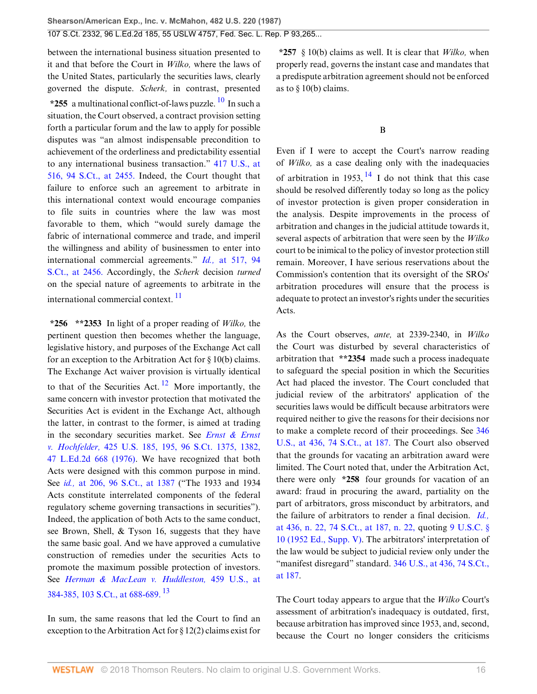between the international business situation presented to it and that before the Court in *Wilko,* where the laws of the United States, particularly the securities laws, clearly governed the dispute. *Scherk,* in contrast, presented **\*255** a multinational conflict-of-laws puzzle. [10](#page-21-2) In such a situation, the Court observed, a contract provision setting forth a particular forum and the law to apply for possible disputes was "an almost indispensable precondition to achievement of the orderliness and predictability essential to any international business transaction." [417 U.S., at](http://www.westlaw.com/Link/Document/FullText?findType=Y&serNum=1974127217&pubNum=708&originatingDoc=Ic1e348109c1e11d991d0cc6b54f12d4d&refType=RP&fi=co_pp_sp_708_2455&originationContext=document&vr=3.0&rs=cblt1.0&transitionType=DocumentItem&contextData=(sc.UserEnteredCitation)#co_pp_sp_708_2455) [516, 94 S.Ct., at 2455.](http://www.westlaw.com/Link/Document/FullText?findType=Y&serNum=1974127217&pubNum=708&originatingDoc=Ic1e348109c1e11d991d0cc6b54f12d4d&refType=RP&fi=co_pp_sp_708_2455&originationContext=document&vr=3.0&rs=cblt1.0&transitionType=DocumentItem&contextData=(sc.UserEnteredCitation)#co_pp_sp_708_2455) Indeed, the Court thought that failure to enforce such an agreement to arbitrate in this international context would encourage companies to file suits in countries where the law was most favorable to them, which "would surely damage the fabric of international commerce and trade, and imperil the willingness and ability of businessmen to enter into international commercial agreements." *Id.,* [at 517, 94](http://www.westlaw.com/Link/Document/FullText?findType=Y&serNum=1974127217&pubNum=708&originatingDoc=Ic1e348109c1e11d991d0cc6b54f12d4d&refType=RP&fi=co_pp_sp_708_2456&originationContext=document&vr=3.0&rs=cblt1.0&transitionType=DocumentItem&contextData=(sc.UserEnteredCitation)#co_pp_sp_708_2456) [S.Ct., at 2456.](http://www.westlaw.com/Link/Document/FullText?findType=Y&serNum=1974127217&pubNum=708&originatingDoc=Ic1e348109c1e11d991d0cc6b54f12d4d&refType=RP&fi=co_pp_sp_708_2456&originationContext=document&vr=3.0&rs=cblt1.0&transitionType=DocumentItem&contextData=(sc.UserEnteredCitation)#co_pp_sp_708_2456) Accordingly, the *Scherk* decision *turned* on the special nature of agreements to arbitrate in the international commercial context.<sup>[11](#page-22-0)</sup>

**\*256 \*\*2353** In light of a proper reading of *Wilko,* the pertinent question then becomes whether the language, legislative history, and purposes of the Exchange Act call for an exception to the Arbitration Act for § 10(b) claims. The Exchange Act waiver provision is virtually identical to that of the Securities Act.  $\frac{12}{1}$  $\frac{12}{1}$  $\frac{12}{1}$  More importantly, the same concern with investor protection that motivated the Securities Act is evident in the Exchange Act, although the latter, in contrast to the former, is aimed at trading in the secondary securities market. See *[Ernst & Ernst](http://www.westlaw.com/Link/Document/FullText?findType=Y&serNum=1976142348&pubNum=708&originatingDoc=Ic1e348109c1e11d991d0cc6b54f12d4d&refType=RP&fi=co_pp_sp_708_1382&originationContext=document&vr=3.0&rs=cblt1.0&transitionType=DocumentItem&contextData=(sc.UserEnteredCitation)#co_pp_sp_708_1382) v. Hochfelder,* [425 U.S. 185, 195, 96 S.Ct. 1375, 1382,](http://www.westlaw.com/Link/Document/FullText?findType=Y&serNum=1976142348&pubNum=708&originatingDoc=Ic1e348109c1e11d991d0cc6b54f12d4d&refType=RP&fi=co_pp_sp_708_1382&originationContext=document&vr=3.0&rs=cblt1.0&transitionType=DocumentItem&contextData=(sc.UserEnteredCitation)#co_pp_sp_708_1382) [47 L.Ed.2d 668 \(1976\)](http://www.westlaw.com/Link/Document/FullText?findType=Y&serNum=1976142348&pubNum=708&originatingDoc=Ic1e348109c1e11d991d0cc6b54f12d4d&refType=RP&fi=co_pp_sp_708_1382&originationContext=document&vr=3.0&rs=cblt1.0&transitionType=DocumentItem&contextData=(sc.UserEnteredCitation)#co_pp_sp_708_1382). We have recognized that both Acts were designed with this common purpose in mind. See *id.,* [at 206, 96 S.Ct., at 1387](http://www.westlaw.com/Link/Document/FullText?findType=Y&serNum=1976142348&pubNum=708&originatingDoc=Ic1e348109c1e11d991d0cc6b54f12d4d&refType=RP&fi=co_pp_sp_708_1387&originationContext=document&vr=3.0&rs=cblt1.0&transitionType=DocumentItem&contextData=(sc.UserEnteredCitation)#co_pp_sp_708_1387) ("The 1933 and 1934 Acts constitute interrelated components of the federal regulatory scheme governing transactions in securities"). Indeed, the application of both Acts to the same conduct, see Brown, Shell, & Tyson 16, suggests that they have the same basic goal. And we have approved a cumulative construction of remedies under the securities Acts to promote the maximum possible protection of investors. See *[Herman & MacLean v. Huddleston,](http://www.westlaw.com/Link/Document/FullText?findType=Y&serNum=1983104350&pubNum=708&originatingDoc=Ic1e348109c1e11d991d0cc6b54f12d4d&refType=RP&fi=co_pp_sp_708_688&originationContext=document&vr=3.0&rs=cblt1.0&transitionType=DocumentItem&contextData=(sc.UserEnteredCitation)#co_pp_sp_708_688)* 459 U.S., at [384-385, 103 S.Ct., at 688-689.](http://www.westlaw.com/Link/Document/FullText?findType=Y&serNum=1983104350&pubNum=708&originatingDoc=Ic1e348109c1e11d991d0cc6b54f12d4d&refType=RP&fi=co_pp_sp_708_688&originationContext=document&vr=3.0&rs=cblt1.0&transitionType=DocumentItem&contextData=(sc.UserEnteredCitation)#co_pp_sp_708_688) [13](#page-22-2)

In sum, the same reasons that led the Court to find an exception to the Arbitration Act for § 12(2) claims exist for

<span id="page-15-0"></span>**\*257** § 10(b) claims as well. It is clear that *Wilko,* when properly read, governs the instant case and mandates that a predispute arbitration agreement should not be enforced as to  $\S$  10(b) claims.

## <span id="page-15-4"></span>B

Even if I were to accept the Court's narrow reading of *Wilko,* as a case dealing only with the inadequacies of arbitration in 1953,  $14$  I do not think that this case should be resolved differently today so long as the policy of investor protection is given proper consideration in the analysis. Despite improvements in the process of arbitration and changes in the judicial attitude towards it, several aspects of arbitration that were seen by the *Wilko* court to be inimical to the policy of investor protection still remain. Moreover, I have serious reservations about the Commission's contention that its oversight of the SROs' arbitration procedures will ensure that the process is adequate to protect an investor's rights under the securities Acts.

<span id="page-15-2"></span><span id="page-15-1"></span>As the Court observes, *ante,* at 2339-2340, in *Wilko* the Court was disturbed by several characteristics of arbitration that **\*\*2354** made such a process inadequate to safeguard the special position in which the Securities Act had placed the investor. The Court concluded that judicial review of the arbitrators' application of the securities laws would be difficult because arbitrators were required neither to give the reasons for their decisions nor to make a complete record of their proceedings. See [346](http://www.westlaw.com/Link/Document/FullText?findType=Y&serNum=1953121062&pubNum=708&originatingDoc=Ic1e348109c1e11d991d0cc6b54f12d4d&refType=RP&fi=co_pp_sp_708_187&originationContext=document&vr=3.0&rs=cblt1.0&transitionType=DocumentItem&contextData=(sc.UserEnteredCitation)#co_pp_sp_708_187) [U.S., at 436, 74 S.Ct., at 187.](http://www.westlaw.com/Link/Document/FullText?findType=Y&serNum=1953121062&pubNum=708&originatingDoc=Ic1e348109c1e11d991d0cc6b54f12d4d&refType=RP&fi=co_pp_sp_708_187&originationContext=document&vr=3.0&rs=cblt1.0&transitionType=DocumentItem&contextData=(sc.UserEnteredCitation)#co_pp_sp_708_187) The Court also observed that the grounds for vacating an arbitration award were limited. The Court noted that, under the Arbitration Act, there were only **\*258** four grounds for vacation of an award: fraud in procuring the award, partiality on the part of arbitrators, gross misconduct by arbitrators, and the failure of arbitrators to render a final decision. *[Id.,](http://www.westlaw.com/Link/Document/FullText?findType=Y&serNum=1953121062&pubNum=708&originatingDoc=Ic1e348109c1e11d991d0cc6b54f12d4d&refType=RP&fi=co_pp_sp_708_187&originationContext=document&vr=3.0&rs=cblt1.0&transitionType=DocumentItem&contextData=(sc.UserEnteredCitation)#co_pp_sp_708_187)* [at 436, n. 22, 74 S.Ct., at 187, n. 22,](http://www.westlaw.com/Link/Document/FullText?findType=Y&serNum=1953121062&pubNum=708&originatingDoc=Ic1e348109c1e11d991d0cc6b54f12d4d&refType=RP&fi=co_pp_sp_708_187&originationContext=document&vr=3.0&rs=cblt1.0&transitionType=DocumentItem&contextData=(sc.UserEnteredCitation)#co_pp_sp_708_187) quoting [9 U.S.C. §](http://www.westlaw.com/Link/Document/FullText?findType=L&pubNum=1000546&cite=9USCAS10&originatingDoc=Ic1e348109c1e11d991d0cc6b54f12d4d&refType=LQ&originationContext=document&vr=3.0&rs=cblt1.0&transitionType=DocumentItem&contextData=(sc.UserEnteredCitation)) [10 \(1952 Ed., Supp. V\)](http://www.westlaw.com/Link/Document/FullText?findType=L&pubNum=1000546&cite=9USCAS10&originatingDoc=Ic1e348109c1e11d991d0cc6b54f12d4d&refType=LQ&originationContext=document&vr=3.0&rs=cblt1.0&transitionType=DocumentItem&contextData=(sc.UserEnteredCitation)). The arbitrators' interpretation of the law would be subject to judicial review only under the "manifest disregard" standard. [346 U.S., at 436, 74 S.Ct.,](http://www.westlaw.com/Link/Document/FullText?findType=Y&serNum=1953121062&pubNum=708&originatingDoc=Ic1e348109c1e11d991d0cc6b54f12d4d&refType=RP&fi=co_pp_sp_708_187&originationContext=document&vr=3.0&rs=cblt1.0&transitionType=DocumentItem&contextData=(sc.UserEnteredCitation)#co_pp_sp_708_187) [at 187.](http://www.westlaw.com/Link/Document/FullText?findType=Y&serNum=1953121062&pubNum=708&originatingDoc=Ic1e348109c1e11d991d0cc6b54f12d4d&refType=RP&fi=co_pp_sp_708_187&originationContext=document&vr=3.0&rs=cblt1.0&transitionType=DocumentItem&contextData=(sc.UserEnteredCitation)#co_pp_sp_708_187)

<span id="page-15-3"></span>The Court today appears to argue that the *Wilko* Court's assessment of arbitration's inadequacy is outdated, first, because arbitration has improved since 1953, and, second, because the Court no longer considers the criticisms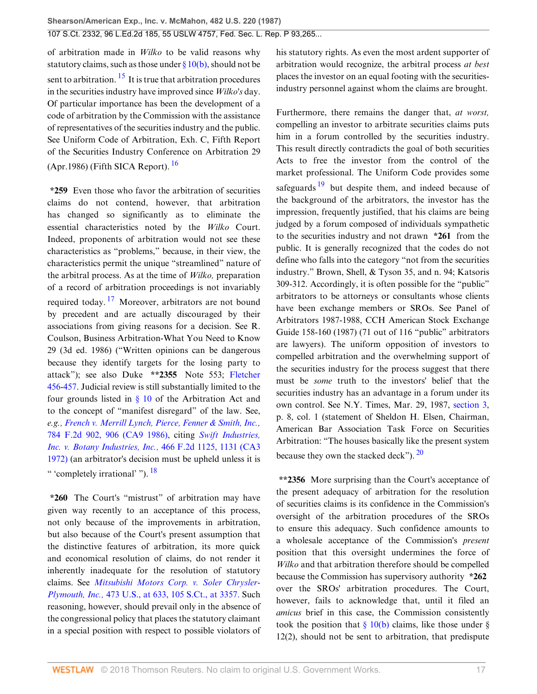107 S.Ct. 2332, 96 L.Ed.2d 185, 55 USLW 4757, Fed. Sec. L. Rep. P 93,265...

<span id="page-16-0"></span>of arbitration made in *Wilko* to be valid reasons why statutory claims, such as those under  $\S 10(b)$ , should not be sent to arbitration.  $^{15}$  $^{15}$  $^{15}$  It is true that arbitration procedures in the securities industry have improved since *Wilko's* day. Of particular importance has been the development of a code of arbitration by the Commission with the assistance of representatives of the securities industry and the public. See Uniform Code of Arbitration, Exh. C, Fifth Report of the Securities Industry Conference on Arbitration 29 (Apr. 1986) (Fifth SICA Report).  $16$ 

<span id="page-16-2"></span>**\*259** Even those who favor the arbitration of securities claims do not contend, however, that arbitration has changed so significantly as to eliminate the essential characteristics noted by the *Wilko* Court. Indeed, proponents of arbitration would not see these characteristics as "problems," because, in their view, the characteristics permit the unique "streamlined" nature of the arbitral process. As at the time of *Wilko,* preparation of a record of arbitration proceedings is not invariably required today. [17](#page-22-6) Moreover, arbitrators are not bound by precedent and are actually discouraged by their associations from giving reasons for a decision. See R. Coulson, Business Arbitration-What You Need to Know 29 (3d ed. 1986) ("Written opinions can be dangerous because they identify targets for the losing party to attack"); see also Duke **\*\*2355** Note 553; [Fletcher](http://www.westlaw.com/Link/Document/FullText?findType=Y&serNum=0295756286&pubNum=0122624&originatingDoc=Ic1e348109c1e11d991d0cc6b54f12d4d&refType=TS&originationContext=document&vr=3.0&rs=cblt1.0&transitionType=DocumentItem&contextData=(sc.UserEnteredCitation)) [456](http://www.westlaw.com/Link/Document/FullText?findType=Y&serNum=0295756286&pubNum=0122624&originatingDoc=Ic1e348109c1e11d991d0cc6b54f12d4d&refType=TS&originationContext=document&vr=3.0&rs=cblt1.0&transitionType=DocumentItem&contextData=(sc.UserEnteredCitation))[-457](http://www.westlaw.com/Link/Document/FullText?findType=Y&serNum=0295756287&pubNum=0122624&originatingDoc=Ic1e348109c1e11d991d0cc6b54f12d4d&refType=TS&originationContext=document&vr=3.0&rs=cblt1.0&transitionType=DocumentItem&contextData=(sc.UserEnteredCitation)). Judicial review is still substantially limited to the four grounds listed in  $\S$  10 of the Arbitration Act and to the concept of "manifest disregard" of the law. See, *e.g., [French v. Merrill Lynch, Pierce, Fenner & Smith, Inc.,](http://www.westlaw.com/Link/Document/FullText?findType=Y&serNum=1986111726&pubNum=350&originatingDoc=Ic1e348109c1e11d991d0cc6b54f12d4d&refType=RP&fi=co_pp_sp_350_906&originationContext=document&vr=3.0&rs=cblt1.0&transitionType=DocumentItem&contextData=(sc.UserEnteredCitation)#co_pp_sp_350_906)* [784 F.2d 902, 906 \(CA9 1986\)](http://www.westlaw.com/Link/Document/FullText?findType=Y&serNum=1986111726&pubNum=350&originatingDoc=Ic1e348109c1e11d991d0cc6b54f12d4d&refType=RP&fi=co_pp_sp_350_906&originationContext=document&vr=3.0&rs=cblt1.0&transitionType=DocumentItem&contextData=(sc.UserEnteredCitation)#co_pp_sp_350_906), citing *[Swift Industries,](http://www.westlaw.com/Link/Document/FullText?findType=Y&serNum=1972112004&pubNum=350&originatingDoc=Ic1e348109c1e11d991d0cc6b54f12d4d&refType=RP&fi=co_pp_sp_350_1131&originationContext=document&vr=3.0&rs=cblt1.0&transitionType=DocumentItem&contextData=(sc.UserEnteredCitation)#co_pp_sp_350_1131) [Inc. v. Botany Industries, Inc.,](http://www.westlaw.com/Link/Document/FullText?findType=Y&serNum=1972112004&pubNum=350&originatingDoc=Ic1e348109c1e11d991d0cc6b54f12d4d&refType=RP&fi=co_pp_sp_350_1131&originationContext=document&vr=3.0&rs=cblt1.0&transitionType=DocumentItem&contextData=(sc.UserEnteredCitation)#co_pp_sp_350_1131)* 466 F.2d 1125, 1131 (CA3 [1972\)](http://www.westlaw.com/Link/Document/FullText?findType=Y&serNum=1972112004&pubNum=350&originatingDoc=Ic1e348109c1e11d991d0cc6b54f12d4d&refType=RP&fi=co_pp_sp_350_1131&originationContext=document&vr=3.0&rs=cblt1.0&transitionType=DocumentItem&contextData=(sc.UserEnteredCitation)#co_pp_sp_350_1131) (an arbitrator's decision must be upheld unless it is " 'completely irrational' "). [18](#page-22-7)

<span id="page-16-3"></span>**\*260** The Court's "mistrust" of arbitration may have given way recently to an acceptance of this process, not only because of the improvements in arbitration, but also because of the Court's present assumption that the distinctive features of arbitration, its more quick and economical resolution of claims, do not render it inherently inadequate for the resolution of statutory claims. See *[Mitsubishi Motors Corp. v. Soler Chrysler-](http://www.westlaw.com/Link/Document/FullText?findType=Y&serNum=1985133734&pubNum=708&originatingDoc=Ic1e348109c1e11d991d0cc6b54f12d4d&refType=RP&fi=co_pp_sp_708_3357&originationContext=document&vr=3.0&rs=cblt1.0&transitionType=DocumentItem&contextData=(sc.UserEnteredCitation)#co_pp_sp_708_3357)Plymouth, Inc.,* [473 U.S., at 633, 105 S.Ct., at 3357.](http://www.westlaw.com/Link/Document/FullText?findType=Y&serNum=1985133734&pubNum=708&originatingDoc=Ic1e348109c1e11d991d0cc6b54f12d4d&refType=RP&fi=co_pp_sp_708_3357&originationContext=document&vr=3.0&rs=cblt1.0&transitionType=DocumentItem&contextData=(sc.UserEnteredCitation)#co_pp_sp_708_3357) Such reasoning, however, should prevail only in the absence of the congressional policy that places the statutory claimant in a special position with respect to possible violators of

his statutory rights. As even the most ardent supporter of arbitration would recognize, the arbitral process *at best* places the investor on an equal footing with the securitiesindustry personnel against whom the claims are brought.

<span id="page-16-4"></span><span id="page-16-1"></span>Furthermore, there remains the danger that, *at worst,* compelling an investor to arbitrate securities claims puts him in a forum controlled by the securities industry. This result directly contradicts the goal of both securities Acts to free the investor from the control of the market professional. The Uniform Code provides some safeguards  $19$  but despite them, and indeed because of the background of the arbitrators, the investor has the impression, frequently justified, that his claims are being judged by a forum composed of individuals sympathetic to the securities industry and not drawn **\*261** from the public. It is generally recognized that the codes do not define who falls into the category "not from the securities industry." Brown, Shell, & Tyson 35, and n. 94; Katsoris 309-312. Accordingly, it is often possible for the "public" arbitrators to be attorneys or consultants whose clients have been exchange members or SROs. See Panel of Arbitrators 1987-1988, CCH American Stock Exchange Guide 158-160 (1987) (71 out of 116 "public" arbitrators are lawyers). The uniform opposition of investors to compelled arbitration and the overwhelming support of the securities industry for the process suggest that there must be *some* truth to the investors' belief that the securities industry has an advantage in a forum under its own control. See N.Y. Times, Mar. 29, 1987, [section 3](http://www.westlaw.com/Link/Document/FullText?findType=L&pubNum=1000546&cite=9USCAS3&originatingDoc=Ic1e348109c1e11d991d0cc6b54f12d4d&refType=LQ&originationContext=document&vr=3.0&rs=cblt1.0&transitionType=DocumentItem&contextData=(sc.UserEnteredCitation)), p. 8, col. 1 (statement of Sheldon H. Elsen, Chairman, American Bar Association Task Force on Securities Arbitration: "The houses basically like the present system because they own the stacked deck").  $20$ 

<span id="page-16-5"></span>**\*\*2356** More surprising than the Court's acceptance of the present adequacy of arbitration for the resolution of securities claims is its confidence in the Commission's oversight of the arbitration procedures of the SROs to ensure this adequacy. Such confidence amounts to a wholesale acceptance of the Commission's *present* position that this oversight undermines the force of *Wilko* and that arbitration therefore should be compelled because the Commission has supervisory authority **\*262** over the SROs' arbitration procedures. The Court, however, fails to acknowledge that, until it filed an *amicus* brief in this case, the Commission consistently took the position that  $\S$  10(b) claims, like those under  $\S$ 12(2), should not be sent to arbitration, that predispute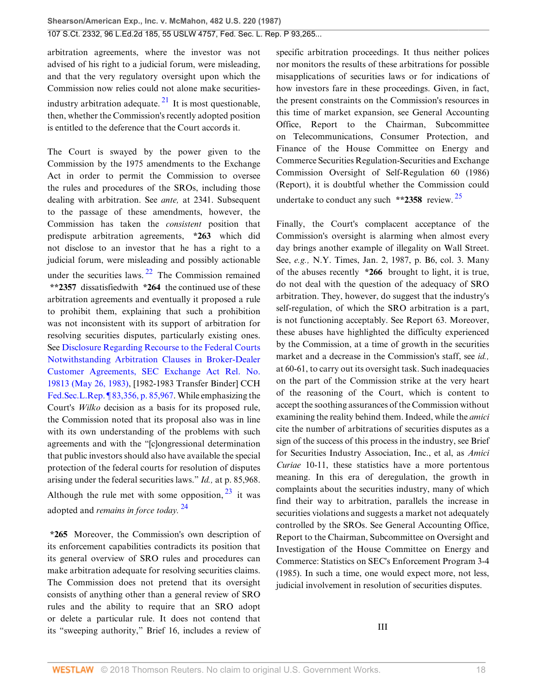<span id="page-17-0"></span>arbitration agreements, where the investor was not advised of his right to a judicial forum, were misleading, and that the very regulatory oversight upon which the Commission now relies could not alone make securities-industry arbitration adequate. <sup>[21](#page-23-0)</sup> It is most questionable, then, whether the Commission's recently adopted position is entitled to the deference that the Court accords it.

The Court is swayed by the power given to the Commission by the 1975 amendments to the Exchange Act in order to permit the Commission to oversee the rules and procedures of the SROs, including those dealing with arbitration. See *ante,* at 2341. Subsequent to the passage of these amendments, however, the Commission has taken the *consistent* position that predispute arbitration agreements, **\*263** which did not disclose to an investor that he has a right to a judicial forum, were misleading and possibly actionable under the securities laws.  $22$  The Commission remained **\*\*2357** dissatisfiedwith **\*264** the continued use of these arbitration agreements and eventually it proposed a rule to prohibit them, explaining that such a prohibition was not inconsistent with its support of arbitration for resolving securities disputes, particularly existing ones. See [Disclosure Regarding Recourse to the Federal Courts](http://www.westlaw.com/Link/Document/FullText?findType=Y&serNum=1983187243&pubNum=0006509&originatingDoc=Ic1e348109c1e11d991d0cc6b54f12d4d&refType=CA&originationContext=document&vr=3.0&rs=cblt1.0&transitionType=DocumentItem&contextData=(sc.UserEnteredCitation)) [Notwithstanding Arbitration Clauses in Broker-Dealer](http://www.westlaw.com/Link/Document/FullText?findType=Y&serNum=1983187243&pubNum=0006509&originatingDoc=Ic1e348109c1e11d991d0cc6b54f12d4d&refType=CA&originationContext=document&vr=3.0&rs=cblt1.0&transitionType=DocumentItem&contextData=(sc.UserEnteredCitation)) [Customer Agreements, SEC Exchange Act Rel. No.](http://www.westlaw.com/Link/Document/FullText?findType=Y&serNum=1983187243&pubNum=0006509&originatingDoc=Ic1e348109c1e11d991d0cc6b54f12d4d&refType=CA&originationContext=document&vr=3.0&rs=cblt1.0&transitionType=DocumentItem&contextData=(sc.UserEnteredCitation)) [19813 \(May 26, 1983\),](http://www.westlaw.com/Link/Document/FullText?findType=Y&serNum=1983187243&pubNum=0006509&originatingDoc=Ic1e348109c1e11d991d0cc6b54f12d4d&refType=CA&originationContext=document&vr=3.0&rs=cblt1.0&transitionType=DocumentItem&contextData=(sc.UserEnteredCitation)) [1982-1983 Transfer Binder] CCH [Fed.Sec.L.Rep. ¶ 83,356, p. 85,967.](http://www.westlaw.com/Link/Document/FullText?findType=Y&pubNum=868&cite=FEDSECLREP83356&originatingDoc=Ic1e348109c1e11d991d0cc6b54f12d4d&refType=RP&originationContext=document&vr=3.0&rs=cblt1.0&transitionType=DocumentItem&contextData=(sc.UserEnteredCitation)) While emphasizing the Court's *Wilko* decision as a basis for its proposed rule, the Commission noted that its proposal also was in line with its own understanding of the problems with such agreements and with the "[c]ongressional determination that public investors should also have available the special protection of the federal courts for resolution of disputes arising under the federal securities laws." *Id.,* at p. 85,968. Although the rule met with some opposition,  $^{23}$  $^{23}$  $^{23}$  it was adopted and *remains in force today.* [24](#page-23-3)

<span id="page-17-3"></span><span id="page-17-2"></span>**\*265** Moreover, the Commission's own description of its enforcement capabilities contradicts its position that its general overview of SRO rules and procedures can make arbitration adequate for resolving securities claims. The Commission does not pretend that its oversight consists of anything other than a general review of SRO rules and the ability to require that an SRO adopt or delete a particular rule. It does not contend that its "sweeping authority," Brief 16, includes a review of

specific arbitration proceedings. It thus neither polices nor monitors the results of these arbitrations for possible misapplications of securities laws or for indications of how investors fare in these proceedings. Given, in fact, the present constraints on the Commission's resources in this time of market expansion, see General Accounting Office, Report to the Chairman, Subcommittee on Telecommunications, Consumer Protection, and Finance of the House Committee on Energy and Commerce Securities Regulation-Securities and Exchange Commission Oversight of Self-Regulation 60 (1986) (Report), it is doubtful whether the Commission could undertake to conduct any such **\*\*2358** review. [25](#page-23-4)

<span id="page-17-4"></span><span id="page-17-1"></span>Finally, the Court's complacent acceptance of the Commission's oversight is alarming when almost every day brings another example of illegality on Wall Street. See, *e.g.,* N.Y. Times, Jan. 2, 1987, p. B6, col. 3. Many of the abuses recently **\*266** brought to light, it is true, do not deal with the question of the adequacy of SRO arbitration. They, however, do suggest that the industry's self-regulation, of which the SRO arbitration is a part, is not functioning acceptably. See Report 63. Moreover, these abuses have highlighted the difficulty experienced by the Commission, at a time of growth in the securities market and a decrease in the Commission's staff, see *id.,* at 60-61, to carry out its oversight task. Such inadequacies on the part of the Commission strike at the very heart of the reasoning of the Court, which is content to accept the soothing assurances of the Commission without examining the reality behind them. Indeed, while the *amici* cite the number of arbitrations of securities disputes as a sign of the success of this process in the industry, see Brief for Securities Industry Association, Inc., et al, as *Amici Curiae* 10-11, these statistics have a more portentous meaning. In this era of deregulation, the growth in complaints about the securities industry, many of which find their way to arbitration, parallels the increase in securities violations and suggests a market not adequately controlled by the SROs. See General Accounting Office, Report to the Chairman, Subcommittee on Oversight and Investigation of the House Committee on Energy and Commerce: Statistics on SEC's Enforcement Program 3-4 (1985). In such a time, one would expect more, not less, judicial involvement in resolution of securities disputes.

III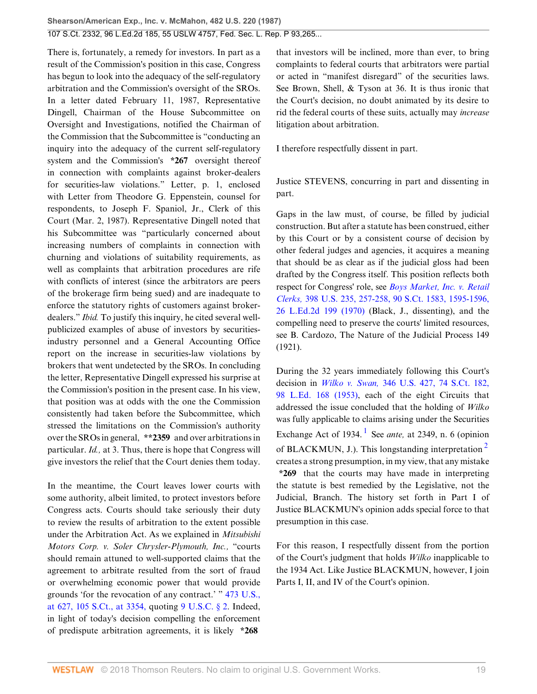There is, fortunately, a remedy for investors. In part as a result of the Commission's position in this case, Congress has begun to look into the adequacy of the self-regulatory arbitration and the Commission's oversight of the SROs. In a letter dated February 11, 1987, Representative Dingell, Chairman of the House Subcommittee on Oversight and Investigations, notified the Chairman of the Commission that the Subcommittee is "conducting an inquiry into the adequacy of the current self-regulatory system and the Commission's **\*267** oversight thereof in connection with complaints against broker-dealers for securities-law violations." Letter, p. 1, enclosed with Letter from Theodore G. Eppenstein, counsel for respondents, to Joseph F. Spaniol, Jr., Clerk of this Court (Mar. 2, 1987). Representative Dingell noted that his Subcommittee was "particularly concerned about increasing numbers of complaints in connection with churning and violations of suitability requirements, as well as complaints that arbitration procedures are rife with conflicts of interest (since the arbitrators are peers of the brokerage firm being sued) and are inadequate to enforce the statutory rights of customers against brokerdealers." *Ibid.* To justify this inquiry, he cited several wellpublicized examples of abuse of investors by securitiesindustry personnel and a General Accounting Office report on the increase in securities-law violations by brokers that went undetected by the SROs. In concluding the letter, Representative Dingell expressed his surprise at the Commission's position in the present case. In his view, that position was at odds with the one the Commission consistently had taken before the Subcommittee, which stressed the limitations on the Commission's authority over the SROs in general, **\*\*2359** and over arbitrations in particular. *Id.,* at 3. Thus, there is hope that Congress will give investors the relief that the Court denies them today.

In the meantime, the Court leaves lower courts with some authority, albeit limited, to protect investors before Congress acts. Courts should take seriously their duty to review the results of arbitration to the extent possible under the Arbitration Act. As we explained in *Mitsubishi Motors Corp. v. Soler Chrysler-Plymouth, Inc.,* "courts should remain attuned to well-supported claims that the agreement to arbitrate resulted from the sort of fraud or overwhelming economic power that would provide grounds 'for the revocation of any contract.' " [473 U.S.,](http://www.westlaw.com/Link/Document/FullText?findType=Y&serNum=1985133734&pubNum=708&originatingDoc=Ic1e348109c1e11d991d0cc6b54f12d4d&refType=RP&fi=co_pp_sp_708_3354&originationContext=document&vr=3.0&rs=cblt1.0&transitionType=DocumentItem&contextData=(sc.UserEnteredCitation)#co_pp_sp_708_3354) [at 627, 105 S.Ct., at 3354,](http://www.westlaw.com/Link/Document/FullText?findType=Y&serNum=1985133734&pubNum=708&originatingDoc=Ic1e348109c1e11d991d0cc6b54f12d4d&refType=RP&fi=co_pp_sp_708_3354&originationContext=document&vr=3.0&rs=cblt1.0&transitionType=DocumentItem&contextData=(sc.UserEnteredCitation)#co_pp_sp_708_3354) quoting [9 U.S.C. § 2](http://www.westlaw.com/Link/Document/FullText?findType=L&pubNum=1000546&cite=9USCAS2&originatingDoc=Ic1e348109c1e11d991d0cc6b54f12d4d&refType=LQ&originationContext=document&vr=3.0&rs=cblt1.0&transitionType=DocumentItem&contextData=(sc.UserEnteredCitation)). Indeed, in light of today's decision compelling the enforcement of predispute arbitration agreements, it is likely **\*268**

that investors will be inclined, more than ever, to bring complaints to federal courts that arbitrators were partial or acted in "manifest disregard" of the securities laws. See Brown, Shell, & Tyson at 36. It is thus ironic that the Court's decision, no doubt animated by its desire to rid the federal courts of these suits, actually may *increase* litigation about arbitration.

I therefore respectfully dissent in part.

Justice STEVENS, concurring in part and dissenting in part.

Gaps in the law must, of course, be filled by judicial construction. But after a statute has been construed, either by this Court or by a consistent course of decision by other federal judges and agencies, it acquires a meaning that should be as clear as if the judicial gloss had been drafted by the Congress itself. This position reflects both respect for Congress' role, see *[Boys Market, Inc. v. Retail](http://www.westlaw.com/Link/Document/FullText?findType=Y&serNum=1970134234&pubNum=708&originatingDoc=Ic1e348109c1e11d991d0cc6b54f12d4d&refType=RP&fi=co_pp_sp_708_1595&originationContext=document&vr=3.0&rs=cblt1.0&transitionType=DocumentItem&contextData=(sc.UserEnteredCitation)#co_pp_sp_708_1595) Clerks,* [398 U.S. 235, 257-258, 90 S.Ct. 1583, 1595-1596,](http://www.westlaw.com/Link/Document/FullText?findType=Y&serNum=1970134234&pubNum=708&originatingDoc=Ic1e348109c1e11d991d0cc6b54f12d4d&refType=RP&fi=co_pp_sp_708_1595&originationContext=document&vr=3.0&rs=cblt1.0&transitionType=DocumentItem&contextData=(sc.UserEnteredCitation)#co_pp_sp_708_1595) [26 L.Ed.2d 199 \(1970\)](http://www.westlaw.com/Link/Document/FullText?findType=Y&serNum=1970134234&pubNum=708&originatingDoc=Ic1e348109c1e11d991d0cc6b54f12d4d&refType=RP&fi=co_pp_sp_708_1595&originationContext=document&vr=3.0&rs=cblt1.0&transitionType=DocumentItem&contextData=(sc.UserEnteredCitation)#co_pp_sp_708_1595) (Black, J., dissenting), and the compelling need to preserve the courts' limited resources, see B. Cardozo, The Nature of the Judicial Process 149 (1921).

<span id="page-18-1"></span><span id="page-18-0"></span>During the 32 years immediately following this Court's decision in *Wilko v. Swan,* [346 U.S. 427, 74 S.Ct. 182,](http://www.westlaw.com/Link/Document/FullText?findType=Y&serNum=1953121062&pubNum=708&originatingDoc=Ic1e348109c1e11d991d0cc6b54f12d4d&refType=RP&originationContext=document&vr=3.0&rs=cblt1.0&transitionType=DocumentItem&contextData=(sc.UserEnteredCitation)) [98 L.Ed. 168 \(1953\)](http://www.westlaw.com/Link/Document/FullText?findType=Y&serNum=1953121062&pubNum=708&originatingDoc=Ic1e348109c1e11d991d0cc6b54f12d4d&refType=RP&originationContext=document&vr=3.0&rs=cblt1.0&transitionType=DocumentItem&contextData=(sc.UserEnteredCitation)), each of the eight Circuits that addressed the issue concluded that the holding of *Wilko* was fully applicable to claims arising under the Securities Exchange Act of [1](#page-24-0)934.<sup>1</sup> See *ante*, at 2349, n. 6 (opinion of BLACKMUN, J.). This longstanding interpretation<sup>[2](#page-24-1)</sup> creates a strong presumption, in my view, that any mistake **\*269** that the courts may have made in interpreting the statute is best remedied by the Legislative, not the Judicial, Branch. The history set forth in Part I of Justice BLACKMUN's opinion adds special force to that presumption in this case.

For this reason, I respectfully dissent from the portion of the Court's judgment that holds *Wilko* inapplicable to the 1934 Act. Like Justice BLACKMUN, however, I join Parts I, II, and IV of the Court's opinion.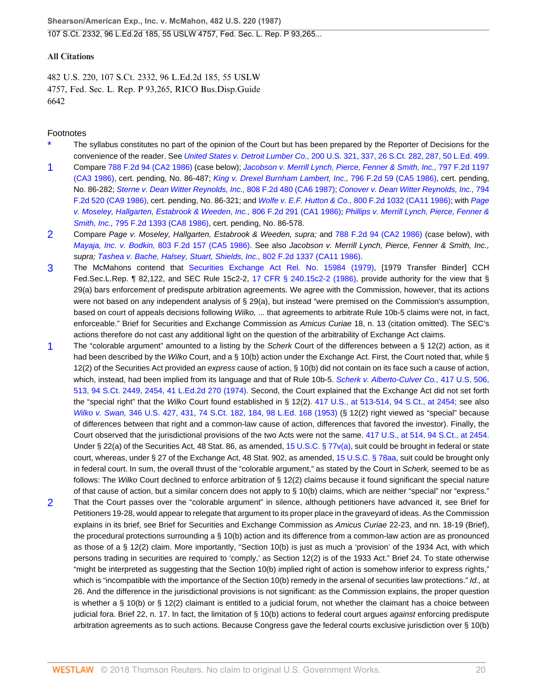#### **All Citations**

482 U.S. 220, 107 S.Ct. 2332, 96 L.Ed.2d 185, 55 USLW 4757, Fed. Sec. L. Rep. P 93,265, RICO Bus.Disp.Guide 6642

#### Footnotes

- <span id="page-19-0"></span>The syllabus constitutes no part of the opinion of the Court but has been prepared by the Reporter of Decisions for the convenience of the reader. See United States v. Detroit Lumber Co., [200 U.S. 321, 337, 26 S.Ct. 282, 287, 50 L.Ed. 499](http://www.westlaw.com/Link/Document/FullText?findType=Y&serNum=1906101604&pubNum=708&originatingDoc=Ic1e348109c1e11d991d0cc6b54f12d4d&refType=RP&fi=co_pp_sp_708_287&originationContext=document&vr=3.0&rs=cblt1.0&transitionType=DocumentItem&contextData=(sc.UserEnteredCitation)#co_pp_sp_708_287).
- <span id="page-19-1"></span>[1](#page-4-1) Compare [788 F.2d 94 \(CA2 1986\)](http://www.westlaw.com/Link/Document/FullText?findType=Y&serNum=1986120255&pubNum=350&originatingDoc=Ic1e348109c1e11d991d0cc6b54f12d4d&refType=RP&originationContext=document&vr=3.0&rs=cblt1.0&transitionType=DocumentItem&contextData=(sc.UserEnteredCitation)) (case below); [Jacobson v. Merrill Lynch, Pierce, Fenner & Smith, Inc.,](http://www.westlaw.com/Link/Document/FullText?findType=Y&serNum=1986141445&pubNum=350&originatingDoc=Ic1e348109c1e11d991d0cc6b54f12d4d&refType=RP&originationContext=document&vr=3.0&rs=cblt1.0&transitionType=DocumentItem&contextData=(sc.UserEnteredCitation)) 797 F.2d 1197 [\(CA3 1986\)](http://www.westlaw.com/Link/Document/FullText?findType=Y&serNum=1986141445&pubNum=350&originatingDoc=Ic1e348109c1e11d991d0cc6b54f12d4d&refType=RP&originationContext=document&vr=3.0&rs=cblt1.0&transitionType=DocumentItem&contextData=(sc.UserEnteredCitation)), cert. pending, No. 86-487; [King v. Drexel Burnham Lambert, Inc.,](http://www.westlaw.com/Link/Document/FullText?findType=Y&serNum=1986140593&pubNum=350&originatingDoc=Ic1e348109c1e11d991d0cc6b54f12d4d&refType=RP&originationContext=document&vr=3.0&rs=cblt1.0&transitionType=DocumentItem&contextData=(sc.UserEnteredCitation)) 796 F.2d 59 (CA5 1986), cert. pending, No. 86-282; [Sterne v. Dean Witter Reynolds, Inc.,](http://www.westlaw.com/Link/Document/FullText?findType=Y&serNum=1987002013&pubNum=350&originatingDoc=Ic1e348109c1e11d991d0cc6b54f12d4d&refType=RP&originationContext=document&vr=3.0&rs=cblt1.0&transitionType=DocumentItem&contextData=(sc.UserEnteredCitation)) 808 F.2d 480 (CA6 1987); [Conover v. Dean Witter Reynolds, Inc.,](http://www.westlaw.com/Link/Document/FullText?findType=Y&serNum=1986136986&pubNum=350&originatingDoc=Ic1e348109c1e11d991d0cc6b54f12d4d&refType=RP&originationContext=document&vr=3.0&rs=cblt1.0&transitionType=DocumentItem&contextData=(sc.UserEnteredCitation)) 794 [F.2d 520 \(CA9 1986\)](http://www.westlaw.com/Link/Document/FullText?findType=Y&serNum=1986136986&pubNum=350&originatingDoc=Ic1e348109c1e11d991d0cc6b54f12d4d&refType=RP&originationContext=document&vr=3.0&rs=cblt1.0&transitionType=DocumentItem&contextData=(sc.UserEnteredCitation)), cert. pending, No. 86-321; and Wolfe v. E.F. Hutton & Co., [800 F.2d 1032 \(CA11 1986\)](http://www.westlaw.com/Link/Document/FullText?findType=Y&serNum=1986145518&pubNum=350&originatingDoc=Ic1e348109c1e11d991d0cc6b54f12d4d&refType=RP&originationContext=document&vr=3.0&rs=cblt1.0&transitionType=DocumentItem&contextData=(sc.UserEnteredCitation)); with [Page](http://www.westlaw.com/Link/Document/FullText?findType=Y&serNum=1986158293&pubNum=350&originatingDoc=Ic1e348109c1e11d991d0cc6b54f12d4d&refType=RP&originationContext=document&vr=3.0&rs=cblt1.0&transitionType=DocumentItem&contextData=(sc.UserEnteredCitation)) [v. Moseley, Hallgarten, Estabrook & Weeden, Inc.,](http://www.westlaw.com/Link/Document/FullText?findType=Y&serNum=1986158293&pubNum=350&originatingDoc=Ic1e348109c1e11d991d0cc6b54f12d4d&refType=RP&originationContext=document&vr=3.0&rs=cblt1.0&transitionType=DocumentItem&contextData=(sc.UserEnteredCitation)) 806 F.2d 291 (CA1 1986); [Phillips v. Merrill Lynch, Pierce, Fenner &](http://www.westlaw.com/Link/Document/FullText?findType=Y&serNum=1986135637&pubNum=350&originatingDoc=Ic1e348109c1e11d991d0cc6b54f12d4d&refType=RP&originationContext=document&vr=3.0&rs=cblt1.0&transitionType=DocumentItem&contextData=(sc.UserEnteredCitation)) Smith, Inc., [795 F.2d 1393 \(CA8 1986\)](http://www.westlaw.com/Link/Document/FullText?findType=Y&serNum=1986135637&pubNum=350&originatingDoc=Ic1e348109c1e11d991d0cc6b54f12d4d&refType=RP&originationContext=document&vr=3.0&rs=cblt1.0&transitionType=DocumentItem&contextData=(sc.UserEnteredCitation)), cert. pending, No. 86-578.
- <span id="page-19-2"></span>[2](#page-4-2) Compare Page v. Moseley, Hallgarten, Estabrook & Weeden, supra; and [788 F.2d 94 \(CA2 1986\)](http://www.westlaw.com/Link/Document/FullText?findType=Y&serNum=1986120255&pubNum=350&originatingDoc=Ic1e348109c1e11d991d0cc6b54f12d4d&refType=RP&originationContext=document&vr=3.0&rs=cblt1.0&transitionType=DocumentItem&contextData=(sc.UserEnteredCitation)) (case below), with Mayaja, Inc. v. Bodkin, [803 F.2d 157 \(CA5 1986\)](http://www.westlaw.com/Link/Document/FullText?findType=Y&serNum=1986152848&pubNum=350&originatingDoc=Ic1e348109c1e11d991d0cc6b54f12d4d&refType=RP&originationContext=document&vr=3.0&rs=cblt1.0&transitionType=DocumentItem&contextData=(sc.UserEnteredCitation)). See also Jacobson v. Merrill Lynch, Pierce, Fenner & Smith, Inc., supra; [Tashea v. Bache, Halsey, Stuart, Shields, Inc.,](http://www.westlaw.com/Link/Document/FullText?findType=Y&serNum=1986149344&pubNum=350&originatingDoc=Ic1e348109c1e11d991d0cc6b54f12d4d&refType=RP&originationContext=document&vr=3.0&rs=cblt1.0&transitionType=DocumentItem&contextData=(sc.UserEnteredCitation)) 802 F.2d 1337 (CA11 1986).
- <span id="page-19-3"></span>[3](#page-8-2) The McMahons contend that [Securities Exchange Act Rel. No. 15984 \(1979\),](http://www.westlaw.com/Link/Document/FullText?findType=Y&pubNum=0006509&cite=RELNO15984&originatingDoc=Ic1e348109c1e11d991d0cc6b54f12d4d&refType=CA&originationContext=document&vr=3.0&rs=cblt1.0&transitionType=DocumentItem&contextData=(sc.UserEnteredCitation)) [1979 Transfer Binder] CCH Fed.Sec.L.Rep. ¶ 82,122, and SEC Rule 15c2-2, [17 CFR § 240.15c2-2 \(1986\)](http://www.westlaw.com/Link/Document/FullText?findType=L&pubNum=1000547&cite=17CFRS240.15C2-2&originatingDoc=Ic1e348109c1e11d991d0cc6b54f12d4d&refType=LQ&originationContext=document&vr=3.0&rs=cblt1.0&transitionType=DocumentItem&contextData=(sc.UserEnteredCitation)), provide authority for the view that § 29(a) bars enforcement of predispute arbitration agreements. We agree with the Commission, however, that its actions were not based on any independent analysis of § 29(a), but instead "were premised on the Commission's assumption, based on court of appeals decisions following Wilko, ... that agreements to arbitrate Rule 10b-5 claims were not, in fact, enforceable." Brief for Securities and Exchange Commission as Amicus Curiae 18, n. 13 (citation omitted). The SEC's actions therefore do not cast any additional light on the question of the arbitrability of Exchange Act claims.
- <span id="page-19-4"></span>[1](#page-12-0) The "colorable argument" amounted to a listing by the Scherk Court of the differences between a  $\S$  12(2) action, as it had been described by the Wilko Court, and a § 10(b) action under the Exchange Act. First, the Court noted that, while § 12(2) of the Securities Act provided an express cause of action, § 10(b) did not contain on its face such a cause of action, which, instead, had been implied from its language and that of Rule 10b-5. [Scherk v. Alberto-Culver Co.,](http://www.westlaw.com/Link/Document/FullText?findType=Y&serNum=1974127217&pubNum=708&originatingDoc=Ic1e348109c1e11d991d0cc6b54f12d4d&refType=RP&fi=co_pp_sp_708_2454&originationContext=document&vr=3.0&rs=cblt1.0&transitionType=DocumentItem&contextData=(sc.UserEnteredCitation)#co_pp_sp_708_2454) 417 U.S. 506, [513, 94 S.Ct. 2449, 2454, 41 L.Ed.2d 270 \(1974\).](http://www.westlaw.com/Link/Document/FullText?findType=Y&serNum=1974127217&pubNum=708&originatingDoc=Ic1e348109c1e11d991d0cc6b54f12d4d&refType=RP&fi=co_pp_sp_708_2454&originationContext=document&vr=3.0&rs=cblt1.0&transitionType=DocumentItem&contextData=(sc.UserEnteredCitation)#co_pp_sp_708_2454) Second, the Court explained that the Exchange Act did not set forth the "special right" that the Wilko Court found established in § 12(2). [417 U.S., at 513-514, 94 S.Ct., at 2454;](http://www.westlaw.com/Link/Document/FullText?findType=Y&serNum=1974127217&pubNum=708&originatingDoc=Ic1e348109c1e11d991d0cc6b54f12d4d&refType=RP&fi=co_pp_sp_708_2454&originationContext=document&vr=3.0&rs=cblt1.0&transitionType=DocumentItem&contextData=(sc.UserEnteredCitation)#co_pp_sp_708_2454) see also Wilko v. Swan, [346 U.S. 427, 431, 74 S.Ct. 182, 184, 98 L.Ed. 168 \(1953\)](http://www.westlaw.com/Link/Document/FullText?findType=Y&serNum=1953121062&pubNum=708&originatingDoc=Ic1e348109c1e11d991d0cc6b54f12d4d&refType=RP&fi=co_pp_sp_708_184&originationContext=document&vr=3.0&rs=cblt1.0&transitionType=DocumentItem&contextData=(sc.UserEnteredCitation)#co_pp_sp_708_184) (§ 12(2) right viewed as "special" because of differences between that right and a common-law cause of action, differences that favored the investor). Finally, the Court observed that the jurisdictional provisions of the two Acts were not the same. [417 U.S., at 514, 94 S.Ct., at 2454.](http://www.westlaw.com/Link/Document/FullText?findType=Y&serNum=1974127217&pubNum=708&originatingDoc=Ic1e348109c1e11d991d0cc6b54f12d4d&refType=RP&fi=co_pp_sp_708_2454&originationContext=document&vr=3.0&rs=cblt1.0&transitionType=DocumentItem&contextData=(sc.UserEnteredCitation)#co_pp_sp_708_2454) Under § 22(a) of the Securities Act, 48 Stat. 86, as amended, [15 U.S.C. § 77v\(a\),](http://www.westlaw.com/Link/Document/FullText?findType=L&pubNum=1000546&cite=15USCAS77V&originatingDoc=Ic1e348109c1e11d991d0cc6b54f12d4d&refType=RB&originationContext=document&vr=3.0&rs=cblt1.0&transitionType=DocumentItem&contextData=(sc.UserEnteredCitation)#co_pp_8b3b0000958a4) suit could be brought in federal or state court, whereas, under § 27 of the Exchange Act, 48 Stat. 902, as amended, [15 U.S.C. § 78aa,](http://www.westlaw.com/Link/Document/FullText?findType=L&pubNum=1000546&cite=15USCAS78AA&originatingDoc=Ic1e348109c1e11d991d0cc6b54f12d4d&refType=LQ&originationContext=document&vr=3.0&rs=cblt1.0&transitionType=DocumentItem&contextData=(sc.UserEnteredCitation)) suit could be brought only in federal court. In sum, the overall thrust of the "colorable argument," as stated by the Court in Scherk, seemed to be as follows: The Wilko Court declined to enforce arbitration of § 12(2) claims because it found significant the special nature of that cause of action, but a similar concern does not apply to § 10(b) claims, which are neither "special" nor "express."
- <span id="page-19-5"></span>[2](#page-12-1) That the Court passes over the "colorable argument" in silence, although petitioners have advanced it, see Brief for Petitioners 19-28, would appear to relegate that argument to its proper place in the graveyard of ideas. As the Commission explains in its brief, see Brief for Securities and Exchange Commission as Amicus Curiae 22-23, and nn. 18-19 (Brief), the procedural protections surrounding a § 10(b) action and its difference from a common-law action are as pronounced as those of a § 12(2) claim. More importantly, "Section 10(b) is just as much a 'provision' of the 1934 Act, with which persons trading in securities are required to 'comply,' as Section 12(2) is of the 1933 Act." Brief 24. To state otherwise "might be interpreted as suggesting that the Section 10(b) implied right of action is somehow inferior to express rights," which is "incompatible with the importance of the Section 10(b) remedy in the arsenal of securities law protections." Id., at 26. And the difference in the jurisdictional provisions is not significant: as the Commission explains, the proper question is whether a § 10(b) or § 12(2) claimant is entitled to a judicial forum, not whether the claimant has a choice between judicial fora. Brief 22, n. 17. In fact, the limitation of § 10(b) actions to federal court argues against enforcing predispute arbitration agreements as to such actions. Because Congress gave the federal courts exclusive jurisdiction over § 10(b)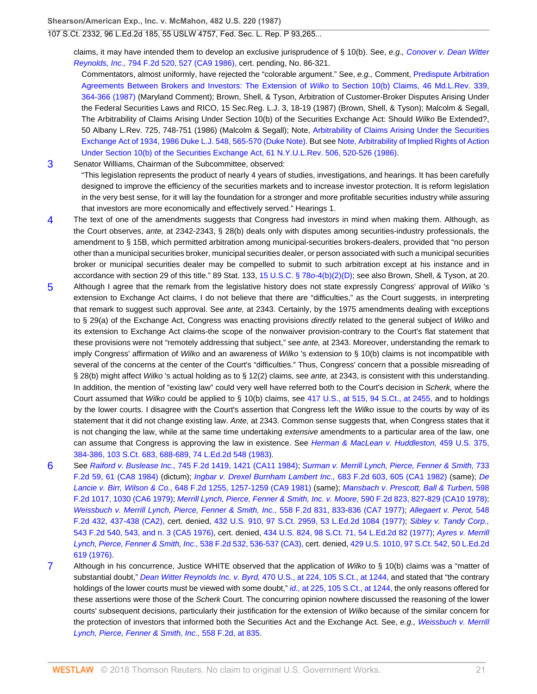107 S.Ct. 2332, 96 L.Ed.2d 185, 55 USLW 4757, Fed. Sec. L. Rep. P 93,265...

claims, it may have intended them to develop an exclusive jurisprudence of § 10(b). See, e.g., [Conover v. Dean Witter](http://www.westlaw.com/Link/Document/FullText?findType=Y&serNum=1986136986&pubNum=350&originatingDoc=Ic1e348109c1e11d991d0cc6b54f12d4d&refType=RP&fi=co_pp_sp_350_527&originationContext=document&vr=3.0&rs=cblt1.0&transitionType=DocumentItem&contextData=(sc.UserEnteredCitation)#co_pp_sp_350_527) Reynolds, Inc., [794 F.2d 520, 527 \(CA9 1986\),](http://www.westlaw.com/Link/Document/FullText?findType=Y&serNum=1986136986&pubNum=350&originatingDoc=Ic1e348109c1e11d991d0cc6b54f12d4d&refType=RP&fi=co_pp_sp_350_527&originationContext=document&vr=3.0&rs=cblt1.0&transitionType=DocumentItem&contextData=(sc.UserEnteredCitation)#co_pp_sp_350_527) cert. pending, No. 86-321.

Commentators, almost uniformly, have rejected the "colorable argument." See, e.g., Comment, [Predispute Arbitration](http://www.westlaw.com/Link/Document/FullText?findType=Y&serNum=0102694374&pubNum=1187&originatingDoc=Ic1e348109c1e11d991d0cc6b54f12d4d&refType=LR&fi=co_pp_sp_1187_364&originationContext=document&vr=3.0&rs=cblt1.0&transitionType=DocumentItem&contextData=(sc.UserEnteredCitation)#co_pp_sp_1187_364) [Agreements Between Brokers and Investors: The Extension of](http://www.westlaw.com/Link/Document/FullText?findType=Y&serNum=0102694374&pubNum=1187&originatingDoc=Ic1e348109c1e11d991d0cc6b54f12d4d&refType=LR&fi=co_pp_sp_1187_364&originationContext=document&vr=3.0&rs=cblt1.0&transitionType=DocumentItem&contextData=(sc.UserEnteredCitation)#co_pp_sp_1187_364) Wilko to Section 10(b) Claims, 46 Md.L.Rev. 339, [364-366 \(1987\)](http://www.westlaw.com/Link/Document/FullText?findType=Y&serNum=0102694374&pubNum=1187&originatingDoc=Ic1e348109c1e11d991d0cc6b54f12d4d&refType=LR&fi=co_pp_sp_1187_364&originationContext=document&vr=3.0&rs=cblt1.0&transitionType=DocumentItem&contextData=(sc.UserEnteredCitation)#co_pp_sp_1187_364) (Maryland Comment); Brown, Shell, & Tyson, Arbitration of Customer-Broker Disputes Arising Under the Federal Securities Laws and RICO, 15 Sec.Reg. L.J. 3, 18-19 (1987) (Brown, Shell, & Tyson); Malcolm & Segall, The Arbitrability of Claims Arising Under Section 10(b) of the Securities Exchange Act: Should Wilko Be Extended?, 50 Albany L.Rev. 725, 748-751 (1986) (Malcolm & Segall); Note, [Arbitrability of Claims Arising Under the Securities](http://www.westlaw.com/Link/Document/FullText?findType=Y&serNum=0101984068&pubNum=1133&originatingDoc=Ic1e348109c1e11d991d0cc6b54f12d4d&refType=LR&fi=co_pp_sp_1133_565&originationContext=document&vr=3.0&rs=cblt1.0&transitionType=DocumentItem&contextData=(sc.UserEnteredCitation)#co_pp_sp_1133_565) [Exchange Act of 1934, 1986 Duke L.J. 548, 565-570 \(Duke Note\).](http://www.westlaw.com/Link/Document/FullText?findType=Y&serNum=0101984068&pubNum=1133&originatingDoc=Ic1e348109c1e11d991d0cc6b54f12d4d&refType=LR&fi=co_pp_sp_1133_565&originationContext=document&vr=3.0&rs=cblt1.0&transitionType=DocumentItem&contextData=(sc.UserEnteredCitation)#co_pp_sp_1133_565) But see [Note, Arbitrability of Implied Rights of Action](http://www.westlaw.com/Link/Document/FullText?findType=Y&serNum=0101760936&pubNum=1206&originatingDoc=Ic1e348109c1e11d991d0cc6b54f12d4d&refType=LR&fi=co_pp_sp_1206_520&originationContext=document&vr=3.0&rs=cblt1.0&transitionType=DocumentItem&contextData=(sc.UserEnteredCitation)#co_pp_sp_1206_520) [Under Section 10\(b\) of the Securities Exchange Act, 61 N.Y.U.L.Rev. 506, 520-526 \(1986\).](http://www.westlaw.com/Link/Document/FullText?findType=Y&serNum=0101760936&pubNum=1206&originatingDoc=Ic1e348109c1e11d991d0cc6b54f12d4d&refType=LR&fi=co_pp_sp_1206_520&originationContext=document&vr=3.0&rs=cblt1.0&transitionType=DocumentItem&contextData=(sc.UserEnteredCitation)#co_pp_sp_1206_520)

<span id="page-20-0"></span>[3](#page-12-2) Senator Williams, Chairman of the Subcommittee, observed:

"This legislation represents the product of nearly 4 years of studies, investigations, and hearings. It has been carefully designed to improve the efficiency of the securities markets and to increase investor protection. It is reform legislation in the very best sense, for it will lay the foundation for a stronger and more profitable securities industry while assuring that investors are more economically and effectively served." Hearings 1.

- <span id="page-20-1"></span>[4](#page-12-3) The text of one of the amendments suggests that Congress had investors in mind when making them. Although, as the Court observes, ante, at 2342-2343, § 28(b) deals only with disputes among securities-industry professionals, the amendment to § 15B, which permitted arbitration among municipal-securities brokers-dealers, provided that "no person other than a municipal securities broker, municipal securities dealer, or person associated with such a municipal securities broker or municipal securities dealer may be compelled to submit to such arbitration except at his instance and in accordance with section 29 of this title." 89 Stat. 133, [15 U.S.C. § 78](http://www.westlaw.com/Link/Document/FullText?findType=L&pubNum=1000546&cite=15USCAS78O-4&originatingDoc=Ic1e348109c1e11d991d0cc6b54f12d4d&refType=RB&originationContext=document&vr=3.0&rs=cblt1.0&transitionType=DocumentItem&contextData=(sc.UserEnteredCitation)#co_pp_a79d0000944d2)o-4(b)(2)(D); see also Brown, Shell, & Tyson, at 20.
- <span id="page-20-2"></span>[5](#page-13-0) Although I agree that the remark from the legislative history does not state expressly Congress' approval of Wilko 's extension to Exchange Act claims, I do not believe that there are "difficulties," as the Court suggests, in interpreting that remark to suggest such approval. See *ante*, at 2343. Certainly, by the 1975 amendments dealing with exceptions to § 29(a) of the Exchange Act, Congress was enacting provisions directly related to the general subject of Wilko and its extension to Exchange Act claims-the scope of the nonwaiver provision-contrary to the Court's flat statement that these provisions were not "remotely addressing that subject," see ante, at 2343. Moreover, understanding the remark to imply Congress' affirmation of Wilko and an awareness of Wilko 's extension to § 10(b) claims is not incompatible with several of the concerns at the center of the Court's "difficulties." Thus, Congress' concern that a possible misreading of § 28(b) might affect Wilko 's actual holding as to § 12(2) claims, see ante, at 2343, is consistent with this understanding. In addition, the mention of "existing law" could very well have referred both to the Court's decision in Scherk, where the Court assumed that Wilko could be applied to § 10(b) claims, see [417 U.S., at 515, 94 S.Ct., at 2455,](http://www.westlaw.com/Link/Document/FullText?findType=Y&serNum=1974127217&pubNum=708&originatingDoc=Ic1e348109c1e11d991d0cc6b54f12d4d&refType=RP&fi=co_pp_sp_708_2455&originationContext=document&vr=3.0&rs=cblt1.0&transitionType=DocumentItem&contextData=(sc.UserEnteredCitation)#co_pp_sp_708_2455) and to holdings by the lower courts. I disagree with the Court's assertion that Congress left the Wilko issue to the courts by way of its statement that it did not change existing law. Ante, at 2343. Common sense suggests that, when Congress states that it is not changing the law, while at the same time undertaking extensive amendments to a particular area of the law, one can assume that Congress is approving the law in existence. See [Herman & MacLean v. Huddleston,](http://www.westlaw.com/Link/Document/FullText?findType=Y&serNum=1983104350&pubNum=708&originatingDoc=Ic1e348109c1e11d991d0cc6b54f12d4d&refType=RP&fi=co_pp_sp_708_688&originationContext=document&vr=3.0&rs=cblt1.0&transitionType=DocumentItem&contextData=(sc.UserEnteredCitation)#co_pp_sp_708_688) 459 U.S. 375, [384-386, 103 S.Ct. 683, 688-689, 74 L.Ed.2d 548 \(1983\).](http://www.westlaw.com/Link/Document/FullText?findType=Y&serNum=1983104350&pubNum=708&originatingDoc=Ic1e348109c1e11d991d0cc6b54f12d4d&refType=RP&fi=co_pp_sp_708_688&originationContext=document&vr=3.0&rs=cblt1.0&transitionType=DocumentItem&contextData=(sc.UserEnteredCitation)#co_pp_sp_708_688)

<span id="page-20-3"></span>[6](#page-13-1) See Raiford v. Buslease Inc., [745 F.2d 1419, 1421 \(CA11 1984\);](http://www.westlaw.com/Link/Document/FullText?findType=Y&serNum=1984149533&pubNum=350&originatingDoc=Ic1e348109c1e11d991d0cc6b54f12d4d&refType=RP&fi=co_pp_sp_350_1421&originationContext=document&vr=3.0&rs=cblt1.0&transitionType=DocumentItem&contextData=(sc.UserEnteredCitation)#co_pp_sp_350_1421) [Surman v. Merrill Lynch, Pierce, Fenner & Smith,](http://www.westlaw.com/Link/Document/FullText?findType=Y&serNum=1984120380&pubNum=350&originatingDoc=Ic1e348109c1e11d991d0cc6b54f12d4d&refType=RP&fi=co_pp_sp_350_61&originationContext=document&vr=3.0&rs=cblt1.0&transitionType=DocumentItem&contextData=(sc.UserEnteredCitation)#co_pp_sp_350_61) 733 [F.2d 59, 61 \(CA8 1984\)](http://www.westlaw.com/Link/Document/FullText?findType=Y&serNum=1984120380&pubNum=350&originatingDoc=Ic1e348109c1e11d991d0cc6b54f12d4d&refType=RP&fi=co_pp_sp_350_61&originationContext=document&vr=3.0&rs=cblt1.0&transitionType=DocumentItem&contextData=(sc.UserEnteredCitation)#co_pp_sp_350_61) (dictum); [Ingbar v. Drexel Burnham Lambert Inc.,](http://www.westlaw.com/Link/Document/FullText?findType=Y&serNum=1982134435&pubNum=350&originatingDoc=Ic1e348109c1e11d991d0cc6b54f12d4d&refType=RP&fi=co_pp_sp_350_605&originationContext=document&vr=3.0&rs=cblt1.0&transitionType=DocumentItem&contextData=(sc.UserEnteredCitation)#co_pp_sp_350_605) 683 F.2d 603, 605 (CA1 1982) (same); [De](http://www.westlaw.com/Link/Document/FullText?findType=Y&serNum=1981125202&pubNum=350&originatingDoc=Ic1e348109c1e11d991d0cc6b54f12d4d&refType=RP&fi=co_pp_sp_350_1257&originationContext=document&vr=3.0&rs=cblt1.0&transitionType=DocumentItem&contextData=(sc.UserEnteredCitation)#co_pp_sp_350_1257) Lancie v. Birr, Wilson & Co., [648 F.2d 1255, 1257-1259 \(CA9 1981\)](http://www.westlaw.com/Link/Document/FullText?findType=Y&serNum=1981125202&pubNum=350&originatingDoc=Ic1e348109c1e11d991d0cc6b54f12d4d&refType=RP&fi=co_pp_sp_350_1257&originationContext=document&vr=3.0&rs=cblt1.0&transitionType=DocumentItem&contextData=(sc.UserEnteredCitation)#co_pp_sp_350_1257) (same); [Mansbach v. Prescott, Ball & Turben,](http://www.westlaw.com/Link/Document/FullText?findType=Y&serNum=1979113030&pubNum=350&originatingDoc=Ic1e348109c1e11d991d0cc6b54f12d4d&refType=RP&fi=co_pp_sp_350_1030&originationContext=document&vr=3.0&rs=cblt1.0&transitionType=DocumentItem&contextData=(sc.UserEnteredCitation)#co_pp_sp_350_1030) 598 [F.2d 1017, 1030 \(CA6 1979\)](http://www.westlaw.com/Link/Document/FullText?findType=Y&serNum=1979113030&pubNum=350&originatingDoc=Ic1e348109c1e11d991d0cc6b54f12d4d&refType=RP&fi=co_pp_sp_350_1030&originationContext=document&vr=3.0&rs=cblt1.0&transitionType=DocumentItem&contextData=(sc.UserEnteredCitation)#co_pp_sp_350_1030); [Merrill Lynch, Pierce, Fenner & Smith, Inc. v. Moore,](http://www.westlaw.com/Link/Document/FullText?findType=Y&serNum=1979145293&pubNum=350&originatingDoc=Ic1e348109c1e11d991d0cc6b54f12d4d&refType=RP&fi=co_pp_sp_350_827&originationContext=document&vr=3.0&rs=cblt1.0&transitionType=DocumentItem&contextData=(sc.UserEnteredCitation)#co_pp_sp_350_827) 590 F.2d 823, 827-829 (CA10 1978); [Weissbuch v. Merrill Lynch, Pierce, Fenner & Smith, Inc.,](http://www.westlaw.com/Link/Document/FullText?findType=Y&serNum=1977123010&pubNum=350&originatingDoc=Ic1e348109c1e11d991d0cc6b54f12d4d&refType=RP&fi=co_pp_sp_350_833&originationContext=document&vr=3.0&rs=cblt1.0&transitionType=DocumentItem&contextData=(sc.UserEnteredCitation)#co_pp_sp_350_833) 558 F.2d 831, 833-836 (CA7 1977); [Allegaert v. Perot,](http://www.westlaw.com/Link/Document/FullText?findType=Y&serNum=1977103750&pubNum=350&originatingDoc=Ic1e348109c1e11d991d0cc6b54f12d4d&refType=RP&fi=co_pp_sp_350_437&originationContext=document&vr=3.0&rs=cblt1.0&transitionType=DocumentItem&contextData=(sc.UserEnteredCitation)#co_pp_sp_350_437) 548 [F.2d 432, 437-438 \(CA2\),](http://www.westlaw.com/Link/Document/FullText?findType=Y&serNum=1977103750&pubNum=350&originatingDoc=Ic1e348109c1e11d991d0cc6b54f12d4d&refType=RP&fi=co_pp_sp_350_437&originationContext=document&vr=3.0&rs=cblt1.0&transitionType=DocumentItem&contextData=(sc.UserEnteredCitation)#co_pp_sp_350_437) cert. denied, [432 U.S. 910, 97 S.Ct. 2959, 53 L.Ed.2d 1084 \(1977\);](http://www.westlaw.com/Link/Document/FullText?findType=Y&serNum=1977227221&pubNum=708&originatingDoc=Ic1e348109c1e11d991d0cc6b54f12d4d&refType=RP&originationContext=document&vr=3.0&rs=cblt1.0&transitionType=DocumentItem&contextData=(sc.UserEnteredCitation)) [Sibley v. Tandy Corp.,](http://www.westlaw.com/Link/Document/FullText?findType=Y&serNum=1976125096&pubNum=350&originatingDoc=Ic1e348109c1e11d991d0cc6b54f12d4d&refType=RP&fi=co_pp_sp_350_543&originationContext=document&vr=3.0&rs=cblt1.0&transitionType=DocumentItem&contextData=(sc.UserEnteredCitation)#co_pp_sp_350_543) [543 F.2d 540, 543, and n. 3 \(CA5 1976\),](http://www.westlaw.com/Link/Document/FullText?findType=Y&serNum=1976125096&pubNum=350&originatingDoc=Ic1e348109c1e11d991d0cc6b54f12d4d&refType=RP&fi=co_pp_sp_350_543&originationContext=document&vr=3.0&rs=cblt1.0&transitionType=DocumentItem&contextData=(sc.UserEnteredCitation)#co_pp_sp_350_543) cert. denied, [434 U.S. 824, 98 S.Ct. 71, 54 L.Ed.2d 82 \(1977\)](http://www.westlaw.com/Link/Document/FullText?findType=Y&serNum=1977224312&pubNum=708&originatingDoc=Ic1e348109c1e11d991d0cc6b54f12d4d&refType=RP&originationContext=document&vr=3.0&rs=cblt1.0&transitionType=DocumentItem&contextData=(sc.UserEnteredCitation)); [Ayres v. Merrill](http://www.westlaw.com/Link/Document/FullText?findType=Y&serNum=1976123926&pubNum=350&originatingDoc=Ic1e348109c1e11d991d0cc6b54f12d4d&refType=RP&fi=co_pp_sp_350_536&originationContext=document&vr=3.0&rs=cblt1.0&transitionType=DocumentItem&contextData=(sc.UserEnteredCitation)#co_pp_sp_350_536) [Lynch, Pierce, Fenner & Smith, Inc.,](http://www.westlaw.com/Link/Document/FullText?findType=Y&serNum=1976123926&pubNum=350&originatingDoc=Ic1e348109c1e11d991d0cc6b54f12d4d&refType=RP&fi=co_pp_sp_350_536&originationContext=document&vr=3.0&rs=cblt1.0&transitionType=DocumentItem&contextData=(sc.UserEnteredCitation)#co_pp_sp_350_536) 538 F.2d 532, 536-537 (CA3), cert. denied, [429 U.S. 1010, 97 S.Ct. 542, 50 L.Ed.2d](http://www.westlaw.com/Link/Document/FullText?findType=Y&serNum=1976214055&pubNum=708&originatingDoc=Ic1e348109c1e11d991d0cc6b54f12d4d&refType=RP&originationContext=document&vr=3.0&rs=cblt1.0&transitionType=DocumentItem&contextData=(sc.UserEnteredCitation)) [619 \(1976\).](http://www.westlaw.com/Link/Document/FullText?findType=Y&serNum=1976214055&pubNum=708&originatingDoc=Ic1e348109c1e11d991d0cc6b54f12d4d&refType=RP&originationContext=document&vr=3.0&rs=cblt1.0&transitionType=DocumentItem&contextData=(sc.UserEnteredCitation))

<span id="page-20-4"></span>[7](#page-13-2) Although in his concurrence, Justice WHITE observed that the application of Wilko to § 10(b) claims was a "matter of substantial doubt," Dean Witter Reynolds Inc. v. Byrd, [470 U.S., at 224, 105 S.Ct., at 1244,](http://www.westlaw.com/Link/Document/FullText?findType=Y&serNum=1985110908&pubNum=708&originatingDoc=Ic1e348109c1e11d991d0cc6b54f12d4d&refType=RP&fi=co_pp_sp_708_1244&originationContext=document&vr=3.0&rs=cblt1.0&transitionType=DocumentItem&contextData=(sc.UserEnteredCitation)#co_pp_sp_708_1244) and stated that "the contrary holdings of the lower courts must be viewed with some doubt," id., [at 225, 105 S.Ct., at 1244,](http://www.westlaw.com/Link/Document/FullText?findType=Y&serNum=1985110908&pubNum=708&originatingDoc=Ic1e348109c1e11d991d0cc6b54f12d4d&refType=RP&fi=co_pp_sp_708_1244&originationContext=document&vr=3.0&rs=cblt1.0&transitionType=DocumentItem&contextData=(sc.UserEnteredCitation)#co_pp_sp_708_1244) the only reasons offered for these assertions were those of the Scherk Court. The concurring opinion nowhere discussed the reasoning of the lower courts' subsequent decisions, particularly their justification for the extension of Wilko because of the similar concern for the protection of investors that informed both the Securities Act and the Exchange Act. See, e.g., [Weissbuch v. Merrill](http://www.westlaw.com/Link/Document/FullText?findType=Y&serNum=1977123010&pubNum=350&originatingDoc=Ic1e348109c1e11d991d0cc6b54f12d4d&refType=RP&fi=co_pp_sp_350_835&originationContext=document&vr=3.0&rs=cblt1.0&transitionType=DocumentItem&contextData=(sc.UserEnteredCitation)#co_pp_sp_350_835) [Lynch, Pierce, Fenner & Smith, Inc.,](http://www.westlaw.com/Link/Document/FullText?findType=Y&serNum=1977123010&pubNum=350&originatingDoc=Ic1e348109c1e11d991d0cc6b54f12d4d&refType=RP&fi=co_pp_sp_350_835&originationContext=document&vr=3.0&rs=cblt1.0&transitionType=DocumentItem&contextData=(sc.UserEnteredCitation)#co_pp_sp_350_835) 558 F.2d, at 835.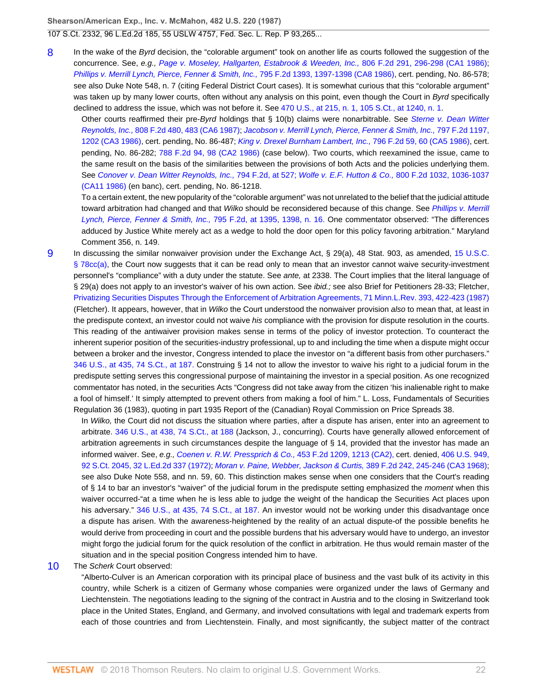107 S.Ct. 2332, 96 L.Ed.2d 185, 55 USLW 4757, Fed. Sec. L. Rep. P 93,265...

<span id="page-21-0"></span>[8](#page-13-3) In the wake of the Byrd decision, the "colorable argument" took on another life as courts followed the suggestion of the concurrence. See, e.g., [Page v. Moseley, Hallgarten, Estabrook & Weeden, Inc.,](http://www.westlaw.com/Link/Document/FullText?findType=Y&serNum=1986158293&pubNum=350&originatingDoc=Ic1e348109c1e11d991d0cc6b54f12d4d&refType=RP&fi=co_pp_sp_350_296&originationContext=document&vr=3.0&rs=cblt1.0&transitionType=DocumentItem&contextData=(sc.UserEnteredCitation)#co_pp_sp_350_296) 806 F.2d 291, 296-298 (CA1 1986); [Phillips v. Merrill Lynch, Pierce, Fenner & Smith, Inc.,](http://www.westlaw.com/Link/Document/FullText?findType=Y&serNum=1986135637&pubNum=350&originatingDoc=Ic1e348109c1e11d991d0cc6b54f12d4d&refType=RP&fi=co_pp_sp_350_1397&originationContext=document&vr=3.0&rs=cblt1.0&transitionType=DocumentItem&contextData=(sc.UserEnteredCitation)#co_pp_sp_350_1397) 795 F.2d 1393, 1397-1398 (CA8 1986), cert. pending, No. 86-578; see also Duke Note 548, n. 7 (citing Federal District Court cases). It is somewhat curious that this "colorable argument" was taken up by many lower courts, often without any analysis on this point, even though the Court in Byrd specifically declined to address the issue, which was not before it. See [470 U.S., at 215, n. 1, 105 S.Ct., at 1240, n. 1](http://www.westlaw.com/Link/Document/FullText?findType=Y&serNum=1985110908&pubNum=708&originatingDoc=Ic1e348109c1e11d991d0cc6b54f12d4d&refType=RP&fi=co_pp_sp_708_1240&originationContext=document&vr=3.0&rs=cblt1.0&transitionType=DocumentItem&contextData=(sc.UserEnteredCitation)#co_pp_sp_708_1240).

Other courts reaffirmed their pre-Byrd holdings that § 10(b) claims were nonarbitrable. See [Sterne v. Dean Witter](http://www.westlaw.com/Link/Document/FullText?findType=Y&serNum=1987002013&pubNum=350&originatingDoc=Ic1e348109c1e11d991d0cc6b54f12d4d&refType=RP&fi=co_pp_sp_350_483&originationContext=document&vr=3.0&rs=cblt1.0&transitionType=DocumentItem&contextData=(sc.UserEnteredCitation)#co_pp_sp_350_483) Reynolds, Inc., [808 F.2d 480, 483 \(CA6 1987\);](http://www.westlaw.com/Link/Document/FullText?findType=Y&serNum=1987002013&pubNum=350&originatingDoc=Ic1e348109c1e11d991d0cc6b54f12d4d&refType=RP&fi=co_pp_sp_350_483&originationContext=document&vr=3.0&rs=cblt1.0&transitionType=DocumentItem&contextData=(sc.UserEnteredCitation)#co_pp_sp_350_483) [Jacobson v. Merrill Lynch, Pierce, Fenner & Smith, Inc.,](http://www.westlaw.com/Link/Document/FullText?findType=Y&serNum=1986141445&pubNum=350&originatingDoc=Ic1e348109c1e11d991d0cc6b54f12d4d&refType=RP&fi=co_pp_sp_350_1202&originationContext=document&vr=3.0&rs=cblt1.0&transitionType=DocumentItem&contextData=(sc.UserEnteredCitation)#co_pp_sp_350_1202) 797 F.2d 1197, [1202 \(CA3 1986\)](http://www.westlaw.com/Link/Document/FullText?findType=Y&serNum=1986141445&pubNum=350&originatingDoc=Ic1e348109c1e11d991d0cc6b54f12d4d&refType=RP&fi=co_pp_sp_350_1202&originationContext=document&vr=3.0&rs=cblt1.0&transitionType=DocumentItem&contextData=(sc.UserEnteredCitation)#co_pp_sp_350_1202), cert. pending, No. 86-487; [King v. Drexel Burnham Lambert, Inc.,](http://www.westlaw.com/Link/Document/FullText?findType=Y&serNum=1986140593&pubNum=350&originatingDoc=Ic1e348109c1e11d991d0cc6b54f12d4d&refType=RP&fi=co_pp_sp_350_60&originationContext=document&vr=3.0&rs=cblt1.0&transitionType=DocumentItem&contextData=(sc.UserEnteredCitation)#co_pp_sp_350_60) 796 F.2d 59, 60 (CA5 1986), cert. pending, No. 86-282; [788 F.2d 94, 98 \(CA2 1986\)](http://www.westlaw.com/Link/Document/FullText?findType=Y&serNum=1986120255&pubNum=350&originatingDoc=Ic1e348109c1e11d991d0cc6b54f12d4d&refType=RP&fi=co_pp_sp_350_98&originationContext=document&vr=3.0&rs=cblt1.0&transitionType=DocumentItem&contextData=(sc.UserEnteredCitation)#co_pp_sp_350_98) (case below). Two courts, which reexamined the issue, came to the same result on the basis of the similarities between the provisions of both Acts and the policies underlying them. See [Conover v. Dean Witter Reynolds, Inc.,](http://www.westlaw.com/Link/Document/FullText?findType=Y&serNum=1986136986&pubNum=350&originatingDoc=Ic1e348109c1e11d991d0cc6b54f12d4d&refType=RP&fi=co_pp_sp_350_527&originationContext=document&vr=3.0&rs=cblt1.0&transitionType=DocumentItem&contextData=(sc.UserEnteredCitation)#co_pp_sp_350_527) 794 F.2d, at 527; Wolfe v. E.F. Hutton & Co., [800 F.2d 1032, 1036-1037](http://www.westlaw.com/Link/Document/FullText?findType=Y&serNum=1986145518&pubNum=350&originatingDoc=Ic1e348109c1e11d991d0cc6b54f12d4d&refType=RP&fi=co_pp_sp_350_1036&originationContext=document&vr=3.0&rs=cblt1.0&transitionType=DocumentItem&contextData=(sc.UserEnteredCitation)#co_pp_sp_350_1036) [\(CA11 1986\)](http://www.westlaw.com/Link/Document/FullText?findType=Y&serNum=1986145518&pubNum=350&originatingDoc=Ic1e348109c1e11d991d0cc6b54f12d4d&refType=RP&fi=co_pp_sp_350_1036&originationContext=document&vr=3.0&rs=cblt1.0&transitionType=DocumentItem&contextData=(sc.UserEnteredCitation)#co_pp_sp_350_1036) (en banc), cert. pending, No. 86-1218.

To a certain extent, the new popularity of the "colorable argument" was not unrelated to the belief that the judicial attitude toward arbitration had changed and that Wilko should be reconsidered because of this change. See [Phillips v. Merrill](http://www.westlaw.com/Link/Document/FullText?findType=Y&serNum=1986135637&pubNum=350&originatingDoc=Ic1e348109c1e11d991d0cc6b54f12d4d&refType=RP&fi=co_pp_sp_350_1395&originationContext=document&vr=3.0&rs=cblt1.0&transitionType=DocumentItem&contextData=(sc.UserEnteredCitation)#co_pp_sp_350_1395) [Lynch, Pierce, Fenner & Smith, Inc.,](http://www.westlaw.com/Link/Document/FullText?findType=Y&serNum=1986135637&pubNum=350&originatingDoc=Ic1e348109c1e11d991d0cc6b54f12d4d&refType=RP&fi=co_pp_sp_350_1395&originationContext=document&vr=3.0&rs=cblt1.0&transitionType=DocumentItem&contextData=(sc.UserEnteredCitation)#co_pp_sp_350_1395) 795 F.2d, at 1395, 1398, n. 16. One commentator observed: "The differences adduced by Justice White merely act as a wedge to hold the door open for this policy favoring arbitration." Maryland Comment 356, n. 149.

<span id="page-21-1"></span>[9](#page-14-0) In discussing the similar nonwaiver provision under the Exchange Act, § 29(a), 48 Stat. 903, as amended, [15 U.S.C.](http://www.westlaw.com/Link/Document/FullText?findType=L&pubNum=1000546&cite=15USCAS78CC&originatingDoc=Ic1e348109c1e11d991d0cc6b54f12d4d&refType=RB&originationContext=document&vr=3.0&rs=cblt1.0&transitionType=DocumentItem&contextData=(sc.UserEnteredCitation)#co_pp_8b3b0000958a4) [§ 78cc\(a\)](http://www.westlaw.com/Link/Document/FullText?findType=L&pubNum=1000546&cite=15USCAS78CC&originatingDoc=Ic1e348109c1e11d991d0cc6b54f12d4d&refType=RB&originationContext=document&vr=3.0&rs=cblt1.0&transitionType=DocumentItem&contextData=(sc.UserEnteredCitation)#co_pp_8b3b0000958a4), the Court now suggests that it can be read only to mean that an investor cannot waive security-investment personnel's "compliance" with a duty under the statute. See ante, at 2338. The Court implies that the literal language of § 29(a) does not apply to an investor's waiver of his own action. See *ibid.;* see also Brief for Petitioners 28-33; Fletcher, [Privatizing Securities Disputes Through the Enforcement of Arbitration Agreements, 71 Minn.L.Rev. 393, 422-423 \(1987\)](http://www.westlaw.com/Link/Document/FullText?findType=Y&serNum=0102689392&pubNum=1193&originatingDoc=Ic1e348109c1e11d991d0cc6b54f12d4d&refType=LR&fi=co_pp_sp_1193_422&originationContext=document&vr=3.0&rs=cblt1.0&transitionType=DocumentItem&contextData=(sc.UserEnteredCitation)#co_pp_sp_1193_422) (Fletcher). It appears, however, that in Wilko the Court understood the nonwaiver provision also to mean that, at least in the predispute context, an investor could not waive his compliance with the provision for dispute resolution in the courts. This reading of the antiwaiver provision makes sense in terms of the policy of investor protection. To counteract the inherent superior position of the securities-industry professional, up to and including the time when a dispute might occur between a broker and the investor, Congress intended to place the investor on "a different basis from other purchasers." [346 U.S., at 435, 74 S.Ct., at 187.](http://www.westlaw.com/Link/Document/FullText?findType=Y&serNum=1953121062&pubNum=708&originatingDoc=Ic1e348109c1e11d991d0cc6b54f12d4d&refType=RP&fi=co_pp_sp_708_187&originationContext=document&vr=3.0&rs=cblt1.0&transitionType=DocumentItem&contextData=(sc.UserEnteredCitation)#co_pp_sp_708_187) Construing § 14 not to allow the investor to waive his right to a judicial forum in the predispute setting serves this congressional purpose of maintaining the investor in a special position. As one recognized commentator has noted, in the securities Acts "Congress did not take away from the citizen 'his inalienable right to make a fool of himself.' It simply attempted to prevent others from making a fool of him." L. Loss, Fundamentals of Securities Regulation 36 (1983), quoting in part 1935 Report of the (Canadian) Royal Commission on Price Spreads 38.

In Wilko, the Court did not discuss the situation where parties, after a dispute has arisen, enter into an agreement to arbitrate. [346 U.S., at 438, 74 S.Ct., at 188](http://www.westlaw.com/Link/Document/FullText?findType=Y&serNum=1953121062&pubNum=708&originatingDoc=Ic1e348109c1e11d991d0cc6b54f12d4d&refType=RP&fi=co_pp_sp_708_188&originationContext=document&vr=3.0&rs=cblt1.0&transitionType=DocumentItem&contextData=(sc.UserEnteredCitation)#co_pp_sp_708_188) (Jackson, J., concurring). Courts have generally allowed enforcement of arbitration agreements in such circumstances despite the language of § 14, provided that the investor has made an informed waiver. See, e.g., [Coenen v. R.W. Pressprich & Co.,](http://www.westlaw.com/Link/Document/FullText?findType=Y&serNum=1972107966&pubNum=350&originatingDoc=Ic1e348109c1e11d991d0cc6b54f12d4d&refType=RP&fi=co_pp_sp_350_1213&originationContext=document&vr=3.0&rs=cblt1.0&transitionType=DocumentItem&contextData=(sc.UserEnteredCitation)#co_pp_sp_350_1213) 453 F.2d 1209, 1213 (CA2), cert. denied, [406 U.S. 949,](http://www.westlaw.com/Link/Document/FullText?findType=Y&serNum=1972244577&pubNum=708&originatingDoc=Ic1e348109c1e11d991d0cc6b54f12d4d&refType=RP&originationContext=document&vr=3.0&rs=cblt1.0&transitionType=DocumentItem&contextData=(sc.UserEnteredCitation)) [92 S.Ct. 2045, 32 L.Ed.2d 337 \(1972\);](http://www.westlaw.com/Link/Document/FullText?findType=Y&serNum=1972244577&pubNum=708&originatingDoc=Ic1e348109c1e11d991d0cc6b54f12d4d&refType=RP&originationContext=document&vr=3.0&rs=cblt1.0&transitionType=DocumentItem&contextData=(sc.UserEnteredCitation)) [Moran v. Paine, Webber, Jackson & Curtis,](http://www.westlaw.com/Link/Document/FullText?findType=Y&serNum=1968104431&pubNum=350&originatingDoc=Ic1e348109c1e11d991d0cc6b54f12d4d&refType=RP&fi=co_pp_sp_350_245&originationContext=document&vr=3.0&rs=cblt1.0&transitionType=DocumentItem&contextData=(sc.UserEnteredCitation)#co_pp_sp_350_245) 389 F.2d 242, 245-246 (CA3 1968); see also Duke Note 558, and nn. 59, 60. This distinction makes sense when one considers that the Court's reading of § 14 to bar an investor's "waiver" of the judicial forum in the predispute setting emphasized the *moment* when this waiver occurred-"at a time when he is less able to judge the weight of the handicap the Securities Act places upon his adversary." [346 U.S., at 435, 74 S.Ct., at 187.](http://www.westlaw.com/Link/Document/FullText?findType=Y&serNum=1953121062&pubNum=708&originatingDoc=Ic1e348109c1e11d991d0cc6b54f12d4d&refType=RP&fi=co_pp_sp_708_187&originationContext=document&vr=3.0&rs=cblt1.0&transitionType=DocumentItem&contextData=(sc.UserEnteredCitation)#co_pp_sp_708_187) An investor would not be working under this disadvantage once a dispute has arisen. With the awareness-heightened by the reality of an actual dispute-of the possible benefits he would derive from proceeding in court and the possible burdens that his adversary would have to undergo, an investor might forgo the judicial forum for the quick resolution of the conflict in arbitration. He thus would remain master of the situation and in the special position Congress intended him to have.

#### <span id="page-21-2"></span>[10](#page-15-0) The Scherk Court observed:

"Alberto-Culver is an American corporation with its principal place of business and the vast bulk of its activity in this country, while Scherk is a citizen of Germany whose companies were organized under the laws of Germany and Liechtenstein. The negotiations leading to the signing of the contract in Austria and to the closing in Switzerland took place in the United States, England, and Germany, and involved consultations with legal and trademark experts from each of those countries and from Liechtenstein. Finally, and most significantly, the subject matter of the contract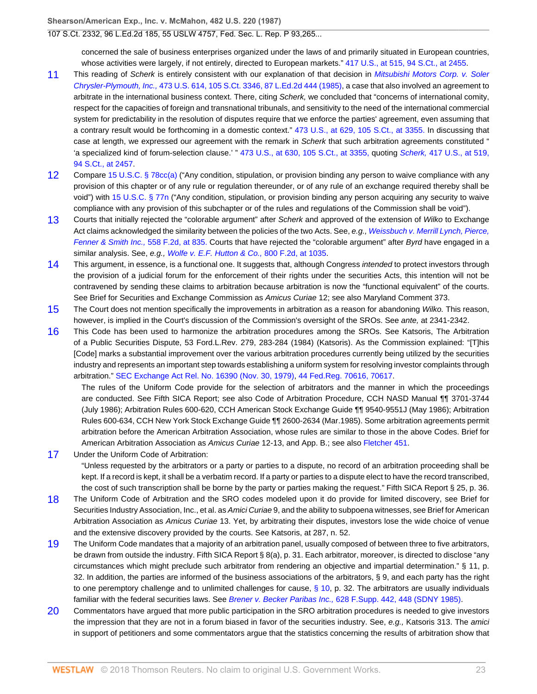concerned the sale of business enterprises organized under the laws of and primarily situated in European countries, whose activities were largely, if not entirely, directed to European markets." [417 U.S., at 515, 94 S.Ct., at 2455.](http://www.westlaw.com/Link/Document/FullText?findType=Y&serNum=1974127217&pubNum=708&originatingDoc=Ic1e348109c1e11d991d0cc6b54f12d4d&refType=RP&fi=co_pp_sp_708_2455&originationContext=document&vr=3.0&rs=cblt1.0&transitionType=DocumentItem&contextData=(sc.UserEnteredCitation)#co_pp_sp_708_2455)

- <span id="page-22-0"></span>[11](#page-15-1) This reading of Scherk is entirely consistent with our explanation of that decision in [Mitsubishi Motors Corp. v. Soler](http://www.westlaw.com/Link/Document/FullText?findType=Y&serNum=1985133734&pubNum=708&originatingDoc=Ic1e348109c1e11d991d0cc6b54f12d4d&refType=RP&originationContext=document&vr=3.0&rs=cblt1.0&transitionType=DocumentItem&contextData=(sc.UserEnteredCitation)) Chrysler-Plymouth, Inc., [473 U.S. 614, 105 S.Ct. 3346, 87 L.Ed.2d 444 \(1985\),](http://www.westlaw.com/Link/Document/FullText?findType=Y&serNum=1985133734&pubNum=708&originatingDoc=Ic1e348109c1e11d991d0cc6b54f12d4d&refType=RP&originationContext=document&vr=3.0&rs=cblt1.0&transitionType=DocumentItem&contextData=(sc.UserEnteredCitation)) a case that also involved an agreement to arbitrate in the international business context. There, citing Scherk, we concluded that "concerns of international comity, respect for the capacities of foreign and transnational tribunals, and sensitivity to the need of the international commercial system for predictability in the resolution of disputes require that we enforce the parties' agreement, even assuming that a contrary result would be forthcoming in a domestic context." [473 U.S., at 629, 105 S.Ct., at 3355.](http://www.westlaw.com/Link/Document/FullText?findType=Y&serNum=1985133734&pubNum=708&originatingDoc=Ic1e348109c1e11d991d0cc6b54f12d4d&refType=RP&fi=co_pp_sp_708_3355&originationContext=document&vr=3.0&rs=cblt1.0&transitionType=DocumentItem&contextData=(sc.UserEnteredCitation)#co_pp_sp_708_3355) In discussing that case at length, we expressed our agreement with the remark in Scherk that such arbitration agreements constituted " 'a specialized kind of forum-selection clause.' " [473 U.S., at 630, 105 S.Ct., at 3355,](http://www.westlaw.com/Link/Document/FullText?findType=Y&serNum=1985133734&pubNum=708&originatingDoc=Ic1e348109c1e11d991d0cc6b54f12d4d&refType=RP&fi=co_pp_sp_708_3355&originationContext=document&vr=3.0&rs=cblt1.0&transitionType=DocumentItem&contextData=(sc.UserEnteredCitation)#co_pp_sp_708_3355) quoting Scherk, [417 U.S., at 519,](http://www.westlaw.com/Link/Document/FullText?findType=Y&serNum=1974127217&pubNum=708&originatingDoc=Ic1e348109c1e11d991d0cc6b54f12d4d&refType=RP&fi=co_pp_sp_708_2457&originationContext=document&vr=3.0&rs=cblt1.0&transitionType=DocumentItem&contextData=(sc.UserEnteredCitation)#co_pp_sp_708_2457) [94 S.Ct., at 2457.](http://www.westlaw.com/Link/Document/FullText?findType=Y&serNum=1974127217&pubNum=708&originatingDoc=Ic1e348109c1e11d991d0cc6b54f12d4d&refType=RP&fi=co_pp_sp_708_2457&originationContext=document&vr=3.0&rs=cblt1.0&transitionType=DocumentItem&contextData=(sc.UserEnteredCitation)#co_pp_sp_708_2457)
- <span id="page-22-1"></span>[12](#page-15-2) Compare [15 U.S.C. § 78cc\(a\)](http://www.westlaw.com/Link/Document/FullText?findType=L&pubNum=1000546&cite=15USCAS78CC&originatingDoc=Ic1e348109c1e11d991d0cc6b54f12d4d&refType=RB&originationContext=document&vr=3.0&rs=cblt1.0&transitionType=DocumentItem&contextData=(sc.UserEnteredCitation)#co_pp_8b3b0000958a4) ("Any condition, stipulation, or provision binding any person to waive compliance with any provision of this chapter or of any rule or regulation thereunder, or of any rule of an exchange required thereby shall be void") with [15 U.S.C. § 77n](http://www.westlaw.com/Link/Document/FullText?findType=L&pubNum=1000546&cite=15USCAS77N&originatingDoc=Ic1e348109c1e11d991d0cc6b54f12d4d&refType=LQ&originationContext=document&vr=3.0&rs=cblt1.0&transitionType=DocumentItem&contextData=(sc.UserEnteredCitation)) ("Any condition, stipulation, or provision binding any person acquiring any security to waive compliance with any provision of this subchapter or of the rules and regulations of the Commission shall be void").
- <span id="page-22-2"></span>[13](#page-15-3) Courts that initially rejected the "colorable argument" after Scherk and approved of the extension of Wilko to Exchange Act claims acknowledged the similarity between the policies of the two Acts. See, e.g., [Weissbuch v. Merrill Lynch, Pierce,](http://www.westlaw.com/Link/Document/FullText?findType=Y&serNum=1977123010&pubNum=350&originatingDoc=Ic1e348109c1e11d991d0cc6b54f12d4d&refType=RP&fi=co_pp_sp_350_835&originationContext=document&vr=3.0&rs=cblt1.0&transitionType=DocumentItem&contextData=(sc.UserEnteredCitation)#co_pp_sp_350_835) [Fenner & Smith Inc.,](http://www.westlaw.com/Link/Document/FullText?findType=Y&serNum=1977123010&pubNum=350&originatingDoc=Ic1e348109c1e11d991d0cc6b54f12d4d&refType=RP&fi=co_pp_sp_350_835&originationContext=document&vr=3.0&rs=cblt1.0&transitionType=DocumentItem&contextData=(sc.UserEnteredCitation)#co_pp_sp_350_835) 558 F.2d, at 835. Courts that have rejected the "colorable argument" after Byrd have engaged in a similar analysis. See, e.g., [Wolfe v. E.F. Hutton & Co.,](http://www.westlaw.com/Link/Document/FullText?findType=Y&serNum=1986145518&pubNum=350&originatingDoc=Ic1e348109c1e11d991d0cc6b54f12d4d&refType=RP&fi=co_pp_sp_350_1035&originationContext=document&vr=3.0&rs=cblt1.0&transitionType=DocumentItem&contextData=(sc.UserEnteredCitation)#co_pp_sp_350_1035) 800 F.2d, at 1035.
- <span id="page-22-3"></span>[14](#page-15-4) This argument, in essence, is a functional one. It suggests that, although Congress intended to protect investors through the provision of a judicial forum for the enforcement of their rights under the securities Acts, this intention will not be contravened by sending these claims to arbitration because arbitration is now the "functional equivalent" of the courts. See Brief for Securities and Exchange Commission as Amicus Curiae 12; see also Maryland Comment 373.
- <span id="page-22-4"></span>[15](#page-16-0) The Court does not mention specifically the improvements in arbitration as a reason for abandoning Wilko. This reason, however, is implied in the Court's discussion of the Commission's oversight of the SROs. See ante, at 2341-2342.
- <span id="page-22-5"></span>[16](#page-16-1) This Code has been used to harmonize the arbitration procedures among the SROs. See Katsoris, The Arbitration of a Public Securities Dispute, 53 Ford.L.Rev. 279, 283-284 (1984) (Katsoris). As the Commission explained: "[T]his [Code] marks a substantial improvement over the various arbitration procedures currently being utilized by the securities industry and represents an important step towards establishing a uniform system for resolving investor complaints through arbitration." [SEC Exchange Act Rel. No. 16390 \(Nov. 30, 1979\),](http://www.westlaw.com/Link/Document/FullText?findType=Y&pubNum=0006509&cite=RELNO16390&originatingDoc=Ic1e348109c1e11d991d0cc6b54f12d4d&refType=CA&originationContext=document&vr=3.0&rs=cblt1.0&transitionType=DocumentItem&contextData=(sc.UserEnteredCitation)) [44 Fed.Reg. 70616, 70617.](http://www.westlaw.com/Link/Document/FullText?findType=Y&serNum=0307075596&pubNum=1037&originatingDoc=Ic1e348109c1e11d991d0cc6b54f12d4d&refType=FR&fi=co_pp_sp_1037_70617&originationContext=document&vr=3.0&rs=cblt1.0&transitionType=DocumentItem&contextData=(sc.UserEnteredCitation)#co_pp_sp_1037_70617)

The rules of the Uniform Code provide for the selection of arbitrators and the manner in which the proceedings are conducted. See Fifth SICA Report; see also Code of Arbitration Procedure, CCH NASD Manual ¶¶ 3701-3744 (July 1986); Arbitration Rules 600-620, CCH American Stock Exchange Guide ¶¶ 9540-9551J (May 1986); Arbitration Rules 600-634, CCH New York Stock Exchange Guide ¶¶ 2600-2634 (Mar.1985). Some arbitration agreements permit arbitration before the American Arbitration Association, whose rules are similar to those in the above Codes. Brief for American Arbitration Association as Amicus Curiae 12-13, and App. B.; see also [Fletcher 451.](http://www.westlaw.com/Link/Document/FullText?findType=Y&serNum=0295756281&pubNum=0122624&originatingDoc=Ic1e348109c1e11d991d0cc6b54f12d4d&refType=TS&originationContext=document&vr=3.0&rs=cblt1.0&transitionType=DocumentItem&contextData=(sc.UserEnteredCitation))

<span id="page-22-6"></span>[17](#page-16-2) Under the Uniform Code of Arbitration:

"Unless requested by the arbitrators or a party or parties to a dispute, no record of an arbitration proceeding shall be kept. If a record is kept, it shall be a verbatim record. If a party or parties to a dispute elect to have the record transcribed, the cost of such transcription shall be borne by the party or parties making the request." Fifth SICA Report § 25, p. 36.

- <span id="page-22-7"></span>[18](#page-16-3) The Uniform Code of Arbitration and the SRO codes modeled upon it do provide for limited discovery, see Brief for Securities Industry Association, Inc., et al. as Amici Curiae 9, and the ability to subpoena witnesses, see Brief for American Arbitration Association as Amicus Curiae 13. Yet, by arbitrating their disputes, investors lose the wide choice of venue and the extensive discovery provided by the courts. See Katsoris, at 287, n. 52.
- <span id="page-22-8"></span>[19](#page-16-4) The Uniform Code mandates that a majority of an arbitration panel, usually composed of between three to five arbitrators, be drawn from outside the industry. Fifth SICA Report § 8(a), p. 31. Each arbitrator, moreover, is directed to disclose "any circumstances which might preclude such arbitrator from rendering an objective and impartial determination." § 11, p. 32. In addition, the parties are informed of the business associations of the arbitrators, § 9, and each party has the right to one peremptory challenge and to unlimited challenges for cause,  $\S$  10, p. 32. The arbitrators are usually individuals familiar with the federal securities laws. See Brener v. Becker Paribas Inc., 628 F. Supp. 442, 448 (SDNY 1985).
- <span id="page-22-9"></span>[20](#page-16-5) Commentators have argued that more public participation in the SRO arbitration procedures is needed to give investors the impression that they are not in a forum biased in favor of the securities industry. See, e.g., Katsoris 313. The amici in support of petitioners and some commentators argue that the statistics concerning the results of arbitration show that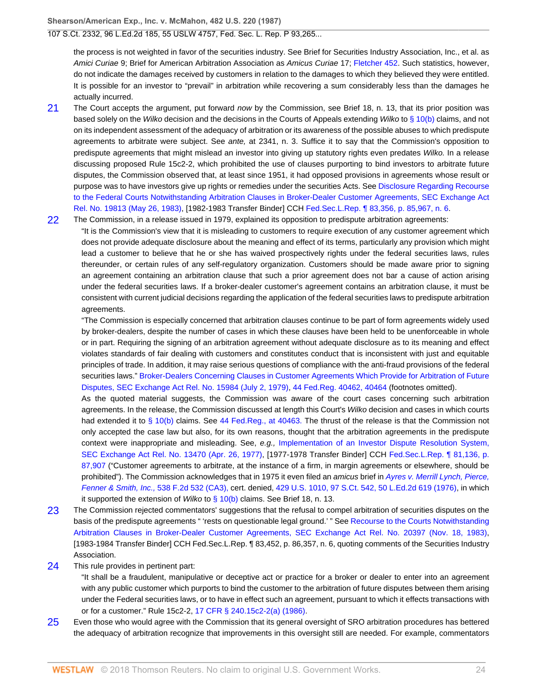#### 107 S.Ct. 2332, 96 L.Ed.2d 185, 55 USLW 4757, Fed. Sec. L. Rep. P 93,265...

the process is not weighted in favor of the securities industry. See Brief for Securities Industry Association, Inc., et al. as Amici Curiae 9; Brief for American Arbitration Association as Amicus Curiae 17; [Fletcher 452.](http://www.westlaw.com/Link/Document/FullText?findType=Y&serNum=0295756282&pubNum=0122624&originatingDoc=Ic1e348109c1e11d991d0cc6b54f12d4d&refType=TS&originationContext=document&vr=3.0&rs=cblt1.0&transitionType=DocumentItem&contextData=(sc.UserEnteredCitation)) Such statistics, however, do not indicate the damages received by customers in relation to the damages to which they believed they were entitled. It is possible for an investor to "prevail" in arbitration while recovering a sum considerably less than the damages he actually incurred.

- <span id="page-23-0"></span>[21](#page-17-0) The Court accepts the argument, put forward now by the Commission, see Brief 18, n. 13, that its prior position was based solely on the Wilko decision and the decisions in the Courts of Appeals extending Wilko to [§ 10\(b\)](http://www.westlaw.com/Link/Document/FullText?findType=L&pubNum=1000546&cite=9USCAS10&originatingDoc=Ic1e348109c1e11d991d0cc6b54f12d4d&refType=RB&originationContext=document&vr=3.0&rs=cblt1.0&transitionType=DocumentItem&contextData=(sc.UserEnteredCitation)#co_pp_a83b000018c76) claims, and not on its independent assessment of the adequacy of arbitration or its awareness of the possible abuses to which predispute agreements to arbitrate were subject. See ante, at 2341, n. 3. Suffice it to say that the Commission's opposition to predispute agreements that might mislead an investor into giving up statutory rights even predates Wilko. In a release discussing proposed Rule 15c2-2, which prohibited the use of clauses purporting to bind investors to arbitrate future disputes, the Commission observed that, at least since 1951, it had opposed provisions in agreements whose result or purpose was to have investors give up rights or remedies under the securities Acts. See [Disclosure Regarding Recourse](http://www.westlaw.com/Link/Document/FullText?findType=Y&serNum=1983187243&pubNum=0006509&originatingDoc=Ic1e348109c1e11d991d0cc6b54f12d4d&refType=CA&originationContext=document&vr=3.0&rs=cblt1.0&transitionType=DocumentItem&contextData=(sc.UserEnteredCitation)) [to the Federal Courts Notwithstanding Arbitration Clauses in Broker-Dealer Customer Agreements, SEC Exchange Act](http://www.westlaw.com/Link/Document/FullText?findType=Y&serNum=1983187243&pubNum=0006509&originatingDoc=Ic1e348109c1e11d991d0cc6b54f12d4d&refType=CA&originationContext=document&vr=3.0&rs=cblt1.0&transitionType=DocumentItem&contextData=(sc.UserEnteredCitation)) [Rel. No. 19813 \(May 26, 1983\)](http://www.westlaw.com/Link/Document/FullText?findType=Y&serNum=1983187243&pubNum=0006509&originatingDoc=Ic1e348109c1e11d991d0cc6b54f12d4d&refType=CA&originationContext=document&vr=3.0&rs=cblt1.0&transitionType=DocumentItem&contextData=(sc.UserEnteredCitation)), [1982-1983 Transfer Binder] CCH [Fed.Sec.L.Rep. ¶ 83,356, p. 85,967, n. 6.](http://www.westlaw.com/Link/Document/FullText?findType=Y&pubNum=868&cite=FEDSECLREP83356&originatingDoc=Ic1e348109c1e11d991d0cc6b54f12d4d&refType=RP&originationContext=document&vr=3.0&rs=cblt1.0&transitionType=DocumentItem&contextData=(sc.UserEnteredCitation))
- <span id="page-23-1"></span>[22](#page-17-1) The Commission, in a release issued in 1979, explained its opposition to predispute arbitration agreements: "It is the Commission's view that it is misleading to customers to require execution of any customer agreement which does not provide adequate disclosure about the meaning and effect of its terms, particularly any provision which might lead a customer to believe that he or she has waived prospectively rights under the federal securities laws, rules thereunder, or certain rules of any self-regulatory organization. Customers should be made aware prior to signing an agreement containing an arbitration clause that such a prior agreement does not bar a cause of action arising under the federal securities laws. If a broker-dealer customer's agreement contains an arbitration clause, it must be consistent with current judicial decisions regarding the application of the federal securities laws to predispute arbitration agreements.

"The Commission is especially concerned that arbitration clauses continue to be part of form agreements widely used by broker-dealers, despite the number of cases in which these clauses have been held to be unenforceable in whole or in part. Requiring the signing of an arbitration agreement without adequate disclosure as to its meaning and effect violates standards of fair dealing with customers and constitutes conduct that is inconsistent with just and equitable principles of trade. In addition, it may raise serious questions of compliance with the anti-fraud provisions of the federal securities laws." [Broker-Dealers Concerning Clauses in Customer Agreements Which Provide for Arbitration of Future](http://www.westlaw.com/Link/Document/FullText?findType=Y&serNum=1979151130&pubNum=0006509&originatingDoc=Ic1e348109c1e11d991d0cc6b54f12d4d&refType=CA&originationContext=document&vr=3.0&rs=cblt1.0&transitionType=DocumentItem&contextData=(sc.UserEnteredCitation)) [Disputes, SEC Exchange Act Rel. No. 15984 \(July 2, 1979\)](http://www.westlaw.com/Link/Document/FullText?findType=Y&serNum=1979151130&pubNum=0006509&originatingDoc=Ic1e348109c1e11d991d0cc6b54f12d4d&refType=CA&originationContext=document&vr=3.0&rs=cblt1.0&transitionType=DocumentItem&contextData=(sc.UserEnteredCitation)), [44 Fed.Reg. 40462, 40464](http://www.westlaw.com/Link/Document/FullText?findType=Y&pubNum=1037&cite=44FR40462&originatingDoc=Ic1e348109c1e11d991d0cc6b54f12d4d&refType=FR&fi=co_pp_sp_1037_40464&originationContext=document&vr=3.0&rs=cblt1.0&transitionType=DocumentItem&contextData=(sc.UserEnteredCitation)#co_pp_sp_1037_40464) (footnotes omitted).

As the quoted material suggests, the Commission was aware of the court cases concerning such arbitration agreements. In the release, the Commission discussed at length this Court's Wilko decision and cases in which courts had extended it to [§ 10\(b\)](http://www.westlaw.com/Link/Document/FullText?findType=L&pubNum=1000546&cite=9USCAS10&originatingDoc=Ic1e348109c1e11d991d0cc6b54f12d4d&refType=RB&originationContext=document&vr=3.0&rs=cblt1.0&transitionType=DocumentItem&contextData=(sc.UserEnteredCitation)#co_pp_a83b000018c76) claims. See [44 Fed.Reg., at 40463.](http://www.westlaw.com/Link/Document/FullText?findType=Y&pubNum=1037&cite=44FR40463&originatingDoc=Ic1e348109c1e11d991d0cc6b54f12d4d&refType=NA&fi=co_pp_sp_1037_40463&originationContext=document&vr=3.0&rs=cblt1.0&transitionType=DocumentItem&contextData=(sc.UserEnteredCitation)#co_pp_sp_1037_40463) The thrust of the release is that the Commission not only accepted the case law but also, for its own reasons, thought that the arbitration agreements in the predispute context were inappropriate and misleading. See, e.g., [Implementation of an Investor Dispute Resolution System,](http://www.westlaw.com/Link/Document/FullText?findType=Y&serNum=1977158289&pubNum=0006509&originatingDoc=Ic1e348109c1e11d991d0cc6b54f12d4d&refType=CA&originationContext=document&vr=3.0&rs=cblt1.0&transitionType=DocumentItem&contextData=(sc.UserEnteredCitation)) [SEC Exchange Act Rel. No. 13470 \(Apr. 26, 1977\)](http://www.westlaw.com/Link/Document/FullText?findType=Y&serNum=1977158289&pubNum=0006509&originatingDoc=Ic1e348109c1e11d991d0cc6b54f12d4d&refType=CA&originationContext=document&vr=3.0&rs=cblt1.0&transitionType=DocumentItem&contextData=(sc.UserEnteredCitation)), [1977-1978 Transfer Binder] CCH [Fed.Sec.L.Rep. ¶ 81,136, p.](http://www.westlaw.com/Link/Document/FullText?findType=Y&serNum=2010250179&pubNum=868&originatingDoc=Ic1e348109c1e11d991d0cc6b54f12d4d&refType=RP&originationContext=document&vr=3.0&rs=cblt1.0&transitionType=DocumentItem&contextData=(sc.UserEnteredCitation)) [87,907](http://www.westlaw.com/Link/Document/FullText?findType=Y&serNum=2010250179&pubNum=868&originatingDoc=Ic1e348109c1e11d991d0cc6b54f12d4d&refType=RP&originationContext=document&vr=3.0&rs=cblt1.0&transitionType=DocumentItem&contextData=(sc.UserEnteredCitation)) ("Customer agreements to arbitrate, at the instance of a firm, in margin agreements or elsewhere, should be prohibited"). The Commission acknowledges that in 1975 it even filed an amicus brief in [Ayres v. Merrill Lynch, Pierce,](http://www.westlaw.com/Link/Document/FullText?findType=Y&serNum=1976123926&pubNum=350&originatingDoc=Ic1e348109c1e11d991d0cc6b54f12d4d&refType=RP&originationContext=document&vr=3.0&rs=cblt1.0&transitionType=DocumentItem&contextData=(sc.UserEnteredCitation)) [Fenner & Smith, Inc.,](http://www.westlaw.com/Link/Document/FullText?findType=Y&serNum=1976123926&pubNum=350&originatingDoc=Ic1e348109c1e11d991d0cc6b54f12d4d&refType=RP&originationContext=document&vr=3.0&rs=cblt1.0&transitionType=DocumentItem&contextData=(sc.UserEnteredCitation)) 538 F.2d 532 (CA3), cert. denied, [429 U.S. 1010, 97 S.Ct. 542, 50 L.Ed.2d 619 \(1976\),](http://www.westlaw.com/Link/Document/FullText?findType=Y&serNum=1976214055&pubNum=708&originatingDoc=Ic1e348109c1e11d991d0cc6b54f12d4d&refType=RP&originationContext=document&vr=3.0&rs=cblt1.0&transitionType=DocumentItem&contextData=(sc.UserEnteredCitation)) in which it supported the extension of Wilko to  $\S 10(b)$  claims. See Brief 18, n. 13.

- <span id="page-23-2"></span>[23](#page-17-2) The Commission rejected commentators' suggestions that the refusal to compel arbitration of securities disputes on the basis of the predispute agreements " 'rests on questionable legal ground.' " See [Recourse to the Courts Notwithstanding](http://www.westlaw.com/Link/Document/FullText?findType=Y&serNum=1983187390&pubNum=0006509&originatingDoc=Ic1e348109c1e11d991d0cc6b54f12d4d&refType=CA&originationContext=document&vr=3.0&rs=cblt1.0&transitionType=DocumentItem&contextData=(sc.UserEnteredCitation)) [Arbitration Clauses in Broker-Dealer Customer Agreements, SEC Exchange Act Rel. No. 20397 \(Nov. 18, 1983\)](http://www.westlaw.com/Link/Document/FullText?findType=Y&serNum=1983187390&pubNum=0006509&originatingDoc=Ic1e348109c1e11d991d0cc6b54f12d4d&refType=CA&originationContext=document&vr=3.0&rs=cblt1.0&transitionType=DocumentItem&contextData=(sc.UserEnteredCitation)), [1983-1984 Transfer Binder] CCH Fed.Sec.L.Rep. ¶ 83,452, p. 86,357, n. 6, quoting comments of the Securities Industry Association.
- <span id="page-23-3"></span>[24](#page-17-3) This rule provides in pertinent part:

"It shall be a fraudulent, manipulative or deceptive act or practice for a broker or dealer to enter into an agreement with any public customer which purports to bind the customer to the arbitration of future disputes between them arising under the Federal securities laws, or to have in effect such an agreement, pursuant to which it effects transactions with or for a customer." Rule 15c2-2, [17 CFR § 240.15c2-2\(a\) \(1986\)](http://www.westlaw.com/Link/Document/FullText?findType=L&pubNum=1000547&cite=17CFRS240.15C2-2&originatingDoc=Ic1e348109c1e11d991d0cc6b54f12d4d&refType=LQ&originationContext=document&vr=3.0&rs=cblt1.0&transitionType=DocumentItem&contextData=(sc.UserEnteredCitation)).

<span id="page-23-4"></span>[25](#page-17-4) Even those who would agree with the Commission that its general oversight of SRO arbitration procedures has bettered the adequacy of arbitration recognize that improvements in this oversight still are needed. For example, commentators